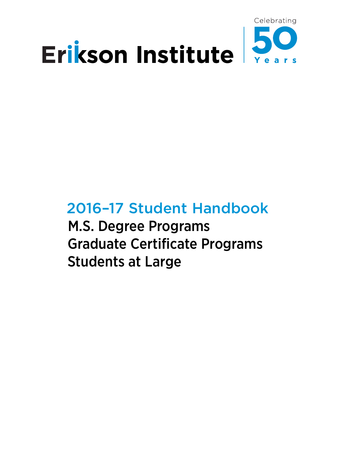

# 2016–17 Student Handbook

M.S. Degree Programs Graduate Certificate Programs Students at Large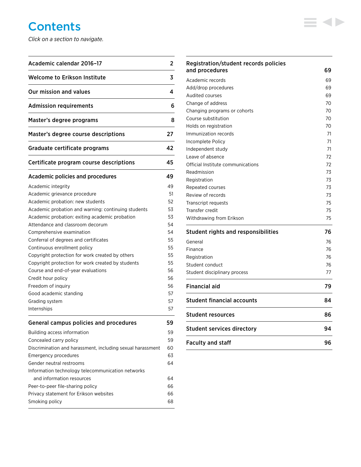# **Contents**

*Click on a section to navigate.*

| Academic calendar 2016-17                                                  | 2        |
|----------------------------------------------------------------------------|----------|
| <b>Welcome to Erikson Institute</b>                                        | 3        |
| Our mission and values                                                     | 4        |
| <b>Admission requirements</b>                                              | 6        |
| Master's degree programs                                                   | 8        |
| Master's degree course descriptions                                        | 27       |
| Graduate certificate programs                                              | 42       |
| Certificate program course descriptions                                    | 45       |
| Academic policies and procedures                                           | 49       |
| Academic integrity                                                         | 49       |
| Academic grievance procedure                                               | 51       |
| Academic probation: new students                                           | 52       |
| Academic probation and warning: continuing students                        | 53       |
| Academic probation: exiting academic probation                             | 53       |
| Attendance and classroom decorum                                           | 54       |
| Comprehensive examination                                                  | 54       |
| Conferral of degrees and certificates                                      | 55       |
| Continuous enrollment policy                                               | 55       |
| Copyright protection for work created by others                            | 55       |
| Copyright protection for work created by students                          | 55       |
| Course and end-of-year evaluations                                         | 56       |
| Credit hour policy                                                         | 56       |
| Freedom of inquiry                                                         | 56       |
| Good academic standing                                                     | 57       |
| Grading system<br>Internships                                              | 57<br>57 |
|                                                                            |          |
| <b>General campus policies and procedures</b>                              | 59       |
| Building access information                                                | 59       |
| Concealed carry policy                                                     | 59       |
| Discrimination and harassment, including sexual harassment                 | 60       |
| Emergency procedures                                                       | 63       |
| Gender neutral restrooms                                                   | 64       |
| Information technology telecommunication networks                          |          |
| and information resources                                                  | 64       |
| Peer-to-peer file-sharing policy<br>Privacy statement for Erikson websites | 66<br>66 |
| Smoking policy                                                             | 68       |
|                                                                            |          |

| Registration/student records policies<br>and procedures | 69 |
|---------------------------------------------------------|----|
|                                                         |    |
| Academic records                                        | 69 |
| Add/drop procedures                                     | 69 |
| Audited courses                                         | 69 |
| Change of address                                       | 70 |
| Changing programs or cohorts                            | 70 |
| Course substitution                                     | 70 |
| Holds on registration                                   | 70 |
| Immunization records                                    | 71 |
| Incomplete Policy                                       | 71 |
| Independent study                                       | 71 |
| Leave of absence                                        | 72 |
| Official Institute communications                       | 72 |
| Readmission                                             | 73 |
| Registration                                            | 73 |
| Repeated courses                                        | 73 |
| Review of records                                       | 73 |
| Transcript requests                                     | 75 |
| Transfer credit                                         | 75 |
| Withdrawing from Erikson                                | 75 |
| <b>Student rights and responsibilities</b>              | 76 |
| General                                                 | 76 |
| Finance                                                 | 76 |
| Registration                                            | 76 |
| Student conduct                                         | 76 |
| Student disciplinary process                            | 77 |
| <b>Financial aid</b>                                    | 79 |
| Student financial accounts                              | 84 |
| <b>Student resources</b>                                | 86 |
| <b>Student services directory</b>                       | 94 |
| <b>Faculty and staff</b>                                | 96 |

 $\equiv$  4>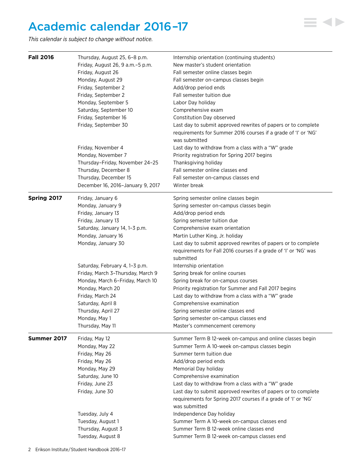# <span id="page-2-0"></span>Academic calendar 2016 –17

*This calendar is subject to change without notice.*

| <b>Fall 2016</b> | Thursday, August 25, 6-8 p.m.     | Internship orientation (continuing students)                     |
|------------------|-----------------------------------|------------------------------------------------------------------|
|                  | Friday, August 26, 9 a.m.-5 p.m.  | New master's student orientation                                 |
|                  | Friday, August 26                 | Fall semester online classes begin                               |
|                  | Monday, August 29                 | Fall semester on-campus classes begin                            |
|                  | Friday, September 2               | Add/drop period ends                                             |
|                  | Friday, September 2               | Fall semester tuition due                                        |
|                  | Monday, September 5               | Labor Day holiday                                                |
|                  | Saturday, September 10            | Comprehensive exam                                               |
|                  | Friday, September 16              | Constitution Day observed                                        |
|                  | Friday, September 30              | Last day to submit approved rewrites of papers or to complete    |
|                  |                                   | requirements for Summer 2016 courses if a grade of 'I' or 'NG'   |
|                  |                                   | was submitted                                                    |
|                  | Friday, November 4                | Last day to withdraw from a class with a "W" grade               |
|                  | Monday, November 7                | Priority registration for Spring 2017 begins                     |
|                  | Thursday-Friday, November 24-25   | Thanksgiving holiday                                             |
|                  | Thursday, December 8              | Fall semester online classes end                                 |
|                  | Thursday, December 15             | Fall semester on-campus classes end                              |
|                  | December 16, 2016-January 9, 2017 | Winter break                                                     |
| Spring 2017      | Friday, January 6                 | Spring semester online classes begin                             |
|                  | Monday, January 9                 | Spring semester on-campus classes begin                          |
|                  | Friday, January 13                | Add/drop period ends                                             |
|                  | Friday, January 13                | Spring semester tuition due                                      |
|                  | Saturday, January 14, 1-3 p.m.    | Comprehensive exam orientation                                   |
|                  | Monday, January 16                | Martin Luther King, Jr. holiday                                  |
|                  | Monday, January 30                | Last day to submit approved rewrites of papers or to complete    |
|                  |                                   | requirements for Fall 2016 courses if a grade of 'I' or 'NG' was |
|                  |                                   | submitted                                                        |
|                  | Saturday, February 4, 1-3 p.m.    | Internship orientation                                           |
|                  | Friday, March 3-Thursday, March 9 | Spring break for online courses                                  |
|                  | Monday, March 6-Friday, March 10  | Spring break for on-campus courses                               |
|                  | Monday, March 20                  | Priority registration for Summer and Fall 2017 begins            |
|                  | Friday, March 24                  | Last day to withdraw from a class with a "W" grade               |
|                  | Saturday, April 8                 | Comprehensive examination                                        |
|                  | Thursday, April 27                | Spring semester online classes end                               |
|                  | Monday, May 1                     | Spring semester on-campus classes end                            |
|                  | Thursday, May 11                  | Master's commencement ceremony                                   |
| Summer 2017      | Friday, May 12                    | Summer Term B 12-week on-campus and online classes begin         |
|                  | Monday, May 22                    | Summer Term A 10-week on-campus classes begin                    |
|                  | Friday, May 26                    | Summer term tuition due                                          |
|                  | Friday, May 26                    | Add/drop period ends                                             |
|                  | Monday, May 29                    | Memorial Day holiday                                             |
|                  | Saturday, June 10                 | Comprehensive examination                                        |
|                  | Friday, June 23                   | Last day to withdraw from a class with a "W" grade               |
|                  | Friday, June 30                   | Last day to submit approved rewrites of papers or to complete    |
|                  |                                   | requirements for Spring 2017 courses if a grade of 'I' or 'NG'   |
|                  |                                   | was submitted                                                    |
|                  | Tuesday, July 4                   | Independence Day holiday                                         |
|                  | Tuesday, August 1                 | Summer Term A 10-week on-campus classes end                      |
|                  | Thursday, August 3                | Summer Term B 12-week online classes end                         |
|                  | Tuesday, August 8                 | Summer Term B 12-week on-campus classes end                      |

 $\equiv$  4>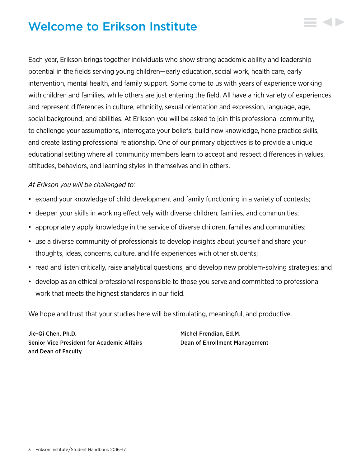# <span id="page-3-0"></span>Welcome to Erikson Institute

Each year, Erikson brings together individuals who show strong academic ability and leadership potential in the fields serving young children—early education, social work, health care, early intervention, mental health, and family support. Some come to us with years of experience working with children and families, while others are just entering the field. All have a rich variety of experiences and represent differences in culture, ethnicity, sexual orientation and expression, language, age, social background, and abilities. At Erikson you will be asked to join this professional community, to challenge your assumptions, interrogate your beliefs, build new knowledge, hone practice skills, and create lasting professional relationship. One of our primary objectives is to provide a unique educational setting where all community members learn to accept and respect differences in values, attitudes, behaviors, and learning styles in themselves and in others.

# *At Erikson you will be challenged to:*

- expand your knowledge of child development and family functioning in a variety of contexts;
- deepen your skills in working effectively with diverse children, families, and communities;
- appropriately apply knowledge in the service of diverse children, families and communities;
- use a diverse community of professionals to develop insights about yourself and share your thoughts, ideas, concerns, culture, and life experiences with other students;
- read and listen critically, raise analytical questions, and develop new problem-solving strategies; and
- develop as an ethical professional responsible to those you serve and committed to professional work that meets the highest standards in our field.

We hope and trust that your studies here will be stimulating, meaningful, and productive.

Jie-Qi Chen, Ph.D. Michel Frendian, Ed.M. Senior Vice President for Academic Affairs Dean of Enrollment Management and Dean of Faculty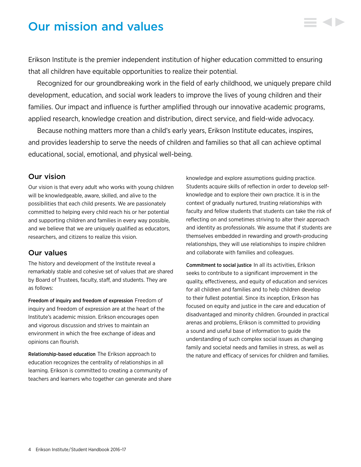# <span id="page-4-0"></span>Our mission and values

Erikson Institute is the premier independent institution of higher education committed to ensuring that all children have equitable opportunities to realize their potential.

Recognized for our groundbreaking work in the field of early childhood, we uniquely prepare child development, education, and social work leaders to improve the lives of young children and their families. Our impact and influence is further amplified through our innovative academic programs, applied research, knowledge creation and distribution, direct service, and field-wide advocacy.

Because nothing matters more than a child's early years, Erikson Institute educates, inspires, and provides leadership to serve the needs of children and families so that all can achieve optimal educational, social, emotional, and physical well-being.

# Our vision

Our vision is that every adult who works with young children will be knowledgeable, aware, skilled, and alive to the possibilities that each child presents. We are passionately committed to helping every child reach his or her potential and supporting children and families in every way possible, and we believe that we are uniquely qualified as educators, researchers, and citizens to realize this vision.

# Our values

The history and development of the Institute reveal a remarkably stable and cohesive set of values that are shared by Board of Trustees, faculty, staff, and students. They are as follows:

Freedom of inquiry and freedom of expression Freedom of inquiry and freedom of expression are at the heart of the Institute's academic mission. Erikson encourages open and vigorous discussion and strives to maintain an environment in which the free exchange of ideas and opinions can flourish.

Relationship-based education The Erikson approach to education recognizes the centrality of relationships in all learning. Erikson is committed to creating a community of teachers and learners who together can generate and share knowledge and explore assumptions guiding practice. Students acquire skills of reflection in order to develop selfknowledge and to explore their own practice. It is in the context of gradually nurtured, trusting relationships with faculty and fellow students that students can take the risk of reflecting on and sometimes striving to alter their approach and identity as professionals. We assume that if students are themselves embedded in rewarding and growth-producing relationships, they will use relationships to inspire children and collaborate with families and colleagues.

Commitment to social justice In all its activities, Erikson seeks to contribute to a significant improvement in the quality, effectiveness, and equity of education and services for all children and families and to help children develop to their fullest potential. Since its inception, Erikson has focused on equity and justice in the care and education of disadvantaged and minority children. Grounded in practical arenas and problems, Erikson is committed to providing a sound and useful base of information to guide the understanding of such complex social issues as changing family and societal needs and families in stress, as well as the nature and efficacy of services for children and families.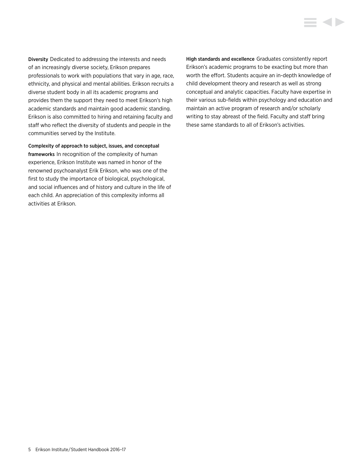Diversity Dedicated to addressing the interests and needs of an increasingly diverse society, Erikson prepares professionals to work with populations that vary in age, race, ethnicity, and physical and mental abilities. Erikson recruits a diverse student body in all its academic programs and provides them the support they need to meet Erikson's high academic standards and maintain good academic standing. Erikson is also committed to hiring and retaining faculty and staff who reflect the diversity of students and people in the communities served by the Institute.

Complexity of approach to subject, issues, and conceptual frameworks In recognition of the complexity of human experience, Erikson Institute was named in honor of the renowned psychoanalyst Erik Erikson, who was one of the first to study the importance of biological, psychological, and social influences and of history and culture in the life of each child. An appreciation of this complexity informs all activities at Erikson.

High standards and excellence Graduates consistently report Erikson's academic programs to be exacting but more than worth the effort. Students acquire an in-depth knowledge of child development theory and research as well as strong conceptual and analytic capacities. Faculty have expertise in their various sub-fields within psychology and education and maintain an active program of research and/or scholarly writing to stay abreast of the field. Faculty and staff bring these same standards to all of Erikson's activities.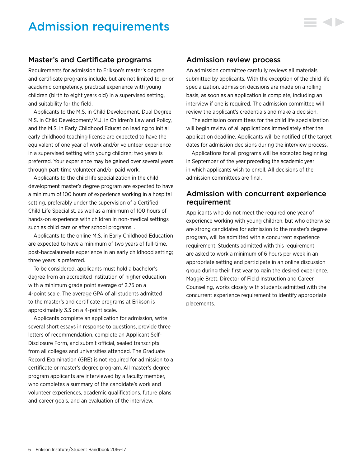# <span id="page-6-0"></span>Admission requirements

# Master's and Certificate programs

Requirements for admission to Erikson's master's degree and certificate programs include, but are not limited to, prior academic competency, practical experience with young children (birth to eight years old) in a supervised setting, and suitability for the field.

Applicants to the M.S. in Child Development, Dual Degree M.S. in Child Development/M.J. in Children's Law and Policy, and the M.S. in Early Childhood Education leading to initial early childhood teaching license are expected to have the equivalent of one year of work and/or volunteer experience in a supervised setting with young children; two years is preferred. Your experience may be gained over several years through part-time volunteer and/or paid work.

Applicants to the child life specialization in the child development master's degree program are expected to have a minimum of 100 hours of experience working in a hospital setting, preferably under the supervision of a Certified Child Life Specialist, as well as a minimum of 100 hours of hands-on experience with children in non-medical settings such as child care or after school programs. .

Applicants to the online M.S. in Early Childhood Education are expected to have a minimum of two years of full-time, post-baccalaureate experience in an early childhood setting; three years is preferred.

To be considered, applicants must hold a bachelor's degree from an accredited institution of higher education with a minimum grade point average of 2.75 on a 4-point scale. The average GPA of all students admitted to the master's and certificate programs at Erikson is approximately 3.3 on a 4-point scale.

Applicants complete an application for admission, write several short essays in response to questions, provide three letters of recommendation, complete an Applicant Self-Disclosure Form, and submit official, sealed transcripts from all colleges and universities attended. The Graduate Record Examination (GRE) is not required for admission to a certificate or master's degree program. All master's degree program applicants are interviewed by a faculty member, who completes a summary of the candidate's work and volunteer experiences, academic qualifications, future plans and career goals, and an evaluation of the interview.

# Admission review process

An admission committee carefully reviews all materials submitted by applicants. With the exception of the child life specialization, admission decisions are made on a rolling basis, as soon as an application is complete, including an interview if one is required. The admission committee will review the applicant's credentials and make a decision.

The admission committees for the child life specialization will begin review of all applications immediately after the application deadline. Applicants will be notified of the target dates for admission decisions during the interview process.

Applications for all programs will be accepted beginning in September of the year preceding the academic year in which applicants wish to enroll. All decisions of the admission committees are final.

# Admission with concurrent experience requirement

Applicants who do not meet the required one year of experience working with young children, but who otherwise are strong candidates for admission to the master's degree program, will be admitted with a concurrent experience requirement. Students admitted with this requirement are asked to work a minimum of 6 hours per week in an appropriate setting and participate in an online discussion group during their first year to gain the desired experience. Maggie Brett, Director of Field Instruction and Career Counseling, works closely with students admitted with the concurrent experience requirement to identify appropriate placements.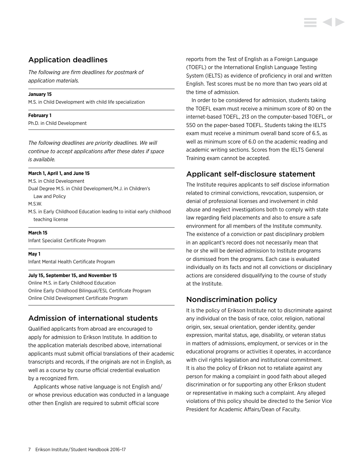# Application deadlines

*The following are firm deadlines for postmark of application materials.*

### **January 15**

M.S. in Child Development with child life specialization

### **February 1**

Ph.D. in Child Development

*The following deadlines are priority deadlines. We will continue to accept applications after these dates if space is available.*

### **March 1, April 1, and June 15**

M.S. in Child Development

Dual Degree M.S. in Child Development/M.J. in Children's

Law and Policy

M.S.W.

M.S. in Early Childhood Education leading to initial early childhood teaching license

### **March 15**

Infant Specialist Certificate Program

#### **May 1**

Infant Mental Health Certificate Program

#### **July 15, September 15, and November 15**

Online M.S. in Early Childhood Education Online Early Childhood Bilingual/ESL Certificate Program Online Child Development Certificate Program

# Admission of international students

Qualified applicants from abroad are encouraged to apply for admission to Erikson Institute. In addition to the application materials described above, international applicants must submit official translations of their academic transcripts and records, if the originals are not in English, as well as a course by course official credential evaluation by a recognized firm.

Applicants whose native language is not English and/ or whose previous education was conducted in a language other then English are required to submit official score

reports from the Test of English as a Foreign Language (TOEFL) or the International English Language Testing System (IELTS) as evidence of proficiency in oral and written English. Test scores must be no more than two years old at the time of admission.

In order to be considered for admission, students taking the TOEFL exam must receive a minimum score of 80 on the internet-based TOEFL, 213 on the computer-based TOEFL, or 550 on the paper-based TOEFL. Students taking the IELTS exam must receive a minimum overall band score of 6.5, as well as minimum score of 6.0 on the academic reading and academic writing sections. Scores from the IELTS General Training exam cannot be accepted.

# Applicant self-disclosure statement

The Institute requires applicants to self disclose information related to criminal convictions, revocation, suspension, or denial of professional licenses and involvement in child abuse and neglect investigations both to comply with state law regarding field placements and also to ensure a safe environment for all members of the Institute community. The existence of a conviction or past disciplinary problem in an applicant's record does not necessarily mean that he or she will be denied admission to Institute programs or dismissed from the programs. Each case is evaluated individually on its facts and not all convictions or disciplinary actions are considered disqualifying to the course of study at the Institute.

# Nondiscrimination policy

It is the policy of Erikson Institute not to discriminate against any individual on the basis of race, color, religion, national origin, sex, sexual orientation, gender identity, gender expression, marital status, age, disability, or veteran status in matters of admissions, employment, or services or in the educational programs or activities it operates, in accordance with civil rights legislation and institutional commitment. It is also the policy of Erikson not to retaliate against any person for making a complaint in good faith about alleged discrimination or for supporting any other Erikson student or representative in making such a complaint. Any alleged violations of this policy should be directed to the Senior Vice President for Academic Affairs/Dean of Faculty.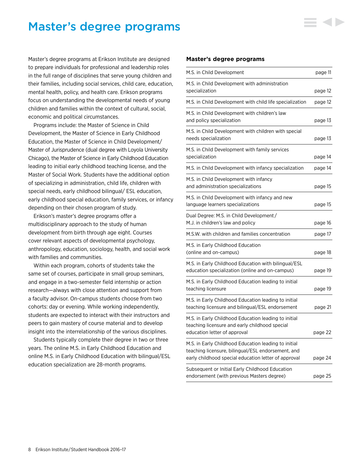# <span id="page-8-0"></span>Master's degree programs

Master's degree programs at Erikson Institute are designed to prepare individuals for professional and leadership roles in the full range of disciplines that serve young children and their families, including social services, child care, education, mental health, policy, and health care. Erikson programs focus on understanding the developmental needs of young children and families within the context of cultural, social, economic and political circumstances.

Programs include: the Master of Science in Child Development, the Master of Science in Early Childhood Education, the Master of Science in Child Development/ Master of Jurisprudence (dual degree with Loyola University Chicago), the Master of Science in Early Childhood Education leading to initial early childhood teaching license, and the Master of Social Work. Students have the additional option of specializing in administration, child life, children with special needs, early childhood bilingual/ ESL education, early childhood special education, family services, or infancy depending on their chosen program of study.

Erikson's master's degree programs offer a multidisciplinary approach to the study of human development from birth through age eight. Courses cover relevant aspects of developmental psychology, anthropology, education, sociology, health, and social work with families and communities.

Within each program, cohorts of students take the same set of courses, participate in small group seminars, and engage in a two-semester field internship or action research—always with close attention and support from a faculty advisor. On-campus students choose from two cohorts: day or evening. While working independently, students are expected to interact with their instructors and peers to gain mastery of course material and to develop insight into the interrelationship of the various disciplines.

Students typically complete their degree in two or three years. The online M.S. in Early Childhood Education and online M.S. in Early Childhood Education with bilingual/ESL education specialization are 28-month programs.

#### **Master's degree programs**

| M.S. in Child Development                                                                                                                                          | page 11 |
|--------------------------------------------------------------------------------------------------------------------------------------------------------------------|---------|
| M.S. in Child Development with administration<br>specialization                                                                                                    | page 12 |
| M.S. in Child Development with child life specialization                                                                                                           | page 12 |
| M.S. in Child Development with children's law<br>and policy specialization                                                                                         | page 13 |
| M.S. in Child Development with children with special<br>needs specialization                                                                                       | page 13 |
| M.S. in Child Development with family services<br>specialization                                                                                                   | page 14 |
| M.S. in Child Development with infancy specialization                                                                                                              | page 14 |
| M.S. in Child Development with infancy<br>and administration specializations                                                                                       | page 15 |
| M.S. in Child Development with infancy and new<br>language learners specializations                                                                                | page 15 |
| Dual Degree: M.S. in Child Development/<br>M.J. in children's law and policy                                                                                       | page 16 |
| M.S.W. with children and families concentration                                                                                                                    | page 17 |
| M.S. in Early Childhood Education<br>(online and on-campus)                                                                                                        | page 18 |
| M.S. in Early Childhood Education with bilingual/ESL<br>education specialization (online and on-campus)                                                            | page 19 |
| M.S. in Early Childhood Education leading to initial<br>teaching licensure                                                                                         | page 19 |
| M.S. in Early Childhood Education leading to initial<br>teaching licensure and bilingual/ESL endorsement                                                           | page 21 |
| M.S. in Early Childhood Education leading to initial<br>teaching licensure and early childhood special<br>education letter of approval                             | page 22 |
| M.S. in Early Childhood Education leading to initial<br>teaching licensure, bilingual/ESL endorsement, and<br>early childhood special education letter of approval | page 24 |
| Subsequent or Initial Early Childhood Education<br>endorsement (with previous Masters degree)                                                                      | page 25 |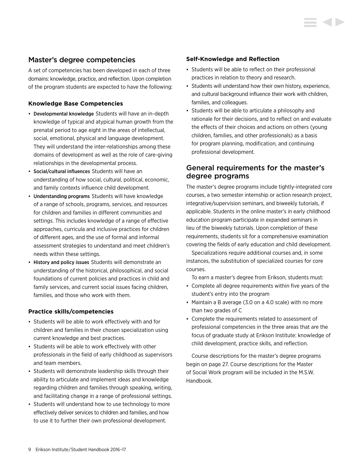# Master's degree competencies

A set of competencies has been developed in each of three domains: knowledge, practice, and reflection. Upon completion of the program students are expected to have the following:

# **Knowledge Base Competencies**

- Developmental knowledge Students will have an in-depth knowledge of typical and atypical human growth from the prenatal period to age eight in the areas of intellectual, social, emotional, physical and language development. They will understand the inter-relationships among these domains of development as well as the role of care-giving relationships in the developmental process.
- Social/cultural influences Students will have an understanding of how social, cultural, political, economic, and family contexts influence child development.
- Understanding programs Students will have knowledge of a range of schools, programs, services, and resources for children and families in different communities and settings. This includes knowledge of a range of effective approaches, curricula and inclusive practices for children of different ages, and the use of formal and informal assessment strategies to understand and meet children's needs within these settings.
- History and policy issues Students will demonstrate an understanding of the historical, philosophical, and social foundations of current policies and practices in child and family services, and current social issues facing children, families, and those who work with them.

## **Practice skills/competencies**

- Students will be able to work effectively with and for children and families in their chosen specialization using current knowledge and best practices.
- Students will be able to work effectively with other professionals in the field of early childhood as supervisors and team members.
- Students will demonstrate leadership skills through their ability to articulate and implement ideas and knowledge regarding children and families through speaking, writing, and facilitating change in a range of professional settings.
- Students will understand how to use technology to more effectively deliver services to children and families, and how to use it to further their own professional development.

### **Self-Knowledge and Reflection**

- Students will be able to reflect on their professional practices in relation to theory and research.
- Students will understand how their own history, experience, and cultural background influence their work with children, families, and colleagues.
- Students will be able to articulate a philosophy and rationale for their decisions, and to reflect on and evaluate the effects of their choices and actions on others (young children, families, and other professionals) as a basis for program planning, modification, and continuing professional development.

# General requirements for the master's degree programs

The master's degree programs include tightly-integrated core courses, a two semester internship or action research project, integrative/supervision seminars, and biweekly tutorials, if applicable. Students in the online master's in early childhood education program participate in expanded seminars in lieu of the biweekly tutorials. Upon completion of these requirements, students sit for a comprehensive examination covering the fields of early education and child development.

Specializations require additional courses and, in some instances, the substitution of specialized courses for core courses.

To earn a master's degree from Erikson, students must:

- Complete all degree requirements within five years of the student's entry into the program
- Maintain a B average (3.0 on a 4.0 scale) with no more than two grades of C
- Complete the requirements related to assessment of professional competencies in the three areas that are the focus of graduate study at Erikson Institute: knowledge of child development, practice skills, and reflection.

Course descriptions for the master's degree programs begin on page 27. Course descriptions for the Master of Social Work program will be included in the M.S.W. Handbook.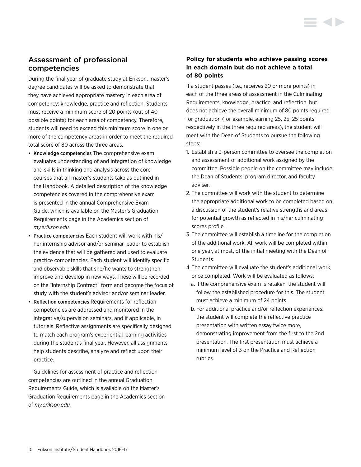# Assessment of professional competencies

During the final year of graduate study at Erikson, master's degree candidates will be asked to demonstrate that they have achieved appropriate mastery in each area of competency: knowledge, practice and reflection. Students must receive a minimum score of 20 points (out of 40 possible points) for each area of competency. Therefore, students will need to exceed this minimum score in one or more of the competency areas in order to meet the required total score of 80 across the three areas.

- Knowledge competencies The comprehensive exam evaluates understanding of and integration of knowledge and skills in thinking and analysis across the core courses that all master's students take as outlined in the Handbook. A detailed description of the knowledge competencies covered in the comprehensive exam is presented in the annual Comprehensive Exam Guide, which is available on the Master's Graduation Requirements page in the Academics section of *my.erikson.edu.*
- Practice competencies Each student will work with his/ her internship advisor and/or seminar leader to establish the evidence that will be gathered and used to evaluate practice competencies. Each student will identify specific and observable skills that she/he wants to strengthen, improve and develop in new ways. These will be recorded on the "Internship Contract" form and become the focus of study with the student's advisor and/or seminar leader.
- Reflection competencies Requirements for reflection competencies are addressed and monitored in the integrative/supervision seminars, and if applicable, in tutorials. Reflective assignments are specifically designed to match each program's experiential learning activities during the student's final year. However, all assignments help students describe, analyze and reflect upon their practice.

Guidelines for assessment of practice and reflection competencies are outlined in the annual Graduation Requirements Guide, which is available on the Master's Graduation Requirements page in the Academics section of *my.erikson.edu.*

# **Policy for students who achieve passing scores in each domain but do not achieve a total of 80 points**

If a student passes (i.e., receives 20 or more points) in each of the three areas of assessment in the Culminating Requirements, knowledge, practice, and reflection, but does not achieve the overall minimum of 80 points required for graduation (for example, earning 25, 25, 25 points respectively in the three required areas), the student will meet with the Dean of Students to pursue the following steps:

- 1. Establish a 3-person committee to oversee the completion and assessment of additional work assigned by the committee. Possible people on the committee may include the Dean of Students, program director, and faculty adviser.
- 2. The committee will work with the student to determine the appropriate additional work to be completed based on a discussion of the student's relative strengths and areas for potential growth as reflected in his/her culminating scores profile.
- 3. The committee will establish a timeline for the completion of the additional work. All work will be completed within one year, at most, of the initial meeting with the Dean of Students.
- 4. The committee will evaluate the student's additional work, once completed. Work will be evaluated as follows:
	- a. If the comprehensive exam is retaken, the student will follow the established procedure for this. The student must achieve a minimum of 24 points.
	- b. For additional practice and/or reflection experiences, the student will complete the reflective practice presentation with written essay twice more, demonstrating improvement from the first to the 2nd presentation. The first presentation must achieve a minimum level of 3 on the Practice and Reflection rubrics.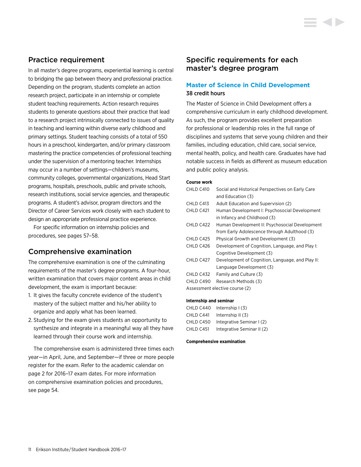# Practice requirement

In all master's degree programs, experiential learning is central to bridging the gap between theory and professional practice. Depending on the program, students complete an action research project, participate in an internship or complete student teaching requirements. Action research requires students to generate questions about their practice that lead to a research project intrinsically connected to issues of quality in teaching and learning within diverse early childhood and primary settings. Student teaching consists of a total of 550 hours in a preschool, kindergarten, and/or primary classroom mastering the practice competencies of professional teaching under the supervision of a mentoring teacher. Internships may occur in a number of settings—children's museums, community colleges, governmental organizations, Head Start programs, hospitals, preschools, public and private schools, research institutions, social service agencies, and therapeutic programs. A student's advisor, program directors and the Director of Career Services work closely with each student to design an appropriate professional practice experience.

For specific information on internship policies and procedures, see pages 57–58.

# Comprehensive examination

The comprehensive examination is one of the culminating requirements of the master's degree programs. A four-hour, written examination that covers major content areas in child development, the exam is important because:

- 1. It gives the faculty concrete evidence of the student's mastery of the subject matter and his/her ability to organize and apply what has been learned.
- 2. Studying for the exam gives students an opportunity to synthesize and integrate in a meaningful way all they have learned through their course work and internship.

The comprehensive exam is administered three times each year—in April, June, and September—if three or more people register for the exam. Refer to the academic calendar on page 2 for 2016–17 exam dates. For more information on comprehensive examination policies and procedures, see page 54.

# Specific requirements for each master's degree program

# **Master of Science in Child Development** 38 credit hours

The Master of Science in Child Development offers a comprehensive curriculum in early childhood development. As such, the program provides excellent preparation for professional or leadership roles in the full range of disciplines and systems that serve young children and their families, including education, child care, social service, mental health, policy, and health care. Graduates have had notable success in fields as different as museum education and public policy analysis.

#### **Course work**

| CHLD C410 | Social and Historical Perspectives on Early Care |
|-----------|--------------------------------------------------|
|           | and Education (3)                                |
| CHLD C413 | Adult Education and Supervision (2)              |
| CHLD C421 | Human Development I: Psychosocial Development    |
|           | in Infancy and Childhood (3)                     |
| CHLD C422 | Human Development II: Psychosocial Development   |
|           | from Early Adolescence through Adulthood (3)     |
| CHLD C425 | Physical Growth and Development (3)              |
| CHLD C426 | Development of Cognition, Language, and Play I:  |
|           | Cognitive Development (3)                        |
| CHLD C427 | Development of Cognition, Language, and Play II: |
|           | Language Development (3)                         |
| CHLD C432 | Family and Culture (3)                           |
| CHLD C490 | Research Methods (3)                             |
|           | Assessment elective course (2)                   |

#### **Internship and seminar**

| CHLD C440 | Internship $(3)$           |
|-----------|----------------------------|
| CHLD C441 | Internship $II(3)$         |
| CHLD C450 | Integrative Seminar I (2)  |
| CHLD C451 | Integrative Seminar II (2) |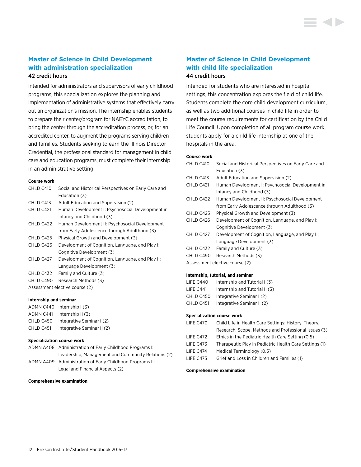## **Master of Science in Child Development with administration specialization** 42 credit hours

Intended for administrators and supervisors of early childhood programs, this specialization explores the planning and implementation of administrative systems that effectively carry out an organization's mission. The internship enables students to prepare their center/program for NAEYC accreditation, to bring the center through the accreditation process, or, for an accredited center, to augment the programs serving children and families. Students seeking to earn the Illinois Director Credential, the professional standard for management in child care and education programs, must complete their internship in an administrative setting.

#### **Course work**

| CHLD C410 | Social and Historical Perspectives on Early Care and |
|-----------|------------------------------------------------------|
|           | Education (3)                                        |
| CHLD C413 | Adult Education and Supervision (2)                  |
| CHLD C421 | Human Development I: Psychosocial Development in     |
|           | Infancy and Childhood (3)                            |
| CHLD C422 | Human Development II: Psychosocial Development       |
|           | from Early Adolescence through Adulthood (3)         |
| CHLD C425 | Physical Growth and Development (3)                  |
| CHLD C426 | Development of Cognition, Language, and Play I:      |
|           | Cognitive Development (3)                            |
| CHLD C427 | Development of Cognition, Language, and Play II:     |
|           | Language Development (3)                             |
| CHLD C432 | Family and Culture (3)                               |
| CHLD C490 | Research Methods (3)                                 |
|           | Assessment elective course (2)                       |
|           |                                                      |

#### **Internship and seminar**

|           | ADMN C440 Internship (3)   |
|-----------|----------------------------|
| ADMN C441 | Internship II $(3)$        |
| CHLD C450 | Integrative Seminar I (2)  |
| CHLD C451 | Integrative Seminar II (2) |

#### **Specialization course work**

| ADMN A408 Administration of Early Childhood Programs I:  |
|----------------------------------------------------------|
| Leadership, Management and Community Relations (2)       |
| ADMN A409 Administration of Early Childhood Programs II: |
| Legal and Financial Aspects (2)                          |

#### **Comprehensive examination**

# **Master of Science in Child Development with child life specialization**

### 44 credit hours

Intended for students who are interested in hospital settings, this concentration explores the field of child life. Students complete the core child development curriculum, as well as two additional courses in child life in order to meet the course requirements for certification by the Child Life Council. Upon completion of all program course work, students apply for a child life internship at one of the hospitals in the area.

#### **Course work**

| CHLD C410 | Social and Historical Perspectives on Early Care and |
|-----------|------------------------------------------------------|
|           | Education (3)                                        |
| CHLD C413 | Adult Education and Supervision (2)                  |
| CHLD C421 | Human Development I: Psychosocial Development in     |
|           | Infancy and Childhood (3)                            |
| CHLD C422 | Human Development II: Psychosocial Development       |
|           | from Early Adolescence through Adulthood (3)         |
| CHLD C425 | Physical Growth and Development (3)                  |
| CHLD C426 | Development of Cognition, Language, and Play I:      |
|           | Cognitive Development (3)                            |
| CHLD C427 | Development of Cognition, Language, and Play II:     |
|           | Language Development (3)                             |
| CHLD C432 | Family and Culture (3)                               |
| CHLD C490 | Research Methods (3)                                 |
|           | Assessment elective course (2)                       |

#### **Internship, tutorial, and seminar**

| Internship and Tutorial I (3)  |
|--------------------------------|
| Internship and Tutorial II (3) |
| Integrative Seminar I (2)      |
| Integrative Seminar II (2)     |
|                                |

#### **Specialization course work**

| LIFE C470 | Child Life in Health Care Settings: History, Theory,   |
|-----------|--------------------------------------------------------|
|           | Research, Scope, Methods and Professional Issues (3)   |
| LIFE C472 | Ethics in the Pediatric Health Care Setting (0.5)      |
| LIFE C473 | Therapeutic Play in Pediatric Health Care Settings (1) |
| LIFE C474 | Medical Terminology (0.5)                              |
| LIFE C475 | Grief and Loss in Children and Families (1)            |
|           |                                                        |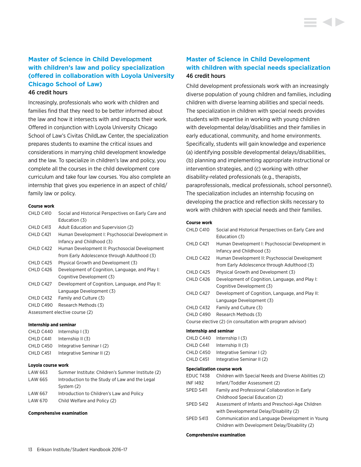# **Master of Science in Child Development with children's law and policy specialization (offered in collaboration with Loyola University Chicago School of Law)**

#### 46 credit hours

Increasingly, professionals who work with children and families find that they need to be better informed about the law and how it intersects with and impacts their work. Offered in conjunction with Loyola University Chicago School of Law's Civitas ChildLaw Center, the specialization prepares students to examine the critical issues and considerations in marrying child development knowledge and the law. To specialize in children's law and policy, you complete all the courses in the child development core curriculum and take four law courses. You also complete an internship that gives you experience in an aspect of child/ family law or policy.

#### **Course work**

| CHI D C410 | Social and Historical Perspectives on Early Care and |
|------------|------------------------------------------------------|
|            | Education (3)                                        |
| CHLD C413  | Adult Education and Supervision (2)                  |
| CHLD C421  | Human Development I: Psychosocial Development in     |
|            | Infancy and Childhood (3)                            |
| CHLD C422  | Human Development II: Psychosocial Development       |
|            | from Early Adolescence through Adulthood (3)         |
| CHLD C425  | Physical Growth and Development (3)                  |
| CHLD C426  | Development of Cognition, Language, and Play I:      |
|            | Cognitive Development (3)                            |
| CHLD C427  | Development of Cognition, Language, and Play II:     |
|            | Language Development (3)                             |
| CHLD C432  | Family and Culture (3)                               |
| CHLD C490  | Research Methods (3)                                 |
|            | Assessment elective course (2)                       |
|            |                                                      |

#### **Internship and seminar**

| CHLD C440 | Internship $(3)$           |
|-----------|----------------------------|
| CHLD C441 | Internship II (3)          |
| CHLD C450 | Integrative Seminar I (2)  |
| CHLD C451 | Integrative Seminar II (2) |

#### **Loyola course work**

| LAW 663 | Summer Institute: Children's Summer Institute (2) |
|---------|---------------------------------------------------|
| LAW 665 | Introduction to the Study of Law and the Legal    |
|         | System (2)                                        |
| LAW 667 | Introduction to Children's Law and Policy         |
| LAW 670 | Child Welfare and Policy (2)                      |

#### **Comprehensive examination**

# **Master of Science in Child Development with children with special needs specialization** 46 credit hours

Child development professionals work with an increasingly diverse population of young children and families, including children with diverse learning abilities and special needs. The specialization in children with special needs provides students with expertise in working with young children with developmental delay/disabilities and their families in early educational, community, and home environments. Specifically, students will gain knowledge and experience (a) identifying possible developmental delays/disabilities, (b) planning and implementing appropriate instructional or intervention strategies, and (c) working with other disability-related professionals (e.g., therapists, paraprofessionals, medical professionals, school personnel). The specialization includes an internship focusing on developing the practice and reflection skills necessary to work with children with special needs and their families.

#### **Course work**

| CHLD C410              | Social and Historical Perspectives on Early Care and       |
|------------------------|------------------------------------------------------------|
|                        | Education (3)                                              |
| CHLD C421              | Human Development I: Psychosocial Development in           |
|                        | Infancy and Childhood (3)                                  |
| CHLD C422              | Human Development II: Psychosocial Development             |
|                        | from Early Adolescence through Adulthood (3)               |
| CHLD C425              | Physical Growth and Development (3)                        |
| CHLD C426              | Development of Cognition, Language, and Play I:            |
|                        | Cognitive Development (3)                                  |
| CHLD C427              | Development of Cognition, Language, and Play II:           |
|                        | Language Development (3)                                   |
| CHLD C432              | Family and Culture (3)                                     |
| CHLD C490              | Research Methods (3)                                       |
|                        | Course elective (2) (in consultation with program advisor) |
| Internship and seminar |                                                            |
| CHLD C440              | Internship $(3)$                                           |
| CHLD C441              | Internship $II(3)$                                         |
| CHLD C450              | Integrative Seminar I (2)                                  |
| CHLD C451              | Integrative Seminar II (2)                                 |
|                        | <b>Specialization course work</b>                          |
| EDUC T438              | Children with Special Needs and Diverse Abilities (2)      |
| <b>INF 1492</b>        | Infant/Toddler Assessment (2)                              |
| SPED S411              | Family and Professional Collaboration in Early             |
|                        | Childhood Special Education (2)                            |

- SPED S412 Assessment of Infants and Preschool-Age Children with Developmental Delay/Disability (2)
- SPED S413 Communication and Language Development in Young Children with Development Delay/Disability (2)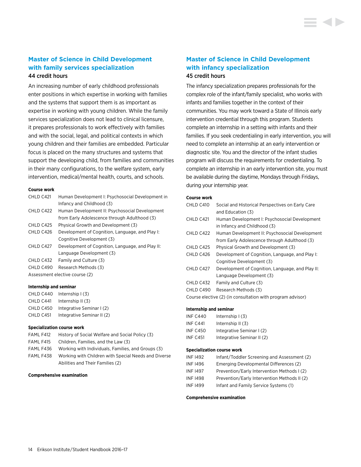## **Master of Science in Child Development with family services specialization** 44 credit hours

An increasing number of early childhood professionals enter positions in which expertise in working with families and the systems that support them is as important as expertise in working with young children. While the family services specialization does not lead to clinical licensure, it prepares professionals to work effectively with families and with the social, legal, and political contexts in which young children and their families are embedded. Particular focus is placed on the many structures and systems that support the developing child, from families and communities in their many configurations, to the welfare system, early intervention, medical/mental health, courts, and schools.

#### **Course work**

| CHLD C421  | Human Development I: Psychosocial Development in |
|------------|--------------------------------------------------|
|            | Infancy and Childhood (3)                        |
| CHI D C422 | Human Development II: Psychosocial Development   |
|            | from Early Adolescence through Adulthood (3)     |
| CHLD C425  | Physical Growth and Development (3)              |
| CHLD C426  | Development of Cognition, Language, and Play I:  |
|            | Cognitive Development (3)                        |
| CHI D C427 | Development of Cognition, Language, and Play II: |
|            | Language Development (3)                         |
| CHLD C432  | Family and Culture (3)                           |
| CHLD C490  | Research Methods (3)                             |
|            | Assessment elective course (2)                   |

#### **Internship and seminar**

| CHLD C440 | Internship $(3)$           |
|-----------|----------------------------|
| CHLD C441 | Internship II (3)          |
| CHLD C450 | Integrative Seminar I (2)  |
| CHLD C451 | Integrative Seminar II (2) |

#### **Specialization course work**

| FAML F412 | History of Social Welfare and Social Policy (3)      |
|-----------|------------------------------------------------------|
| FAML F415 | Children, Families, and the Law (3)                  |
| FAML F436 | Working with Individuals, Families, and Groups (3)   |
| FAML F438 | Working with Children with Special Needs and Diverse |
|           | Abilities and Their Families (2)                     |

#### **Comprehensive examination**

# **Master of Science in Child Development with infancy specialization** 45 credit hours

The infancy specialization prepares professionals for the complex role of the infant/family specialist, who works with infants and families together in the context of their communities. You may work toward a State of Illinois early intervention credential through this program. Students complete an internship in a setting with infants and their families. If you seek credentialing in early intervention, you will need to complete an internship at an early intervention or diagnostic site. You and the director of the infant studies program will discuss the requirements for credentialing. To complete an internship in an early intervention site, you must be available during the daytime, Mondays through Fridays, during your internship year.

#### **Course work**

| CHLD C410 | Social and Historical Perspectives on Early Care           |
|-----------|------------------------------------------------------------|
|           | and Education (3)                                          |
| CHLD C421 | Human Development I: Psychosocial Development              |
|           | in Infancy and Childhood (3)                               |
| CHLD C422 | Human Development II: Psychosocial Development             |
|           | from Early Adolescence through Adulthood (3)               |
| CHLD C425 | Physical Growth and Development (3)                        |
| CHLD C426 | Development of Cognition, Language, and Play I:            |
|           | Cognitive Development (3)                                  |
| CHLD C427 | Development of Cognition, Language, and Play II:           |
|           | Language Development (3)                                   |
| CHLD C432 | Family and Culture (3)                                     |
| CHLD C490 | Research Methods (3)                                       |
|           | Course elective (2) (in consultation with program advisor) |

#### **Internship and seminar**

| INF C440        | Internship $(3)$           |
|-----------------|----------------------------|
| <b>INF C441</b> | Internship $II(3)$         |
| <b>INF C450</b> | Integrative Seminar I (2)  |
| <b>INF C451</b> | Integrative Seminar II (2) |

#### **Specialization course work**

| <b>INF 1492</b> | Infant/Toddler Screening and Assessment (2)  |
|-----------------|----------------------------------------------|
| <b>INF 1496</b> | Emerging Developmental Differences (2)       |
| <b>INF 1497</b> | Prevention/Early Intervention Methods I (2)  |
| <b>INF 1498</b> | Prevention/Early Intervention Methods II (2) |
| <b>INF 1499</b> | Infant and Family Service Systems (1)        |
|                 |                                              |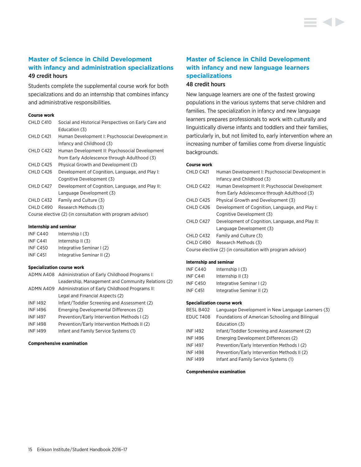# **Master of Science in Child Development with infancy and administration specializations** 49 credit hours

Students complete the supplemental course work for both specializations and do an internship that combines infancy and administrative responsibilities.

#### **Course work**

| CHLD C410 | Social and Historical Perspectives on Early Care and       |
|-----------|------------------------------------------------------------|
|           | Education (3)                                              |
| CHLD C421 | Human Development I: Psychosocial Development in           |
|           | Infancy and Childhood (3)                                  |
| CHLD C422 | Human Development II: Psychosocial Development             |
|           | from Early Adolescence through Adulthood (3)               |
| CHLD C425 | Physical Growth and Development (3)                        |
| CHLD C426 | Development of Cognition, Language, and Play I:            |
|           | Cognitive Development (3)                                  |
| CHLD C427 | Development of Cognition, Language, and Play II:           |
|           | Language Development (3)                                   |
| CHLD C432 | Family and Culture (3)                                     |
| CHLD C490 | Research Methods (3)                                       |
|           | Course elective (2) (in consultation with program advisor) |
|           |                                                            |

#### **Internship and seminar**

| <b>INF C440</b> | Internship $(3)$           |
|-----------------|----------------------------|
| <b>INF C441</b> | Internship II (3)          |
| <b>INF C450</b> | Integrative Seminar I (2)  |
| <b>INF C451</b> | Integrative Seminar II (2) |

#### **Specialization course work**

|                 | ADMN A408 Administration of Early Childhood Programs I:  |
|-----------------|----------------------------------------------------------|
|                 | Leadership, Management and Community Relations (2)       |
|                 | ADMN A409 Administration of Early Childhood Programs II: |
|                 | Legal and Financial Aspects (2)                          |
| <b>INF 1492</b> | Infant/Toddler Screening and Assessment (2)              |
| <b>INF1496</b>  | Emerging Developmental Differences (2)                   |
| <b>INF 1497</b> | Prevention/Early Intervention Methods I (2)              |
| <b>INF1498</b>  | Prevention/Early Intervention Methods II (2)             |
| <b>INF 1499</b> | Infant and Family Service Systems (1)                    |
|                 |                                                          |

#### **Comprehensive examination**

# **Master of Science in Child Development with infancy and new language learners specializations** 48 credit hours

New language learners are one of the fastest growing populations in the various systems that serve children and families. The specialization in infancy and new language learners prepares professionals to work with culturally and linguistically diverse infants and toddlers and their families, particularly in, but not limited to, early intervention where an increasing number of families come from diverse linguistic backgrounds.

#### **Course work**

| CHLD C421  | Human Development I: Psychosocial Development in           |
|------------|------------------------------------------------------------|
|            | Infancy and Childhood (3)                                  |
| CHI D C422 | Human Development II: Psychosocial Development             |
|            | from Early Adolescence through Adulthood (3)               |
| CHLD C425  | Physical Growth and Development (3)                        |
| CHLD C426  | Development of Cognition, Language, and Play I:            |
|            | Cognitive Development (3)                                  |
| CHI D C427 | Development of Cognition, Language, and Play II:           |
|            | Language Development (3)                                   |
| CHLD C432  | Family and Culture (3)                                     |
| CHI D C490 | Research Methods (3)                                       |
|            | Course elective (2) (in consultation with program advisor) |
|            |                                                            |

#### **Internship and seminar**

| INF C440        | Internship $(3)$           |
|-----------------|----------------------------|
| <b>INF C441</b> | Internship $II(3)$         |
| <b>INF C450</b> | Integrative Seminar I (2)  |
| INF C451        | Integrative Seminar II (2) |
|                 |                            |

#### **Specialization course work**

| BESL B402       | Language Development in New Language Learners (3) |
|-----------------|---------------------------------------------------|
| EDUC T408       | Foundations of American Schooling and Bilingual   |
|                 | Education (3)                                     |
| <b>INF 1492</b> | Infant/Toddler Screening and Assessment (2)       |
| <b>INF 1496</b> | Emerging Development Differences (2)              |
| <b>INF 1497</b> | Prevention/Early Intervention Methods I (2)       |
| <b>INF 1498</b> | Prevention/Early Intervention Methods II (2)      |
| <b>INF1499</b>  | Infant and Family Service Systems (1)             |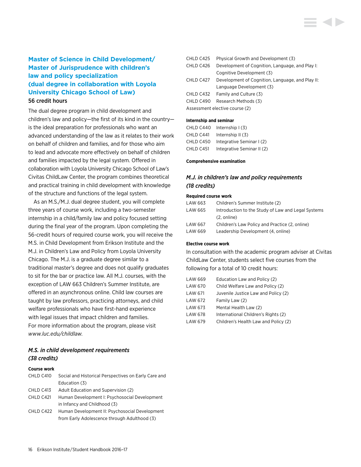# **Master of Science in Child Development/ Master of Jurisprudence with children's law and policy specialization (dual degree in collaboration with Loyola University Chicago School of Law)** 56 credit hours

The dual degree program in child development and children's law and policy—the first of its kind in the country is the ideal preparation for professionals who want an advanced understanding of the law as it relates to their work on behalf of children and families, and for those who aim to lead and advocate more effectively on behalf of children and families impacted by the legal system. Offered in collaboration with Loyola University Chicago School of Law's Civitas ChildLaw Center, the program combines theoretical and practical training in child development with knowledge of the structure and functions of the legal system.

As an M.S./M.J. dual degree student, you will complete three years of course work, including a two-semester internship in a child/family law and policy focused setting during the final year of the program. Upon completing the 56-credit hours of required course work, you will receive the M.S. in Child Development from Erikson Institute and the M.J. in Children's Law and Policy from Loyola University Chicago. The M.J. is a graduate degree similar to a traditional master's degree and does not qualify graduates to sit for the bar or practice law. All M.J. courses, with the exception of LAW 663 Children's Summer Institute, are offered in an asynchronous online. Child law courses are taught by law professors, practicing attorneys, and child welfare professionals who have first-hand experience with legal issues that impact children and families. For more information about the program, please visit *<www.luc.edu/childlaw>*.

### *M.S. in child development requirements (38 credits)*

#### **Course work**

| CHLD C410 | Social and Historical Perspectives on Early Care and |
|-----------|------------------------------------------------------|
|           | Education (3)                                        |
| CHLD C413 | Adult Education and Supervision (2)                  |
| CHLD C421 | Human Development I: Psychosocial Development        |
|           | in Infancy and Childhood (3)                         |
| CHLD C422 | Human Development II: Psychosocial Development       |
|           | from Early Adolescence through Adulthood (3)         |

| CHLD C425 | Physical Growth and Development (3)              |
|-----------|--------------------------------------------------|
| CHLD C426 | Development of Cognition, Language, and Play I:  |
|           | Cognitive Development (3)                        |
| CHLD C427 | Development of Cognition, Language, and Play II: |
|           | Language Development (3)                         |
|           | CHLD C432 Family and Culture (3)                 |
| CHLD C490 | Research Methods (3)                             |
|           | Assessment elective course (2)                   |
|           |                                                  |

#### **Internship and seminar**

| CHLD C440 | Internship $(3)$           |
|-----------|----------------------------|
| CHLD C441 | Internship $II(3)$         |
| CHLD C450 | Integrative Seminar I (2)  |
| CHLD C451 | Integrative Seminar II (2) |

#### **Comprehensive examination**

# *M.J. in children's law and policy requirements (18 credits)*

#### **Required course work**

| LAW 663 | Children's Summer Institute (2)                    |
|---------|----------------------------------------------------|
| LAW 665 | Introduction to the Study of Law and Legal Systems |
|         | $(2.$ online)                                      |
| LAW 667 | Children's Law Policy and Practice (2, online)     |
| LAW 669 | Leadership Development (4, online)                 |

#### **Elective course work**

In consultation with the academic program adviser at Civitas ChildLaw Center, students select five courses from the following for a total of 10 credit hours:

| LAW 669 | Education Law and Policy (2)         |
|---------|--------------------------------------|
| LAW 670 | Child Welfare Law and Policy (2)     |
| LAW 671 | Juvenile Justice Law and Policy (2)  |
| LAW 672 | Family Law (2)                       |
| LAW 673 | Mental Health Law (2)                |
| LAW 678 | International Children's Rights (2)  |
| LAW 679 | Children's Health Law and Policy (2) |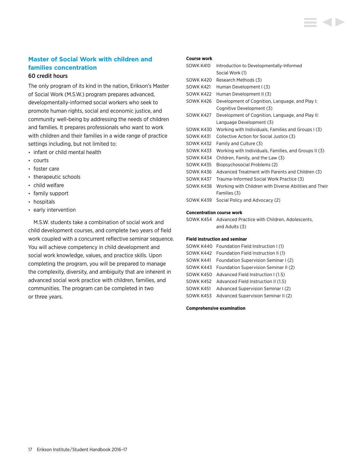# **Master of Social Work with children and families concentration**

### 60 credit hours

The only program of its kind in the nation, Erikson's Master of Social Work (M.S.W.) program prepares advanced, developmentally-informed social workers who seek to promote human rights, social and economic justice, and community well-being by addressing the needs of children and families. It prepares professionals who want to work with children and their families in a wide range of practice settings including, but not limited to:

- infant or child mental health
- courts
- foster care
- therapeutic schools
- child welfare
- family support
- hospitals
- early intervention

M.S.W. students take a combination of social work and child development courses, and complete two years of field work coupled with a concurrent reflective seminar sequence. You will achieve competency in child development and social work knowledge, values, and practice skills. Upon completing the program, you will be prepared to manage the complexity, diversity, and ambiguity that are inherent in advanced social work practice with children, families, and communities. The program can be completed in two or three years.

#### **Course work**

| SOWK K410 | Introduction to Developmentally-Informed               |
|-----------|--------------------------------------------------------|
|           | Social Work (1)                                        |
| SOWK K420 | Research Methods (3)                                   |
| SOWK K421 | Human Development I (3)                                |
| SOWK K422 | Human Development II (3)                               |
| SOWK K426 | Development of Cognition, Language, and Play I:        |
|           | Cognitive Development (3)                              |
| SOWK K427 | Development of Cognition, Language, and Play II:       |
|           | Language Development (3)                               |
| SOWK K430 | Working with Individuals, Families and Groups I (3)    |
| SOWK K431 | Collective Action for Social Justice (3)               |
| SOWK K432 | Family and Culture (3)                                 |
| SOWK K433 | Working with Individuals, Families, and Groups II (3)  |
| SOWK K434 | Children, Family, and the Law (3)                      |
| SOWK K435 | Biopsychosocial Problems (2)                           |
| SOWK K436 | Advanced Treatment with Parents and Children (3)       |
| SOWK K437 | Trauma-Informed Social Work Practice (3)               |
| SOWK K438 | Working with Children with Diverse Abilities and Their |
|           | Families (3)                                           |
| SOWK K439 | Social Policy and Advocacy (2)                         |
|           |                                                        |

#### **Concentration course work**

SOWK K454 Advanced Practice with Children, Adolescents, and Adults (3)

#### **Field instruction and seminar**

| SOWK K440 Foundation Field Instruction I (1)    |
|-------------------------------------------------|
| SOWK K442 Foundation Field Instruction II (1)   |
| SOWK K441 Foundation Supervision Seminar I (2)  |
| SOWK K443 Foundation Supervision Seminar II (2) |
| SOWK K450 Advanced Field Instruction I (1.5)    |
| SOWK K452 Advanced Field Instruction II (1.5)   |
| SOWK K451 Advanced Supervision Seminar I (2)    |
| SOWK K453 Advanced Supervision Seminar II (2)   |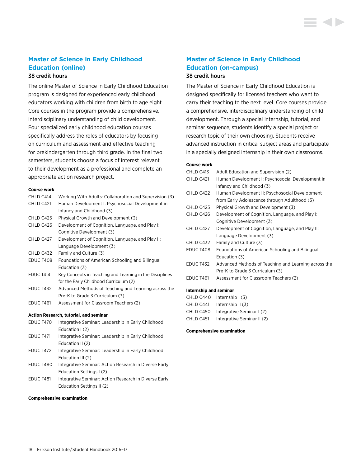# **Master of Science in Early Childhood Education (online)**

### 38 credit hours

The online Master of Science in Early Childhood Education program is designed for experienced early childhood educators working with children from birth to age eight. Core courses in the program provide a comprehensive, interdisciplinary understanding of child development. Four specialized early childhood education courses specifically address the roles of educators by focusing on curriculum and assessment and effective teaching for prekindergarten through third grade. In the final two semesters, students choose a focus of interest relevant to their development as a professional and complete an appropriate action research project.

#### **Course work**

| CHLD C414        | Working With Adults: Collaboration and Supervision (3)   |
|------------------|----------------------------------------------------------|
| CHLD C421        | Human Development I: Psychosocial Development in         |
|                  | Infancy and Childhood (3)                                |
| CHLD C425        | Physical Growth and Development (3)                      |
| CHLD C426        | Development of Cognition, Language, and Play I:          |
|                  | Cognitive Development (3)                                |
| CHLD C427        | Development of Cognition, Language, and Play II:         |
|                  | Language Development (3)                                 |
| CHLD C432        | Family and Culture (3)                                   |
| EDUC T408        | Foundations of American Schooling and Bilingual          |
|                  | Education (3)                                            |
| EDUC T414        | Key Concepts in Teaching and Learning in the Disciplines |
|                  | for the Early Childhood Curriculum (2)                   |
| <b>EDUC T432</b> | Advanced Methods of Teaching and Learning across the     |
|                  | Pre-K to Grade 3 Curriculum (3)                          |
| <b>EDUC T461</b> | Assessment for Classroom Teachers (2)                    |
|                  |                                                          |

#### **Action Research, tutorial, and seminar**

| <b>EDUC T470</b> | Integrative Seminar: Leadership in Early Childhood    |
|------------------|-------------------------------------------------------|
|                  | Education $(2)$                                       |
| EDUC T471        | Integrative Seminar: Leadership in Early Childhood    |
|                  | Education II (2)                                      |
| EDUC T472        | Integrative Seminar: Leadership in Early Childhood    |
|                  | Education III (2)                                     |
| EDUC T480        | Integrative Seminar: Action Research in Diverse Early |
|                  | Education Settings I (2)                              |
| EDUC T481        | Integrative Seminar: Action Research in Diverse Early |
|                  | Education Settings II (2)                             |
|                  |                                                       |

#### **Comprehensive examination**

# **Master of Science in Early Childhood Education (on-campus)**

### 38 credit hours

The Master of Science in Early Childhood Education is designed specifically for licensed teachers who want to carry their teaching to the next level. Core courses provide a comprehensive, interdisciplinary understanding of child development. Through a special internship, tutorial, and seminar sequence, students identify a special project or research topic of their own choosing. Students receive advanced instruction in critical subject areas and participate in a specially designed internship in their own classrooms.

#### **Course work**

| CHLD C413        | Adult Education and Supervision (2)                  |
|------------------|------------------------------------------------------|
| CHLD C421        | Human Development I: Psychosocial Development in     |
|                  | Infancy and Childhood (3)                            |
| CHLD C422        | Human Development II: Psychosocial Development       |
|                  | from Early Adolescence through Adulthood (3)         |
| CHLD C425        | Physical Growth and Development (3)                  |
| CHLD C426        | Development of Cognition, Language, and Play I:      |
|                  | Cognitive Development (3)                            |
| CHLD C427        | Development of Cognition, Language, and Play II:     |
|                  | Language Development (3)                             |
| CHLD C432        | Family and Culture (3)                               |
| EDUC T408        | Foundations of American Schooling and Bilingual      |
|                  | Education (3)                                        |
| <b>EDUC T432</b> | Advanced Methods of Teaching and Learning across the |
|                  | Pre-K to Grade 3 Curriculum (3)                      |
| EDUC T461        | Assessment for Classroom Teachers (2)                |
|                  |                                                      |

#### **Internship and seminar**

| CHLD C440 | Internship $(3)$           |
|-----------|----------------------------|
| CHLD C441 | Internship II (3)          |
| CHLD C450 | Integrative Seminar I (2)  |
| CHLD C451 | Integrative Seminar II (2) |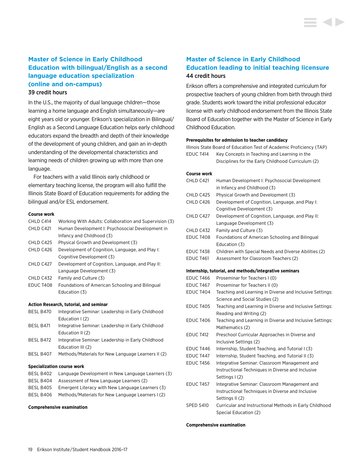# **Master of Science in Early Childhood Education with bilingual/English as a second language education specialization (online and on-campus)**

#### 39 credit hours

In the U.S., the majority of dual language children—those learning a home language and English simultaneously—are eight years old or younger. Erikson's specialization in Bilingual/ English as a Second Language Education helps early childhood educators expand the breadth and depth of their knowledge of the development of young children, and gain an in-depth understanding of the developmental characteristics and learning needs of children growing up with more than one language.

For teachers with a valid Illinois early childhood or elementary teaching license, the program will also fulfill the Illinois State Board of Education requirements for adding the bilingual and/or ESL endorsement.

#### **Course work**

| CHLD C414 | Working With Adults: Collaboration and Supervision (3) |
|-----------|--------------------------------------------------------|
| CHLD C421 | Human Development I: Psychosocial Development in       |
|           | Infancy and Childhood (3)                              |
| CHLD C425 | Physical Growth and Development (3)                    |
| CHLD C426 | Development of Cognition, Language, and Play I:        |
|           | Cognitive Development (3)                              |
| CHLD C427 | Development of Cognition, Language, and Play II:       |
|           | Language Development (3)                               |
| CHLD C432 | Family and Culture (3)                                 |
| EDUC T408 | Foundations of American Schooling and Bilingual        |
|           | Education (3)                                          |
|           |                                                        |
|           | Action Research, tutorial, and seminar                 |
| BESL B470 | Integrative Seminar: Leadership in Early Childhood     |

|           | Education $(2)$                                    |
|-----------|----------------------------------------------------|
| BESL B471 | Integrative Seminar: Leadership in Early Childhood |
|           | Education II (2)                                   |
| BESL B472 | Integrative Seminar: Leadership in Early Childhood |
|           | Education III (2)                                  |
| BESL B407 | Methods/Materials for New Language Learners II (2) |

#### **Specialization course work**

| BESL B402 | Language Development in New Language Learners (3) |
|-----------|---------------------------------------------------|
| BESL B404 | Assessment of New Language Learners (2)           |
| BESL B405 | Emergent Literacy with New Language Learners (3)  |
| BESL B406 | Methods/Materials for New Language Learners I (2) |
|           |                                                   |

#### **Comprehensive examination**

# **Master of Science in Early Childhood Education leading to initial teaching licensure** 44 credit hours

Erikson offers a comprehensive and integrated curriculum for prospective teachers of young children from birth through third grade. Students work toward the initial professional educator license with early childhood endorsement from the Illinois State Board of Education together with the Master of Science in Early Childhood Education.

#### **Prerequisites for admission to teacher candidacy**

Illinois State Board of Education Test of Academic Proficiency (TAP) EDUC T414 Key Concepts in Teaching and Learning in the

| Disciplines for the Early Childhood Curriculum (2) |  |  |  |
|----------------------------------------------------|--|--|--|
|----------------------------------------------------|--|--|--|

#### **Course work**

| CHLD C421 | Human Development I: Psychosocial Development         |
|-----------|-------------------------------------------------------|
|           | in Infancy and Childhood (3)                          |
| CHLD C425 | Physical Growth and Development (3)                   |
| CHLD C426 | Development of Cognition, Language, and Play I:       |
|           | Cognitive Development (3)                             |
| CHLD C427 | Development of Cognition, Language, and Play II:      |
|           | Language Development (3)                              |
| CHLD C432 | Family and Culture (3)                                |
| EDUC T408 | Foundations of American Schooling and Bilingual       |
|           | Education (3)                                         |
| EDUC T438 | Children with Special Needs and Diverse Abilities (2) |
| EDUC T461 | Assessment for Classroom Teachers (2)                 |

#### **Internship, tutorial, and methods/integrative seminars**

| EDUC T466        | Proseminar for Teachers I (0)                            |
|------------------|----------------------------------------------------------|
| EDUC T467        | Proseminar for Teachers II (0)                           |
| EDUC T404        | Teaching and Learning in Diverse and Inclusive Settings: |
|                  | Science and Social Studies (2)                           |
| EDUC T405        | Teaching and Learning in Diverse and Inclusive Settings: |
|                  | Reading and Writing (2)                                  |
| <b>EDUC T406</b> | Teaching and Learning in Diverse and Inclusive Settings: |
|                  | Mathematics (2)                                          |
| EDUC T412        | Preschool Curricular Approaches in Diverse and           |
|                  | Inclusive Settings (2)                                   |
| EDUC T446        | Internship, Student Teaching, and Tutorial I (3)         |
| EDUC T447        | Internship, Student Teaching, and Tutorial II (3)        |
| EDUC T456        | Integrative Seminar: Classroom Management and            |
|                  | Instructional Techniques in Diverse and Inclusive        |
|                  | Settings I (2)                                           |
| EDUC T457        | Integrative Seminar: Classroom Management and            |
|                  | Instructional Techniques in Diverse and Inclusive        |
|                  | Settings II (2)                                          |
| SPED S410        | Curricular and Instructional Methods in Early Childhood  |
|                  | Special Education (2)                                    |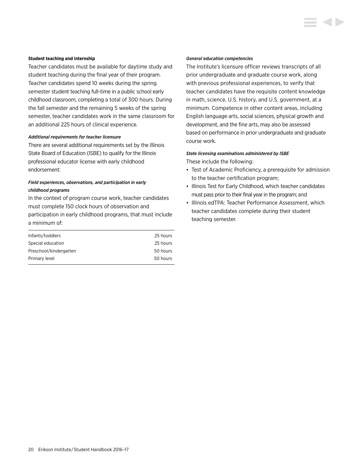#### **Student teaching and internship**

Teacher candidates must be available for daytime study and student teaching during the final year of their program. Teacher candidates spend 10 weeks during the spring semester student teaching full-time in a public school early childhood classroom, completing a total of 300 hours. During the fall semester and the remaining 5 weeks of the spring semester, teacher candidates work in the same classroom for an additional 225 hours of clinical experience.

#### *Additional requirements for teacher licensure*

There are several additional requirements set by the Illinois State Board of Education (ISBE) to qualify for the Illinois professional educator license with early childhood endorsement:

### *Field experiences, observations, and participation in early childhood programs*

In the context of program course work, teacher candidates must complete 150 clock hours of observation and participation in early childhood programs, that must include a minimum of:

| 25 hours |
|----------|
|          |
| 25 hours |
| 50 hours |
| 50 hours |
|          |

#### *General education competencies*

The Institute's licensure officer reviews transcripts of all prior undergraduate and graduate course work, along with previous professional experiences, to verify that teacher candidates have the requisite content knowledge in math, science, U.S. history, and U.S. government, at a minimum. Competence in other content areas, including English language arts, social sciences, physical growth and development, and the fine arts, may also be assessed based on performance in prior undergraduate and graduate course work.

#### *State licensing examinations administered by ISBE*

These include the following:

- Test of Academic Proficiency, a prerequisite for admission to the teacher certification program;
- Illinois Test for Early Childhood, which teacher candidates must pass prior to their final year in the program; and
- Illinois edTPA: Teacher Performance Assessment, which teacher candidates complete during their student teaching semester.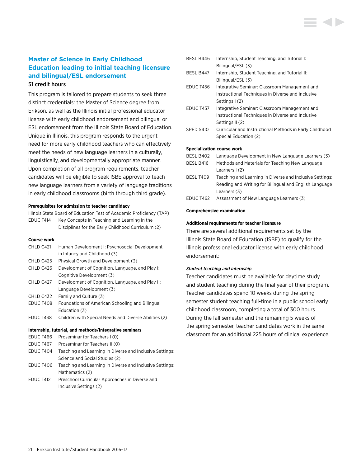# **Master of Science in Early Childhood Education leading to initial teaching licensure and bilingual/ESL endorsement** 51 credit hours

This program is tailored to prepare students to seek three distinct credentials: the Master of Science degree from Erikson, as well as the Illinois initial professional educator license with early childhood endorsement and bilingual or ESL endorsement from the Illinois State Board of Education. Unique in Illinois, this program responds to the urgent need for more early childhood teachers who can effectively meet the needs of new language learners in a culturally, linguistically, and developmentally appropriate manner. Upon completion of all program requirements, teacher candidates will be eligible to seek ISBE approval to teach new language learners from a variety of language traditions in early childhood classrooms (birth through third grade).

#### **Prerequisites for admission to teacher candidacy**

Illinois State Board of Education Test of Academic Proficiency (TAP) EDUC T414 Key Concepts in Teaching and Learning in the Disciplines for the Early Childhood Curriculum (2)

#### **Course work**

| CHLD C421        | Human Development I: Psychosocial Development            |
|------------------|----------------------------------------------------------|
|                  | in Infancy and Childhood (3)                             |
| CHLD C425        | Physical Growth and Development (3)                      |
| CHLD C426        | Development of Cognition, Language, and Play I:          |
|                  | Cognitive Development (3)                                |
| CHLD C427        | Development of Cognition, Language, and Play II:         |
|                  | Language Development (3)                                 |
| CHLD C432        | Family and Culture (3)                                   |
| EDUC T408        | Foundations of American Schooling and Bilingual          |
|                  | Education (3)                                            |
| EDUC T438        | Children with Special Needs and Diverse Abilities (2)    |
|                  |                                                          |
|                  | Internship, tutorial, and methods/integrative seminars   |
| <b>EDUC T466</b> | Proseminar for Teachers I (0)                            |
| EDUC T467        | Proseminar for Teachers II (0)                           |
| EDUC T404        | Teaching and Learning in Diverse and Inclusive Settings: |
|                  | Science and Social Studies (2)                           |

- EDUC T406 Teaching and Learning in Diverse and Inclusive Settings: Mathematics (2)
- EDUC T412 Preschool Curricular Approaches in Diverse and Inclusive Settings (2)

# BESL B446 Internship, Student Teaching, and Tutorial I: Bilingual/ESL (3) BESL B447 Internship, Student Teaching, and Tutorial II: Bilingual/ESL (3) EDUC T456 Integrative Seminar: Classroom Management and Instructional Techniques in Diverse and Inclusive Settings I (2) EDUC T457 Integrative Seminar: Classroom Management and Instructional Techniques in Diverse and Inclusive Settings II (2) SPED S410 Curricular and Instructional Methods in Early Childhood Special Education (2) **Specialization course work**

| Language Development in New Language Learners (3)        |
|----------------------------------------------------------|
| Methods and Materials for Teaching New Language          |
| Learners $(2)$                                           |
| Teaching and Learning in Diverse and Inclusive Settings: |
| Reading and Writing for Bilingual and English Language   |
| Learners (3)                                             |
| Assessment of New Language Learners (3)                  |
|                                                          |

#### **Comprehensive examination**

#### **Additional requirements for teacher licensure**

There are several additional requirements set by the Illinois State Board of Education (ISBE) to qualify for the Illinois professional educator license with early childhood endorsement:

#### *Student teaching and internship*

Teacher candidates must be available for daytime study and student teaching during the final year of their program. Teacher candidates spend 10 weeks during the spring semester student teaching full-time in a public school early childhood classroom, completing a total of 300 hours. During the fall semester and the remaining 5 weeks of the spring semester, teacher candidates work in the same classroom for an additional 225 hours of clinical experience.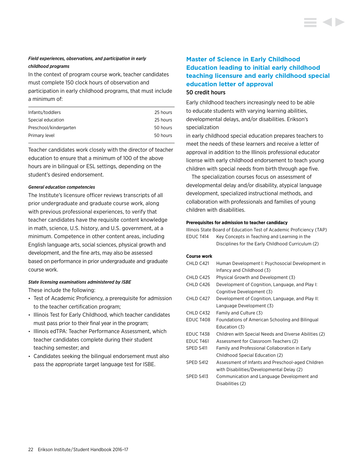### *Field experiences, observations, and participation in early childhood programs*

In the context of program course work, teacher candidates must complete 150 clock hours of observation and

participation in early childhood programs, that must include a minimum of:

| 25 hours |
|----------|
| 25 hours |
| 50 hours |
| 50 hours |
|          |

Teacher candidates work closely with the director of teacher education to ensure that a minimum of 100 of the above hours are in bilingual or ESL settings, depending on the student's desired endorsement.

#### *General education competencies*

The Institute's licensure officer reviews transcripts of all prior undergraduate and graduate course work, along with previous professional experiences, to verify that teacher candidates have the requisite content knowledge in math, science, U.S. history, and U.S. government, at a minimum. Competence in other content areas, including English language arts, social sciences, physical growth and development, and the fine arts, may also be assessed based on performance in prior undergraduate and graduate course work.

#### *State licensing examinations administered by ISBE*

These include the following:

- Test of Academic Proficiency, a prerequisite for admission to the teacher certification program;
- Illinois Test for Early Childhood, which teacher candidates must pass prior to their final year in the program;
- Illinois edTPA: Teacher Performance Assessment, which teacher candidates complete during their student teaching semester; and
- Candidates seeking the bilingual endorsement must also pass the appropriate target language test for ISBE.

# **Master of Science in Early Childhood Education leading to initial early childhood teaching licensure and early childhood special education letter of approval**  50 credit hours

Early childhood teachers increasingly need to be able to educate students with varying learning abilities, developmental delays, and/or disabilities. Erikson's specialization

in early childhood special education prepares teachers to meet the needs of these learners and receive a letter of approval in addition to the Illinois professional educator license with early childhood endorsement to teach young children with special needs from birth through age five.

The specialization courses focus on assessment of developmental delay and/or disability, atypical language development, specialized instructional methods, and collaboration with professionals and families of young children with disabilities.

#### **Prerequisites for admission to teacher candidacy**

|           | Illinois State Board of Education Test of Academic Proficiency (TAP) |
|-----------|----------------------------------------------------------------------|
| EDUC T414 | Key Concepts in Teaching and Learning in the                         |
|           | Disciplines for the Early Childhood Curriculum (2)                   |

### **Course work**

| CHLD C421        | Human Development I: Psychosocial Development in      |
|------------------|-------------------------------------------------------|
|                  | Infancy and Childhood (3)                             |
| CHLD C425        | Physical Growth and Development (3)                   |
| CHLD C426        | Development of Cognition, Language, and Play I:       |
|                  | Cognitive Development (3)                             |
| CHLD C427        | Development of Cognition, Language, and Play II:      |
|                  | Language Development (3)                              |
| CHLD C432        | Family and Culture (3)                                |
| <b>EDUC T408</b> | Foundations of American Schooling and Bilingual       |
|                  | Education (3)                                         |
| EDUC T438        | Children with Special Needs and Diverse Abilities (2) |
| EDUC T461        | Assessment for Classroom Teachers (2)                 |
| SPED S411        | Family and Professional Collaboration in Early        |
|                  | Childhood Special Education (2)                       |
| SPED S412        | Assessment of Infants and Preschool-aged Children     |
|                  | with Disabilities/Developmental Delay (2)             |
| SPED S413        | Communication and Language Development and            |
|                  | Disabilities (2)                                      |
|                  |                                                       |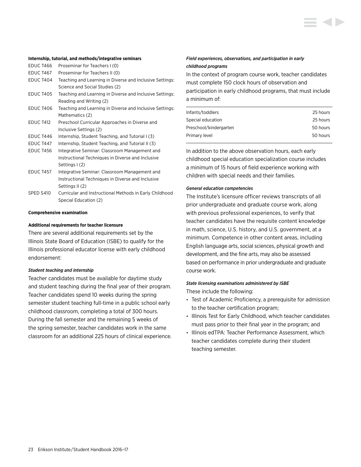

#### **Internship, tutorial, and methods/integrative seminars**

| <b>EDUC T466</b> | Proseminar for Teachers I (0)                            |
|------------------|----------------------------------------------------------|
| EDUC T467        | Proseminar for Teachers II (0)                           |
| EDUC T404        | Teaching and Learning in Diverse and Inclusive Settings: |
|                  | Science and Social Studies (2)                           |
| <b>EDUC T405</b> | Teaching and Learning in Diverse and Inclusive Settings: |
|                  | Reading and Writing (2)                                  |
| <b>EDUC T406</b> | Teaching and Learning in Diverse and Inclusive Settings: |
|                  | Mathematics (2)                                          |
| <b>EDUC T412</b> | Preschool Curricular Approaches in Diverse and           |
|                  | Inclusive Settings (2)                                   |
| EDUC T446        | Internship, Student Teaching, and Tutorial I (3)         |
| EDUC T447        | Internship, Student Teaching, and Tutorial II (3)        |
| <b>EDUC T456</b> | Integrative Seminar: Classroom Management and            |
|                  | Instructional Techniques in Diverse and Inclusive        |
|                  | Settings I (2)                                           |
| EDUC T457        | Integrative Seminar: Classroom Management and            |
|                  | Instructional Techniques in Diverse and Inclusive        |
|                  | Settings II (2)                                          |
| SPED S410        | Curricular and Instructional Methods in Early Childhood  |

Special Education (2)

#### **Comprehensive examination**

#### **Additional requirements for teacher licensure**

There are several additional requirements set by the Illinois State Board of Education (ISBE) to qualify for the Illinois professional educator license with early childhood endorsement:

#### *Student teaching and internship*

Teacher candidates must be available for daytime study and student teaching during the final year of their program. Teacher candidates spend 10 weeks during the spring semester student teaching full-time in a public school early childhood classroom, completing a total of 300 hours. During the fall semester and the remaining 5 weeks of the spring semester, teacher candidates work in the same classroom for an additional 225 hours of clinical experience.

#### *Field experiences, observations, and participation in early childhood programs*

In the context of program course work, teacher candidates must complete 150 clock hours of observation and participation in early childhood programs, that must include a minimum of:

| Infants/toddlers       | 25 hours |
|------------------------|----------|
| Special education      | 25 hours |
| Preschool/kindergarten | 50 hours |
| Primary level          | 50 hours |
|                        |          |

In addition to the above observation hours, each early childhood special education specialization course includes a minimum of 15 hours of field experience working with children with special needs and their families.

#### *General education competencies*

The Institute's licensure officer reviews transcripts of all prior undergraduate and graduate course work, along with previous professional experiences, to verify that teacher candidates have the requisite content knowledge in math, science, U.S. history, and U.S. government, at a minimum. Competence in other content areas, including English language arts, social sciences, physical growth and development, and the fine arts, may also be assessed based on performance in prior undergraduate and graduate course work.

### *State licensing examinations administered by ISBE*

These include the following:

- Test of Academic Proficiency, a prerequisite for admission to the teacher certification program;
- Illinois Test for Early Childhood, which teacher candidates must pass prior to their final year in the program; and
- Illinois edTPA: Teacher Performance Assessment, which teacher candidates complete during their student teaching semester.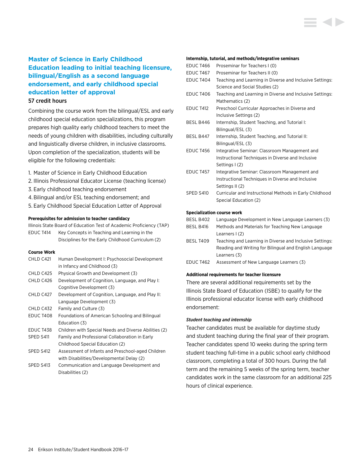# **Master of Science in Early Childhood Education leading to initial teaching licensure, bilingual/English as a second language endorsement, and early childhood special education letter of approval**

### 57 credit hours

Combining the course work from the bilingual/ESL and early childhood special education specializations, this program prepares high quality early childhood teachers to meet the needs of young children with disabilities, including culturally and linguistically diverse children, in inclusive classrooms. Upon completion of the specialization, students will be eligible for the following credentials:

- 1. Master of Science in Early Childhood Education
- 2. Illinois Professional Educator License (teaching license)
- 3. Early childhood teaching endorsement
- 4.Bilingual and/or ESL teaching endorsement; and
- 5. Early Childhood Special Education Letter of Approval

#### **Prerequisites for admission to teacher candidacy**

Illinois State Board of Education Test of Academic Proficiency (TAP) EDUC T414 Key Concepts in Teaching and Learning in the Disciplines for the Early Childhood Curriculum (2)

#### **Course Work**

| CHLD C421        | Human Development I: Psychosocial Development         |
|------------------|-------------------------------------------------------|
|                  | in Infancy and Childhood (3)                          |
| CHLD C425        | Physical Growth and Development (3)                   |
| CHLD C426        | Development of Cognition, Language, and Play I:       |
|                  | Cognitive Development (3)                             |
| CHLD C427        | Development of Cognition, Language, and Play II:      |
|                  | Language Development (3)                              |
| CHLD C432        | Family and Culture (3)                                |
| <b>EDUC T408</b> | Foundations of American Schooling and Bilingual       |
|                  | Education (3)                                         |
| <b>EDUC T438</b> | Children with Special Needs and Diverse Abilities (2) |
| SPED S411        | Family and Professional Collaboration in Early        |
|                  | Childhood Special Education (2)                       |
| SPED S412        | Assessment of Infants and Preschool-aged Children     |
|                  | with Disabilities/Developmental Delay (2)             |
| SPED S413        | Communication and Language Development and            |
|                  | Disabilities (2)                                      |

#### **Internship, tutorial, and methods/integrative seminars**

| <b>EDUC T466</b> | Proseminar for Teachers I (0)                            |
|------------------|----------------------------------------------------------|
| <b>EDUC T467</b> | Proseminar for Teachers II (0)                           |
| EDUC T404        | Teaching and Learning in Diverse and Inclusive Settings: |
|                  | Science and Social Studies (2)                           |
| <b>EDUC T406</b> | Teaching and Learning in Diverse and Inclusive Settings: |
|                  | Mathematics (2)                                          |
| EDUC T412        | Preschool Curricular Approaches in Diverse and           |
|                  | Inclusive Settings (2)                                   |
| BESL B446        | Internship, Student Teaching, and Tutorial I:            |
|                  | Bilingual/ESL (3)                                        |
| BESL B447        | Internship, Student Teaching, and Tutorial II:           |
|                  | Bilingual/ESL (3)                                        |
| <b>EDUC T456</b> | Integrative Seminar: Classroom Management and            |
|                  | Instructional Techniques in Diverse and Inclusive        |
|                  | Settings I (2)                                           |
| <b>EDUC T457</b> | Integrative Seminar: Classroom Management and            |
|                  | Instructional Techniques in Diverse and Inclusive        |
|                  | Settings II (2)                                          |
| SPED S410        | Curricular and Instructional Methods in Early Childhood  |
|                  | Special Education (2)                                    |
|                  |                                                          |
|                  | <b>Specialization course work</b>                        |
| BESL B402        | Language Development in New Language Learners (3)        |

- BESL B416 Methods and Materials for Teaching New Language Learners I (2)
- BESL T409 Teaching and Learning in Diverse and Inclusive Settings: Reading and Writing for Bilingual and English Language Learners (3)
- EDUC T462 Assessment of New Language Learners (3)

### **Additional requirements for teacher licensure**

There are several additional requirements set by the Illinois State Board of Education (ISBE) to qualify for the Illinois professional educator license with early childhood endorsement:

#### *Student teaching and internship*

Teacher candidates must be available for daytime study and student teaching during the final year of their program. Teacher candidates spend 10 weeks during the spring term student teaching full-time in a public school early childhood classroom, completing a total of 300 hours. During the fall term and the remaining 5 weeks of the spring term, teacher candidates work in the same classroom for an additional 225 hours of clinical experience.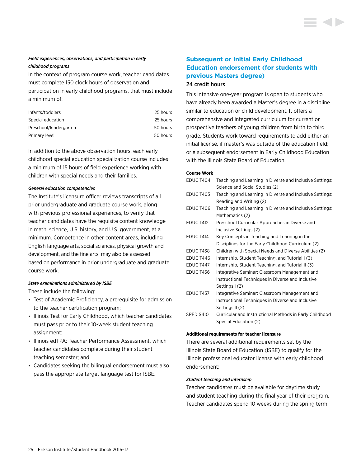### *Field experiences, observations, and participation in early childhood programs*

In the context of program course work, teacher candidates must complete 150 clock hours of observation and

participation in early childhood programs, that must include a minimum of:

| Infants/toddlers       | 25 hours |
|------------------------|----------|
| Special education      | 25 hours |
| Preschool/kindergarten | 50 hours |
| Primary level          | 50 hours |
|                        |          |

In addition to the above observation hours, each early childhood special education specialization course includes a minimum of 15 hours of field experience working with children with special needs and their families.

#### *General education competencies*

The Institute's licensure officer reviews transcripts of all prior undergraduate and graduate course work, along with previous professional experiences, to verify that teacher candidates have the requisite content knowledge in math, science, U.S. history, and U.S. government, at a minimum. Competence in other content areas, including English language arts, social sciences, physical growth and development, and the fine arts, may also be assessed based on performance in prior undergraduate and graduate course work.

#### *State examinations administered by ISBE*

These include the following:

- Test of Academic Proficiency, a prerequisite for admission to the teacher certification program;
- Illinois Test for Early Childhood, which teacher candidates must pass prior to their 10-week student teaching assignment;
- Illinois edTPA: Teacher Performance Assessment, which teacher candidates complete during their student teaching semester; and
- Candidates seeking the bilingual endorsement must also pass the appropriate target language test for ISBE.

# **Subsequent or Initial Early Childhood Education endorsement (for students with previous Masters degree)** 24 credit hours

This intensive one-year program is open to students who have already been awarded a Master's degree in a discipline similar to education or child development. It offers a comprehensive and integrated curriculum for current or prospective teachers of young children from birth to third grade. Students work toward requirements to add either an initial license, if master's was outside of the education field; or a subsequent endorsement in Early Childhood Education with the Illinois State Board of Education.

#### **Course Work**

| EDUC T404        | Teaching and Learning in Diverse and Inclusive Settings: |
|------------------|----------------------------------------------------------|
|                  | Science and Social Studies (2)                           |
| <b>EDUC T405</b> | Teaching and Learning in Diverse and Inclusive Settings: |
|                  | Reading and Writing (2)                                  |
| <b>EDUC T406</b> | Teaching and Learning in Diverse and Inclusive Settings: |
|                  | Mathematics (2)                                          |
| <b>EDUC T412</b> | Preschool Curricular Approaches in Diverse and           |
|                  | Inclusive Settings (2)                                   |
| EDUC T414        | Key Concepts in Teaching and Learning in the             |
|                  | Disciplines for the Early Childhood Curriculum (2)       |
| <b>EDUC T438</b> | Children with Special Needs and Diverse Abilities (2)    |
| EDUC T446        | Internship, Student Teaching, and Tutorial I (3)         |
| EDUC T447        | Internship, Student Teaching, and Tutorial II (3)        |
| <b>EDUC T456</b> | Integrative Seminar: Classroom Management and            |
|                  | Instructional Techniques in Diverse and Inclusive        |
|                  | Settings I (2)                                           |
| <b>EDUC T457</b> | Integrative Seminar: Classroom Management and            |
|                  | Instructional Techniques in Diverse and Inclusive        |
|                  | Settings II (2)                                          |
| SPED S410        | Curricular and Instructional Methods in Early Childhood  |
|                  | Special Education (2)                                    |

#### **Additional requirements for teacher licensure**

There are several additional requirements set by the Illinois State Board of Education (ISBE) to qualify for the Illinois professional educator license with early childhood endorsement:

#### *Student teaching and internship*

Teacher candidates must be available for daytime study and student teaching during the final year of their program. Teacher candidates spend 10 weeks during the spring term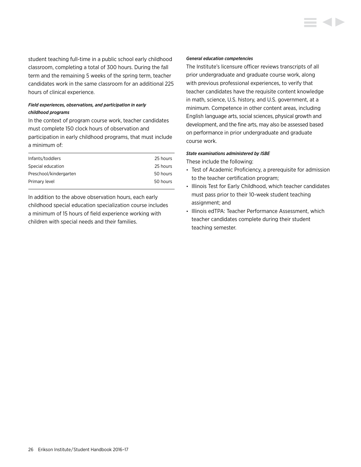student teaching full-time in a public school early childhood classroom, completing a total of 300 hours. During the fall term and the remaining 5 weeks of the spring term, teacher candidates work in the same classroom for an additional 225 hours of clinical experience.

### *Field experiences, observations, and participation in early childhood programs*

In the context of program course work, teacher candidates must complete 150 clock hours of observation and participation in early childhood programs, that must include a minimum of:

| Infants/toddlers       | 25 hours |
|------------------------|----------|
| Special education      | 25 hours |
| Preschool/kindergarten | 50 hours |
| Primary level          | 50 hours |

In addition to the above observation hours, each early childhood special education specialization course includes a minimum of 15 hours of field experience working with children with special needs and their families.

#### *General education competencies*

The Institute's licensure officer reviews transcripts of all prior undergraduate and graduate course work, along with previous professional experiences, to verify that teacher candidates have the requisite content knowledge in math, science, U.S. history, and U.S. government, at a minimum. Competence in other content areas, including English language arts, social sciences, physical growth and development, and the fine arts, may also be assessed based on performance in prior undergraduate and graduate course work.

#### *State examinations administered by ISBE*

These include the following:

- Test of Academic Proficiency, a prerequisite for admission to the teacher certification program;
- Illinois Test for Early Childhood, which teacher candidates must pass prior to their 10-week student teaching assignment; and
- Illinois edTPA: Teacher Performance Assessment, which teacher candidates complete during their student teaching semester.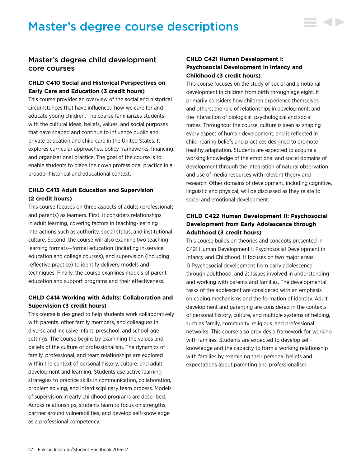# <span id="page-27-0"></span>Master's degree course descriptions



- 4 D

# Master's degree child development core courses

## **CHLD C410 Social and Historical Perspectives on Early Care and Education (3 credit hours)**

This course provides an overview of the social and historical circumstances that have influenced how we care for and educate young children. The course familiarizes students with the cultural ideas, beliefs, values, and social purposes that have shaped and continue to influence public and private education and child care in the United States. It explores curricular approaches, policy frameworks, financing, and organizational practice. The goal of the course is to enable students to place their own professional practice in a broader historical and educational context.

# **CHLD C413 Adult Education and Supervision (2 credit hours)**

This course focuses on three aspects of adults (professionals and parents) as learners. First, it considers relationships in adult learning, covering factors in teaching-learning interactions such as authority, social status, and institutional culture. Second, the course will also examine two teachinglearning formats—formal education (including in-service education and college courses), and supervision (including reflective practice) to identify delivery models and techniques. Finally, the course examines models of parent education and support programs and their effectiveness.

# **CHLD C414 Working with Adults: Collaboration and Supervision (3 credit hours)**

This course is designed to help students work collaboratively with parents, other family members, and colleagues in diverse and inclusive infant, preschool, and school-age settings. The course begins by examining the values and beliefs of the culture of professionalism. The dynamics of family, professional, and team relationships are explored within the context of personal history, culture, and adult development and learning. Students use active learning strategies to practice skills in communication, collaboration, problem solving, and interdisciplinary team process. Models of supervision in early childhood programs are described. Across relationships, students learn to focus on strengths, partner around vulnerabilities, and develop self-knowledge as a professional competency.

# **CHLD C421 Human Development I: Psychosocial Development in Infancy and Childhood (3 credit hours)**

This course focuses on the study of social and emotional development in children from birth through age eight. It primarily considers how children experience themselves and others; the role of relationships in development; and the interaction of biological, psychological and social forces. Throughout the course, culture is seen as shaping every aspect of human development, and is reflected in child-rearing beliefs and practices designed to promote healthy adaptation. Students are expected to acquire a working knowledge of the emotional and social domains of development through the integration of natural observation and use of media resources with relevant theory and research. Other domains of development, including cognitive, linguistic and physical, will be discussed as they relate to social and emotional development.

# **CHLD C422 Human Development II: Psychosocial Development from Early Adolescence through Adulthood (3 credit hours)**

This course builds on theories and concepts presented in C421 Human Development I: Psychosocial Development in Infancy and Childhood. It focuses on two major areas: 1) Psychosocial development from early adolescence through adulthood, and 2) Issues involved in understanding and working with parents and families. The developmental tasks of the adolescent are considered with an emphasis on coping mechanisms and the formation of identity. Adult development and parenting are considered in the contexts of personal history, culture, and multiple systems of helping, such as family, community, religious, and professional networks. This course also provides a framework for working with families. Students are expected to develop selfknowledge and the capacity to form a working relationship with families by examining their personal beliefs and expectations about parenting and professionalism.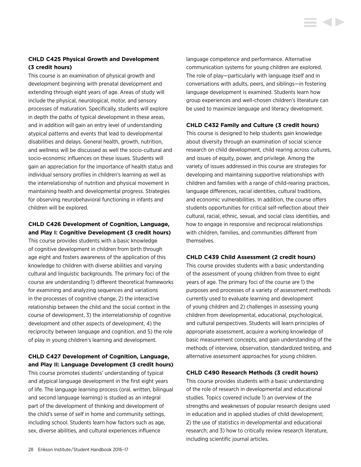# **CHLD C425 Physical Growth and Development (3 credit hours)**

This course is an examination of physical growth and development beginning with prenatal development and extending through eight years of age. Areas of study will include the physical, neurological, motor, and sensory processes of maturation. Specifically, students will explore in depth the paths of typical development in these areas, and in addition will gain an entry level of understanding atypical patterns and events that lead to developmental disabilities and delays. General health, growth, nutrition, and wellness will be discussed as well the socio-cultural and socio-economic influences on these issues. Students will gain an appreciation for the importance of health status and individual sensory profiles in children's learning as well as the interrelationship of nutrition and physical movement in maintaining health and developmental progress. Strategies for observing neurobehavioral functioning in infants and children will be explored.

### **CHLD C426 Development of Cognition, Language, and Play I: Cognitive Development (3 credit hours)**

This course provides students with a basic knowledge of cognitive development in children from birth through age eight and fosters awareness of the application of this knowledge to children with diverse abilities and varying cultural and linguistic backgrounds. The primary foci of the course are understanding 1) different theoretical frameworks for examining and analyzing sequences and variations in the processes of cognitive change, 2) the interactive relationship between the child and the social context in the course of development, 3) the interrelationship of cognitive development and other aspects of development, 4) the reciprocity between language and cognition, and 5) the role of play in young children's learning and development.

# **CHLD C427 Development of Cognition, Language, and Play II: Language Development (3 credit hours)**

This course promotes students' understanding of typical and atypical language development in the first eight years of life. The language learning process (oral, written, bilingual and second language learning) is studied as an integral part of the development of thinking and development of the child's sense of self in home and community settings, including school. Students learn how factors such as age, sex, diverse abilities, and cultural experiences influence

language competence and performance. Alternative communication systems for young children are explored. The role of play—particularly with language itself and in conversations with adults, peers, and siblings—in fostering language development is examined. Students learn how group experiences and well-chosen children's literature can be used to maximize language and literacy development.

## **CHLD C432 Family and Culture (3 credit hours)**

This course is designed to help students gain knowledge about diversity through an examination of social science research on child development, child rearing across cultures, and issues of equity, power, and privilege. Among the variety of issues addressed in this course are strategies for developing and maintaining supportive relationships with children and families with a range of child-rearing practices, language differences, racial identities, cultural traditions, and economic vulnerabilities. In addition, the course offers students opportunities for critical self-reflection about their cultural, racial, ethnic, sexual, and social class identities, and how to engage in responsive and reciprocal relationships with children, families, and communities different from themselves.

### **CHLD C439 Child Assessment (2 credit hours)**

This course provides students with a basic understanding of the assessment of young children from three to eight years of age. The primary foci of the course are 1) the purposes and processes of a variety of assessment methods currently used to evaluate learning and development of young children and 2) challenges in assessing young children from developmental, educational, psychological, and cultural perspectives. Students will learn principles of appropriate assessment, acquire a working knowledge of basic measurement concepts, and gain understanding of the methods of interview, observation, standardized testing, and alternative assessment approaches for young children.

### **CHLD C490 Research Methods (3 credit hours)**

This course provides students with a basic understanding of the role of research in developmental and educational studies. Topics covered include 1) an overview of the strengths and weaknesses of popular research designs used in education and in applied studies of child development; 2) the use of statistics in developmental and educational research; and 3) how to critically review research literature, including scientific journal articles.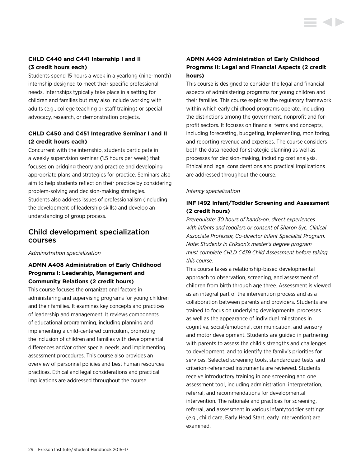# **CHLD C440 and C441 Internship I and II (3 credit hours each)**

Students spend 15 hours a week in a yearlong (nine-month) internship designed to meet their specific professional needs. Internships typically take place in a setting for children and families but may also include working with adults (e.g., college teaching or staff training) or special advocacy, research, or demonstration projects.

# **CHLD C450 and C451 Integrative Seminar I and II (2 credit hours each)**

Concurrent with the internship, students participate in a weekly supervision seminar (1.5 hours per week) that focuses on bridging theory and practice and developing appropriate plans and strategies for practice. Seminars also aim to help students reflect on their practice by considering problem-solving and decision-making strategies. Students also address issues of professionalism (including the development of leadership skills) and develop an understanding of group process.

# Child development specialization courses

### *Administration specialization*

# **ADMN A408 Administration of Early Childhood Programs I: Leadership, Management and Community Relations (2 credit hours)**

This course focuses the organizational factors in administering and supervising programs for young children and their families. It examines key concepts and practices of leadership and management. It reviews components of educational programming, including planning and implementing a child-centered curriculum, promoting the inclusion of children and families with developmental differences and/or other special needs, and implementing assessment procedures. This course also provides an overview of personnel policies and best human resources practices. Ethical and legal considerations and practical implications are addressed throughout the course.

# **ADMN A409 Administration of Early Childhood Programs II: Legal and Financial Aspects (2 credit hours)**

This course is designed to consider the legal and financial aspects of administering programs for young children and their families. This course explores the regulatory framework within which early childhood programs operate, including the distinctions among the government, nonprofit and forprofit sectors. It focuses on financial terms and concepts, including forecasting, budgeting, implementing, monitoring, and reporting revenue and expenses. The course considers both the data needed for strategic planning as well as processes for decision-making, including cost analysis. Ethical and legal considerations and practical implications are addressed throughout the course.

### *Infancy specialization*

# **INF I492 Infant/Toddler Screening and Assessment (2 credit hours)**

*Prerequisite: 30 hours of hands-on, direct experiences with infants and toddlers or consent of Sharon Syc, Clinical Associate Professor, Co-director Infant Specialist Program. Note: Students in Erikson's master's degree program must complete CHLD C439 Child Assessment before taking this course.*

This course takes a relationship-based developmental approach to observation, screening, and assessment of children from birth through age three. Assessment is viewed as an integral part of the intervention process and as a collaboration between parents and providers. Students are trained to focus on underlying developmental processes as well as the appearance of individual milestones in cognitive, social/emotional, communication, and sensory and motor development. Students are guided in partnering with parents to assess the child's strengths and challenges to development, and to identify the family's priorities for services. Selected screening tools, standardized tests, and criterion-referenced instruments are reviewed. Students receive introductory training in one screening and one assessment tool, including administration, interpretation, referral, and recommendations for developmental intervention. The rationale and practices for screening, referral, and assessment in various infant/toddler settings (e.g., child care, Early Head Start, early intervention) are examined.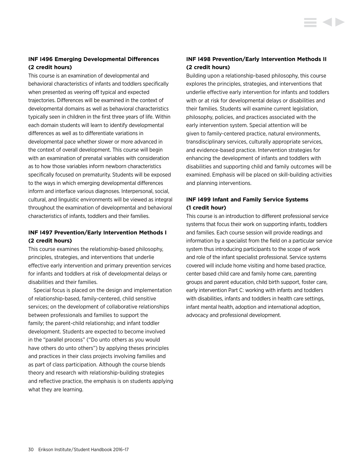## **INF I496 Emerging Developmental Differences (2 credit hours)**

This course is an examination of developmental and behavioral characteristics of infants and toddlers specifically when presented as veering off typical and expected trajectories. Differences will be examined in the context of developmental domains as well as behavioral characteristics typically seen in children in the first three years of life. Within each domain students will learn to identify developmental differences as well as to differentiate variations in developmental pace whether slower or more advanced in the context of overall development. This course will begin with an examination of prenatal variables with consideration as to how those variables inform newborn characteristics specifically focused on prematurity. Students will be exposed to the ways in which emerging developmental differences inform and interface various diagnoses. Interpersonal, social, cultural, and linguistic environments will be viewed as integral throughout the examination of developmental and behavioral characteristics of infants, toddlers and their families.

### **INF I497 Prevention/Early Intervention Methods I (2 credit hours)**

This course examines the relationship-based philosophy, principles, strategies, and interventions that underlie effective early intervention and primary prevention services for infants and toddlers at risk of developmental delays or disabilities and their families.

Special focus is placed on the design and implementation of relationship-based, family-centered, child sensitive services; on the development of collaborative relationships between professionals and families to support the family; the parent-child relationship; and infant toddler development. Students are expected to become involved in the "parallel process" ("Do unto others as you would have others do unto others") by applying theses principles and practices in their class projects involving families and as part of class participation. Although the course blends theory and research with relationship-building strategies and reflective practice, the emphasis is on students applying what they are learning.

# **INF I498 Prevention/Early Intervention Methods II (2 credit hours)**

**STATISTICS** 

Building upon a relationship-based philosophy, this course explores the principles, strategies, and interventions that underlie effective early intervention for infants and toddlers with or at risk for developmental delays or disabilities and their families. Students will examine current legislation, philosophy, policies, and practices associated with the early intervention system. Special attention will be given to family-centered practice, natural environments, transdisciplinary services, culturally appropriate services, and evidence-based practice. Intervention strategies for enhancing the development of infants and toddlers with disabilities and supporting child and family outcomes will be examined. Emphasis will be placed on skill-building activities and planning interventions.

# **INF I499 Infant and Family Service Systems (1 credit hour)**

This course is an introduction to different professional service systems that focus their work on supporting infants, toddlers and families. Each course session will provide readings and information by a specialist from the field on a particular service system thus introducing participants to the scope of work and role of the infant specialist professional. Service systems covered will include home visiting and home based practice, center based child care and family home care, parenting groups and parent education, child birth support, foster care, early intervention Part C: working with infants and toddlers with disabilities, infants and toddlers in health care settings, infant mental health, adoption and international adoption, advocacy and professional development.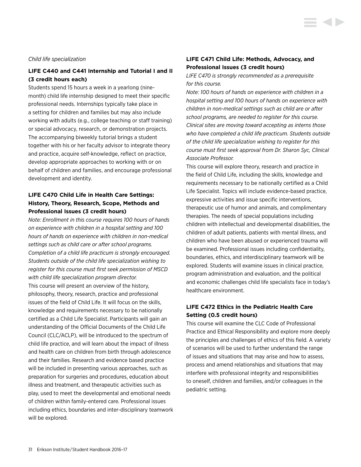#### *Child life specialization*

## **LIFE C440 and C441 Internship and Tutorial I and II (3 credit hours each)**

Students spend 15 hours a week in a yearlong (ninemonth) child life internship designed to meet their specific professional needs. Internships typically take place in a setting for children and families but may also include working with adults (e.g., college teaching or staff training) or special advocacy, research, or demonstration projects. The accompanying biweekly tutorial brings a student together with his or her faculty advisor to integrate theory and practice, acquire self-knowledge, reflect on practice, develop appropriate approaches to working with or on behalf of children and families, and encourage professional development and identity.

# **LIFE C470 Child Life in Health Care Settings: History, Theory, Research, Scope, Methods and Professional Issues (3 credit hours)**

*Note: Enrollment in this course requires 100 hours of hands on experience with children in a hospital setting and 100 hours of hands on experience with children in non-medical settings such as child care or after school programs. Completion of a child life practicum is strongly encouraged. Students outside of the child life specialization wishing to register for this course must first seek permission of MSCD with child life specialization program director.* This course will present an overview of the history, philosophy, theory, research, practice and professional issues of the field of Child Life. It will focus on the skills, knowledge and requirements necessary to be nationally certified as a Child Life Specialist. Participants will gain an understanding of the Official Documents of the Child Life Council (CLC/ACLP), will be introduced to the spectrum of child life practice, and will learn about the impact of illness and health care on children from birth through adolescence and their families. Research and evidence based practice will be included in presenting various approaches, such as preparation for surgeries and procedures, education about illness and treatment, and therapeutic activities such as play, used to meet the developmental and emotional needs of children within family-entered care. Professional issues including ethics, boundaries and inter-disciplinary teamwork

## **LIFE C471 Child Life: Methods, Advocacy, and Professional Issues (3 credit hours)**

*LIFE C470 is strongly recommended as a prerequisite for this course.*

*Note: 100 hours of hands on experience with children in a hospital setting and 100 hours of hands on experience with children in non-medical settings such as child are or after school programs, are needed to register for this course. Clinical sites are moving toward accepting as interns those who have completed a child life practicum. Students outside of the child life specialization wishing to register for this course must first seek approval from Dr. Sharon Syc, Clinical Associate Professor.*

This course will explore theory, research and practice in the field of Child Life, including the skills, knowledge and requirements necessary to be nationally certified as a Child Life Specialist. Topics will include evidence-based practice, expressive activities and issue specific interventions, therapeutic use of humor and animals, and complimentary therapies. The needs of special populations including children with intellectual and developmental disabilities, the children of adult patients, patients with mental illness, and children who have been abused or experienced trauma will be examined. Professional issues including confidentiality, boundaries, ethics, and interdisciplinary teamwork will be explored. Students will examine issues in clinical practice, program administration and evaluation, and the political and economic challenges child life specialists face in today's healthcare environment.

## **LIFE C472 Ethics in the Pediatric Health Care Setting (0.5 credit hours)**

This course will examine the CLC Code of Professional Practice and Ethical Responsibility and explore more deeply the principles and challenges of ethics of this field. A variety of scenarios will be used to further understand the range of issues and situations that may arise and how to assess, process and amend relationships and situations that may interfere with professional integrity and responsibilities to oneself, children and families, and/or colleagues in the pediatric setting.

will be explored.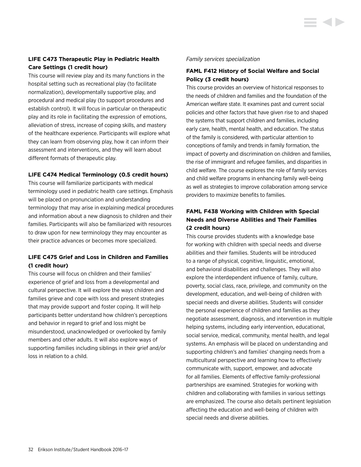# **LIFE C473 Therapeutic Play in Pediatric Health Care Settings (1 credit hour)**

This course will review play and its many functions in the hospital setting such as recreational play (to facilitate normalization), developmentally supportive play, and procedural and medical play (to support procedures and establish control). It will focus in particular on therapeutic play and its role in facilitating the expression of emotions, alleviation of stress, increase of coping skills, and mastery of the healthcare experience. Participants will explore what they can learn from observing play, how it can inform their assessment and interventions, and they will learn about different formats of therapeutic play.

### **LIFE C474 Medical Terminology (0.5 credit hours)**

This course will familiarize participants with medical terminology used in pediatric health care settings. Emphasis will be placed on pronunciation and understanding terminology that may arise in explaining medical procedures and information about a new diagnosis to children and their families. Participants will also be familiarized with resources to draw upon for new terminology they may encounter as their practice advances or becomes more specialized.

# **LIFE C475 Grief and Loss in Children and Families (1 credit hour)**

This course will focus on children and their families' experience of grief and loss from a developmental and cultural perspective. It will explore the ways children and families grieve and cope with loss and present strategies that may provide support and foster coping. It will help participants better understand how children's perceptions and behavior in regard to grief and loss might be misunderstood, unacknowledged or overlooked by family members and other adults. It will also explore ways of supporting families including siblings in their grief and/or loss in relation to a child.

### *Family services specialization*

# **FAML F412 History of Social Welfare and Social Policy (3 credit hours)**

This course provides an overview of historical responses to the needs of children and families and the foundation of the American welfare state. It examines past and current social policies and other factors that have given rise to and shaped the systems that support children and families, including early care, health, mental health, and education. The status of the family is considered, with particular attention to conceptions of family and trends in family formation, the impact of poverty and discrimination on children and families, the rise of immigrant and refugee families, and disparities in child welfare. The course explores the role of family services and child welfare programs in enhancing family well-being as well as strategies to improve collaboration among service providers to maximize benefits to families.

# **FAML F438 Working with Children with Special Needs and Diverse Abilities and Their Families (2 credit hours)**

This course provides students with a knowledge base for working with children with special needs and diverse abilities and their families. Students will be introduced to a range of physical, cognitive, linguistic, emotional, and behavioral disabilities and challenges. They will also explore the interdependent influence of family, culture, poverty, social class, race, privilege, and community on the development, education, and well-being of children with special needs and diverse abilities. Students will consider the personal experience of children and families as they negotiate assessment, diagnosis, and intervention in multiple helping systems, including early intervention, educational, social service, medical, community, mental health, and legal systems. An emphasis will be placed on understanding and supporting children's and families' changing needs from a multicultural perspective and learning how to effectively communicate with, support, empower, and advocate for all families. Elements of effective family-professional partnerships are examined. Strategies for working with children and collaborating with families in various settings are emphasized. The course also details pertinent legislation affecting the education and well-being of children with special needs and diverse abilities.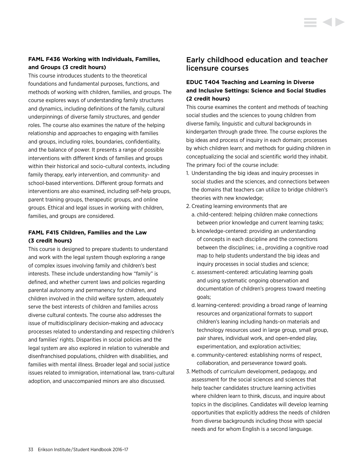# **FAML F436 Working with Individuals, Families, and Groups (3 credit hours)**

This course introduces students to the theoretical foundations and fundamental purposes, functions, and methods of working with children, families, and groups. The course explores ways of understanding family structures and dynamics, including definitions of the family, cultural underpinnings of diverse family structures, and gender roles. The course also examines the nature of the helping relationship and approaches to engaging with families and groups, including roles, boundaries, confidentiality, and the balance of power. It presents a range of possible interventions with different kinds of families and groups within their historical and socio-cultural contexts, including family therapy, early intervention, and community- and school-based interventions. Different group formats and interventions are also examined, including self-help groups, parent training groups, therapeutic groups, and online groups. Ethical and legal issues in working with children, families, and groups are considered.

# **FAML F415 Children, Families and the Law (3 credit hours)**

This course is designed to prepare students to understand and work with the legal system though exploring a range of complex issues involving family and children's best interests. These include understanding how "family" is defined, and whether current laws and policies regarding parental autonomy and permanency for children, and children involved in the child welfare system, adequately serve the best interests of children and families across diverse cultural contexts. The course also addresses the issue of multidisciplinary decision-making and advocacy processes related to understanding and respecting children's and families' rights. Disparities in social policies and the legal system are also explored in relation to vulnerable and disenfranchised populations, children with disabilities, and families with mental illness. Broader legal and social justice issues related to immigration, international law, trans-cultural adoption, and unaccompanied minors are also discussed.

# Early childhood education and teacher licensure courses

# **EDUC T404 Teaching and Learning in Diverse and Inclusive Settings: Science and Social Studies (2 credit hours)**

This course examines the content and methods of teaching social studies and the sciences to young children from diverse family, linguistic and cultural backgrounds in kindergarten through grade three. The course explores the big ideas and process of inquiry in each domain; processes by which children learn; and methods for guiding children in conceptualizing the social and scientific world they inhabit. The primary foci of the course include:

- 1. Understanding the big ideas and inquiry processes in social studies and the sciences, and connections between the domains that teachers can utilize to bridge children's theories with new knowledge;
- 2. Creating learning environments that are
	- a. child-centered: helping children make connections between prior knowledge and current learning tasks;
	- b. knowledge-centered: providing an understanding of concepts in each discipline and the connections between the disciplines; i.e., providing a cognitive road map to help students understand the big ideas and inquiry processes in social studies and science;
	- c. assessment-centered: articulating learning goals and using systematic ongoing observation and documentation of children's progress toward meeting goals;
	- d. learning-centered: providing a broad range of learning resources and organizational formats to support children's leaning including hands-on materials and technology resources used in large group, small group, pair shares, individual work, and open-ended play, experimentation, and exploration activities;
	- e. community-centered: establishing norms of respect, collaboration, and perseverance toward goals.
- 3. Methods of curriculum development, pedagogy, and assessment for the social sciences and sciences that help teacher candidates structure learning activities where children learn to think, discuss, and inquire about topics in the disciplines. Candidates will develop learning opportunities that explicitly address the needs of children from diverse backgrounds including those with special needs and for whom English is a second language.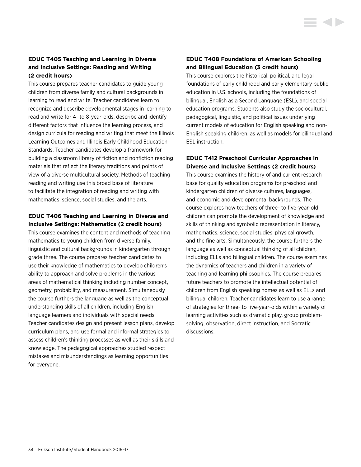# **EDUC T405 Teaching and Learning in Diverse and Inclusive Settings: Reading and Writing (2 credit hours)**

This course prepares teacher candidates to guide young children from diverse family and cultural backgrounds in learning to read and write. Teacher candidates learn to recognize and describe developmental stages in learning to read and write for 4- to 8-year-olds, describe and identify different factors that influence the learning process, and design curricula for reading and writing that meet the Illinois Learning Outcomes and Illinois Early Childhood Education Standards. Teacher candidates develop a framework for building a classroom library of fiction and nonfiction reading materials that reflect the literary traditions and points of view of a diverse multicultural society. Methods of teaching reading and writing use this broad base of literature to facilitate the integration of reading and writing with mathematics, science, social studies, and the arts.

## **EDUC T406 Teaching and Learning in Diverse and Inclusive Settings: Mathematics (2 credit hours)**

This course examines the content and methods of teaching mathematics to young children from diverse family, linguistic and cultural backgrounds in kindergarten through grade three. The course prepares teacher candidates to use their knowledge of mathematics to develop children's ability to approach and solve problems in the various areas of mathematical thinking including number concept, geometry, probability, and measurement. Simultaneously the course furthers the language as well as the conceptual understanding skills of all children, including English language learners and individuals with special needs. Teacher candidates design and present lesson plans, develop curriculum plans, and use formal and informal strategies to assess children's thinking processes as well as their skills and knowledge. The pedagogical approaches studied respect mistakes and misunderstandings as learning opportunities for everyone.

# **EDUC T408 Foundations of American Schooling and Bilingual Education (3 credit hours)**

This course explores the historical, political, and legal foundations of early childhood and early elementary public education in U.S. schools, including the foundations of bilingual, English as a Second Language (ESL), and special education programs. Students also study the sociocultural, pedagogical, linguistic, and political issues underlying current models of education for English speaking and non-English speaking children, as well as models for bilingual and ESL instruction.

# **EDUC T412 Preschool Curricular Approaches in Diverse and Inclusive Settings (2 credit hours)**

This course examines the history of and current research base for quality education programs for preschool and kindergarten children of diverse cultures, languages, and economic and developmental backgrounds. The course explores how teachers of three- to five-year-old children can promote the development of knowledge and skills of thinking and symbolic representation in literacy, mathematics, science, social studies, physical growth, and the fine arts. Simultaneously, the course furthers the language as well as conceptual thinking of all children, including ELLs and bilingual children. The course examines the dynamics of teachers and children in a variety of teaching and learning philosophies. The course prepares future teachers to promote the intellectual potential of children from English speaking homes as well as ELLs and bilingual children. Teacher candidates learn to use a range of strategies for three- to five-year-olds within a variety of learning activities such as dramatic play, group problemsolving, observation, direct instruction, and Socratic discussions.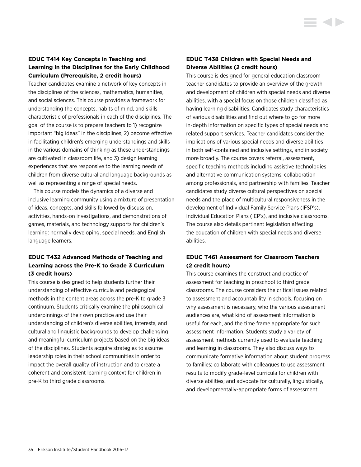# **EDUC T414 Key Concepts in Teaching and Learning in the Disciplines for the Early Childhood Curriculum (Prerequisite, 2 credit hours)**

Teacher candidates examine a network of key concepts in the disciplines of the sciences, mathematics, humanities, and social sciences. This course provides a framework for understanding the concepts, habits of mind, and skills characteristic of professionals in each of the disciplines. The goal of the course is to prepare teachers to 1) recognize important "big ideas" in the disciplines, 2) become effective in facilitating children's emerging understandings and skills in the various domains of thinking as these understandings are cultivated in classroom life, and 3) design learning experiences that are responsive to the learning needs of children from diverse cultural and language backgrounds as well as representing a range of special needs.

This course models the dynamics of a diverse and inclusive learning community using a mixture of presentation of ideas, concepts, and skills followed by discussion, activities, hands-on investigations, and demonstrations of games, materials, and technology supports for children's learning: normally developing, special needs, and English language learners.

# **EDUC T432 Advanced Methods of Teaching and Learning across the Pre-K to Grade 3 Curriculum (3 credit hours)**

This course is designed to help students further their understanding of effective curricula and pedagogical methods in the content areas across the pre-K to grade 3 continuum. Students critically examine the philosophical underpinnings of their own practice and use their understanding of children's diverse abilities, interests, and cultural and linguistic backgrounds to develop challenging and meaningful curriculum projects based on the big ideas of the disciplines. Students acquire strategies to assume leadership roles in their school communities in order to impact the overall quality of instruction and to create a coherent and consistent learning context for children in pre-K to third grade classrooms.

## **EDUC T438 Children with Special Needs and Diverse Abilities (2 credit hours)**

This course is designed for general education classroom teacher candidates to provide an overview of the growth and development of children with special needs and diverse abilities, with a special focus on those children classified as having learning disabilities. Candidates study characteristics of various disabilities and find out where to go for more in-depth information on specific types of special needs and related support services. Teacher candidates consider the implications of various special needs and diverse abilities in both self-contained and inclusive settings, and in society more broadly. The course covers referral, assessment, specific teaching methods including assistive technologies and alternative communication systems, collaboration among professionals, and partnership with families. Teacher candidates study diverse cultural perspectives on special needs and the place of multicultural responsiveness in the development of Individual Family Service Plans (IFSP's), Individual Education Plans (IEP's), and inclusive classrooms. The course also details pertinent legislation affecting the education of children with special needs and diverse abilities.

# **EDUC T461 Assessment for Classroom Teachers (2 credit hours)**

This course examines the construct and practice of assessment for teaching in preschool to third grade classrooms. The course considers the critical issues related to assessment and accountability in schools, focusing on why assessment is necessary, who the various assessment audiences are, what kind of assessment information is useful for each, and the time frame appropriate for such assessment information. Students study a variety of assessment methods currently used to evaluate teaching and learning in classrooms. They also discuss ways to communicate formative information about student progress to families; collaborate with colleagues to use assessment results to modify grade-level curricula for children with diverse abilities; and advocate for culturally, linguistically, and developmentally-appropriate forms of assessment.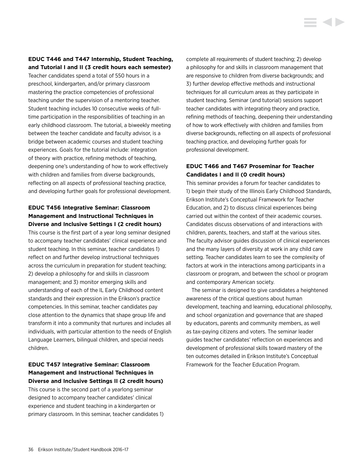# **EDUC T446 and T447 Internship, Student Teaching, and Tutorial I and II (3 credit hours each semester)**

Teacher candidates spend a total of 550 hours in a preschool, kindergarten, and/or primary classroom mastering the practice competencies of professional teaching under the supervision of a mentoring teacher. Student teaching includes 10 consecutive weeks of fulltime participation in the responsibilities of teaching in an early childhood classroom. The tutorial, a biweekly meeting between the teacher candidate and faculty advisor, is a bridge between academic courses and student teaching experiences. Goals for the tutorial include: integration of theory with practice, refining methods of teaching, deepening one's understanding of how to work effectively with children and families from diverse backgrounds, reflecting on all aspects of professional teaching practice, and developing further goals for professional development.

# **EDUC T456 Integrative Seminar: Classroom Management and Instructional Techniques in Diverse and Inclusive Settings I (2 credit hours)**

This course is the first part of a year long seminar designed to accompany teacher candidates' clinical experience and student teaching. In this seminar, teacher candidates 1) reflect on and further develop instructional techniques across the curriculum in preparation for student teaching; 2) develop a philosophy for and skills in classroom management; and 3) monitor emerging skills and understanding of each of the IL Early Childhood content standards and their expression in the Erikson's practice competencies. In this seminar, teacher candidates pay close attention to the dynamics that shape group life and transform it into a community that nurtures and includes all individuals, with particular attention to the needs of English Language Learners, bilingual children, and special needs children.

# **EDUC T457 Integrative Seminar: Classroom Management and Instructional Techniques in Diverse and Inclusive Settings II (2 credit hours)**

This course is the second part of a yearlong seminar designed to accompany teacher candidates' clinical experience and student teaching in a kindergarten or primary classroom. In this seminar, teacher candidates 1) complete all requirements of student teaching; 2) develop a philosophy for and skills in classroom management that are responsive to children from diverse backgrounds; and 3) further develop effective methods and instructional techniques for all curriculum areas as they participate in student teaching. Seminar (and tutorial) sessions support teacher candidates with integrating theory and practice, refining methods of teaching, deepening their understanding of how to work effectively with children and families from diverse backgrounds, reflecting on all aspects of professional teaching practice, and developing further goals for professional development.

# **EDUC T466 and T467 Proseminar for Teacher Candidates I and II (0 credit hours)**

This seminar provides a forum for teacher candidates to 1) begin their study of the Illinois Early Childhood Standards, Erikson Institute's Conceptual Framework for Teacher Education, and 2) to discuss clinical experiences being carried out within the context of their academic courses. Candidates discuss observations of and interactions with children, parents, teachers, and staff at the various sites. The faculty advisor guides discussion of clinical experiences and the many layers of diversity at work in any child care setting. Teacher candidates learn to see the complexity of factors at work in the interactions among participants in a classroom or program, and between the school or program and contemporary American society.

The seminar is designed to give candidates a heightened awareness of the critical questions about human development, teaching and learning, educational philosophy, and school organization and governance that are shaped by educators, parents and community members, as well as tax-paying citizens and voters. The seminar leader guides teacher candidates' reflection on experiences and development of professional skills toward mastery of the ten outcomes detailed in Erikson Institute's Conceptual Framework for the Teacher Education Program.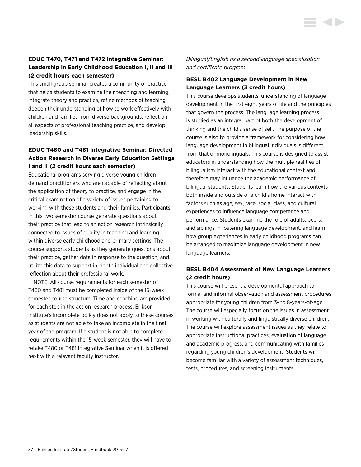# **EDUC T470, T471 and T472 Integrative Seminar: Leadership in Early Childhood Education I, II and III (2 credit hours each semester)**

This small group seminar creates a community of practice that helps students to examine their teaching and learning, integrate theory and practice, refine methods of teaching, deepen their understanding of how to work effectively with children and families from diverse backgrounds, reflect on all aspects of professional teaching practice, and develop leadership skills.

# **EDUC T480 and T481 Integrative Seminar: Directed Action Research in Diverse Early Education Settings I and II (2 credit hours each semester)**

Educational programs serving diverse young children demand practitioners who are capable of reflecting about the application of theory to practice, and engage in the critical examination of a variety of issues pertaining to working with these students and their families. Participants in this two semester course generate questions about their practice that lead to an action research intrinsically connected to issues of quality in teaching and learning within diverse early childhood and primary settings. The course supports students as they generate questions about their practice, gather data in response to the question, and utilize this data to support in-depth individual and collective reflection about their professional work.

NOTE: All course requirements for each semester of T480 and T481 must be completed inside of the 15-week semester course structure. Time and coaching are provided for each step in the action research process. Erikson Institute's incomplete policy does not apply to these courses as students are not able to take an incomplete in the final year of the program. If a student is not able to complete requirements within the 15-week semester, they will have to retake T480 or T481 Integrative Seminar when it is offered next with a relevant faculty instructor.

*Bilingual/English as a second language specialization and certificate program*

# **BESL B402 Language Development in New Language Learners (3 credit hours)**

This course develops students' understanding of language development in the first eight years of life and the principles that govern the process. The language learning process is studied as an integral part of both the development of thinking and the child's sense of self. The purpose of the course is also to provide a framework for considering how language development in bilingual individuals is different from that of monolinguals. This course is designed to assist educators in understanding how the multiple realities of bilingualism interact with the educational context and therefore may influence the academic performance of bilingual students. Students learn how the various contexts both inside and outside of a child's home interact with factors such as age, sex, race, social class, and cultural experiences to influence language competence and performance. Students examine the role of adults, peers, and siblings in fostering language development, and learn how group experiences in early childhood programs can be arranged to maximize language development in new language learners.

# **BESL B404 Assessment of New Language Learners (2 credit hours)**

This course will present a developmental approach to formal and informal observation and assessment procedures appropriate for young children from 3- to 8-years-of-age. The course will especially focus on the issues in assessment in working with culturally and linguistically diverse children. The course will explore assessment issues as they relate to appropriate instructional practices, evaluation of language and academic progress, and communicating with families regarding young children's development. Students will become familiar with a variety of assessment techniques, tests, procedures, and screening instruments.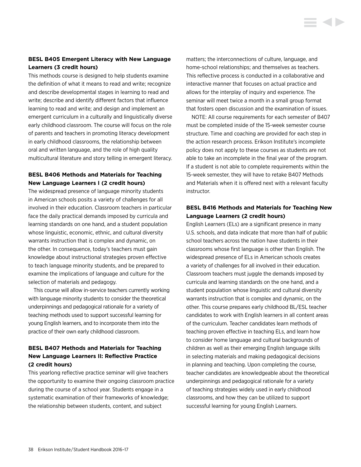# **BESL B405 Emergent Literacy with New Language Learners (3 credit hours)**

This methods course is designed to help students examine the definition of what it means to read and write; recognize and describe developmental stages in learning to read and write; describe and identify different factors that influence learning to read and write; and design and implement an emergent curriculum in a culturally and linguistically diverse early childhood classroom. The course will focus on the role of parents and teachers in promoting literacy development in early childhood classrooms, the relationship between oral and written language, and the role of high quality multicultural literature and story telling in emergent literacy.

# **BESL B406 Methods and Materials for Teaching New Language Learners I (2 credit hours)**

The widespread presence of language minority students in American schools posits a variety of challenges for all involved in their education. Classroom teachers in particular face the daily practical demands imposed by curricula and learning standards on one hand, and a student population whose linguistic, economic, ethnic, and cultural diversity warrants instruction that is complex and dynamic, on the other. In consequence, today's teachers must gain knowledge about instructional strategies proven effective to teach language minority students, and be prepared to examine the implications of language and culture for the selection of materials and pedagogy.

This course will allow in-service teachers currently working with language minority students to consider the theoretical underpinnings and pedagogical rationale for a variety of teaching methods used to support successful learning for young English learners, and to incorporate them into the practice of their own early childhood classroom.

# **BESL B407 Methods and Materials for Teaching New Language Learners II: Reflective Practice (2 credit hours)**

This yearlong reflective practice seminar will give teachers the opportunity to examine their ongoing classroom practice during the course of a school year. Students engage in a systematic examination of their frameworks of knowledge; the relationship between students, content, and subject

matters; the interconnections of culture, language, and home-school relationships; and themselves as teachers. This reflective process is conducted in a collaborative and interactive manner that focuses on actual practice and allows for the interplay of inquiry and experience. The seminar will meet twice a month in a small group format that fosters open discussion and the examination of issues.

NOTE: All course requirements for each semester of B407 must be completed inside of the 15-week semester course structure. Time and coaching are provided for each step in the action research process. Erikson Institute's incomplete policy does not apply to these courses as students are not able to take an incomplete in the final year of the program. If a student is not able to complete requirements within the 15-week semester, they will have to retake B407 Methods and Materials when it is offered next with a relevant faculty instructor.

# **BESL B416 Methods and Materials for Teaching New Language Learners (2 credit hours)**

English Learners (ELs) are a significant presence in many U.S. schools, and data indicate that more than half of public school teachers across the nation have students in their classrooms whose first language is other than English. The widespread presence of ELs in American schools creates a variety of challenges for all involved in their education. Classroom teachers must juggle the demands imposed by curricula and learning standards on the one hand, and a student population whose linguistic and cultural diversity warrants instruction that is complex and dynamic, on the other. This course prepares early childhood BL/ESL teacher candidates to work with English learners in all content areas of the curriculum. Teacher candidates learn methods of teaching proven effective in teaching ELs, and learn how to consider home language and cultural backgrounds of children as well as their emerging English language skills in selecting materials and making pedagogical decisions in planning and teaching. Upon completing the course, teacher candidates are knowledgeable about the theoretical underpinnings and pedagogical rationale for a variety of teaching strategies widely used in early childhood classrooms, and how they can be utilized to support successful learning for young English Learners.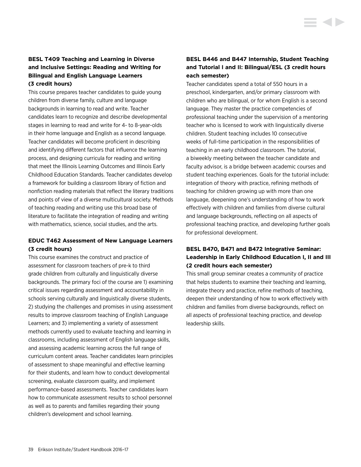This course prepares teacher candidates to guide young children from diverse family, culture and language backgrounds in learning to read and write. Teacher candidates learn to recognize and describe developmental stages in learning to read and write for 4- to 8-year-olds in their home language and English as a second language. Teacher candidates will become proficient in describing and identifying different factors that influence the learning process, and designing curricula for reading and writing that meet the Illinois Learning Outcomes and Illinois Early Childhood Education Standards. Teacher candidates develop a framework for building a classroom library of fiction and nonfiction reading materials that reflect the literary traditions and points of view of a diverse multicultural society. Methods of teaching reading and writing use this broad base of literature to facilitate the integration of reading and writing with mathematics, science, social studies, and the arts.

# **EDUC T462 Assessment of New Language Learners (3 credit hours)**

This course examines the construct and practice of assessment for classroom teachers of pre-k to third grade children from culturally and linguistically diverse backgrounds. The primary foci of the course are 1) examining critical issues regarding assessment and accountability in schools serving culturally and linguistically diverse students, 2) studying the challenges and promises in using assessment results to improve classroom teaching of English Language Learners; and 3) implementing a variety of assessment methods currently used to evaluate teaching and learning in classrooms, including assessment of English language skills, and assessing academic learning across the full range of curriculum content areas. Teacher candidates learn principles of assessment to shape meaningful and effective learning for their students, and learn how to conduct developmental screening, evaluate classroom quality, and implement performance-based assessments. Teacher candidates learn how to communicate assessment results to school personnel as well as to parents and families regarding their young children's development and school learning.

# **BESL B446 and B447 Internship, Student Teaching and Tutorial I and II: Bilingual/ESL (3 credit hours each semester)**

Teacher candidates spend a total of 550 hours in a preschool, kindergarten, and/or primary classroom with children who are bilingual, or for whom English is a second language. They master the practice competencies of professional teaching under the supervision of a mentoring teacher who is licensed to work with linguistically diverse children. Student teaching includes 10 consecutive weeks of full-time participation in the responsibilities of teaching in an early childhood classroom. The tutorial, a biweekly meeting between the teacher candidate and faculty advisor, is a bridge between academic courses and student teaching experiences. Goals for the tutorial include: integration of theory with practice, refining methods of teaching for children growing up with more than one language, deepening one's understanding of how to work effectively with children and families from diverse cultural and language backgrounds, reflecting on all aspects of professional teaching practice, and developing further goals for professional development.

# **BESL B470, B471 and B472 Integrative Seminar: Leadership in Early Childhood Education I, II and III (2 credit hours each semester)**

This small group seminar creates a community of practice that helps students to examine their teaching and learning, integrate theory and practice, refine methods of teaching, deepen their understanding of how to work effectively with children and families from diverse backgrounds, reflect on all aspects of professional teaching practice, and develop leadership skills.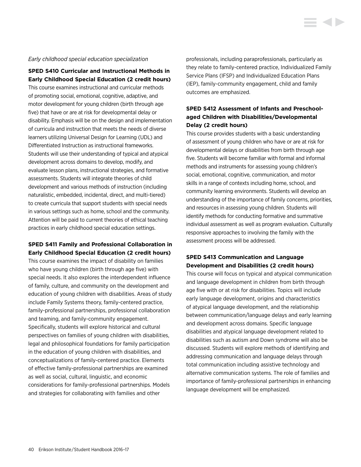#### *Early childhood special education specialization*

**SPED S410 Curricular and Instructional Methods in Early Childhood Special Education (2 credit hours)**

This course examines instructional and curricular methods of promoting social, emotional, cognitive, adaptive, and motor development for young children (birth through age five) that have or are at risk for developmental delay or disability. Emphasis will be on the design and implementation of curricula and instruction that meets the needs of diverse learners utilizing Universal Design for Learning (UDL) and Differentiated Instruction as instructional frameworks. Students will use their understanding of typical and atypical development across domains to develop, modify, and evaluate lesson plans, instructional strategies, and formative assessments. Students will integrate theories of child development and various methods of instruction (including naturalistic, embedded, incidental, direct, and multi-tiered) to create curricula that support students with special needs in various settings such as home, school and the community. Attention will be paid to current theories of ethical teaching practices in early childhood special education settings.

# **SPED S411 Family and Professional Collaboration in Early Childhood Special Education (2 credit hours)**

This course examines the impact of disability on families who have young children (birth through age five) with special needs. It also explores the interdependent influence of family, culture, and community on the development and education of young children with disabilities. Areas of study include Family Systems theory, family-centered practice, family-professional partnerships, professional collaboration and teaming, and family-community engagement. Specifically, students will explore historical and cultural perspectives on families of young children with disabilities, legal and philosophical foundations for family participation in the education of young children with disabilities, and conceptualizations of family-centered practice. Elements of effective family-professional partnerships are examined as well as social, cultural, linguistic, and economic considerations for family-professional partnerships. Models and strategies for collaborating with families and other

professionals, including paraprofessionals, particularly as they relate to family-centered practice, Individualized Family Service Plans (IFSP) and Individualized Education Plans (IEP), family-community engagement, child and family outcomes are emphasized.

**STATE** 

# **SPED S412 Assessment of Infants and Preschoolaged Children with Disabilities/Developmental Delay (2 credit hours)**

This course provides students with a basic understanding of assessment of young children who have or are at risk for developmental delays or disabilities from birth through age five. Students will become familiar with formal and informal methods and instruments for assessing young children's social, emotional, cognitive, communication, and motor skills in a range of contexts including home, school, and community learning environments. Students will develop an understanding of the importance of family concerns, priorities, and resources in assessing young children. Students will identify methods for conducting formative and summative individual assessment as well as program evaluation. Culturally responsive approaches to involving the family with the assessment process will be addressed.

# **SPED S413 Communication and Language Development and Disabilities (2 credit hours)**

This course will focus on typical and atypical communication and language development in children from birth through age five with or at risk for disabilities. Topics will include early language development, origins and characteristics of atypical language development, and the relationship between communication/language delays and early learning and development across domains. Specific language disabilities and atypical language development related to disabilities such as autism and Down syndrome will also be discussed. Students will explore methods of identifying and addressing communication and language delays through total communication including assistive technology and alternative communication systems. The role of families and importance of family-professional partnerships in enhancing language development will be emphasized.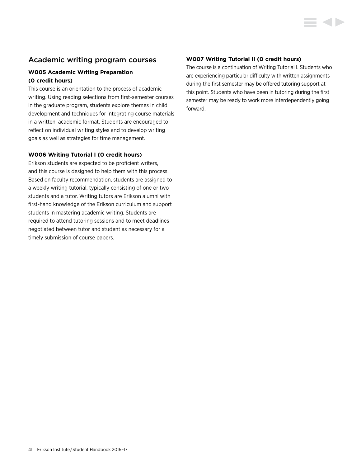# Academic writing program courses

# **W005 Academic Writing Preparation (0 credit hours)**

This course is an orientation to the process of academic writing. Using reading selections from first-semester courses in the graduate program, students explore themes in child development and techniques for integrating course materials in a written, academic format. Students are encouraged to reflect on individual writing styles and to develop writing goals as well as strategies for time management.

#### **W006 Writing Tutorial I (0 credit hours)**

Erikson students are expected to be proficient writers, and this course is designed to help them with this process. Based on faculty recommendation, students are assigned to a weekly writing tutorial, typically consisting of one or two students and a tutor. Writing tutors are Erikson alumni with first-hand knowledge of the Erikson curriculum and support students in mastering academic writing. Students are required to attend tutoring sessions and to meet deadlines negotiated between tutor and student as necessary for a timely submission of course papers.

# **W007 Writing Tutorial II (0 credit hours)**

The course is a continuation of Writing Tutorial I. Students who are experiencing particular difficulty with written assignments during the first semester may be offered tutoring support at this point. Students who have been in tutoring during the first semester may be ready to work more interdependently going forward.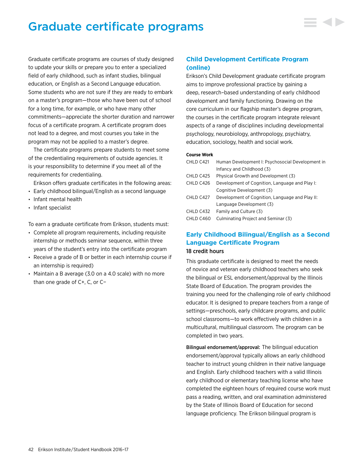# Graduate certificate programs



The certificate programs prepare students to meet some of the credentialing requirements of outside agencies. It is your responsibility to determine if you meet all of the requirements for credentialing.

Erikson offers graduate certificates in the following areas:

- Early childhood bilingual/English as a second language
- Infant mental health
- Infant specialist

To earn a graduate certificate from Erikson, students must:

- Complete all program requirements, including requisite internship or methods seminar sequence, within three years of the student's entry into the certificate program
- Receive a grade of B or better in each internship course if an internship is required)
- Maintain a B average (3.0 on a 4.0 scale) with no more than one grade of C+, C, or C−

# **Child Development Certificate Program (online)**

Erikson's Child Development graduate certificate program aims to improve professional practice by gaining a deep, research–based understanding of early childhood development and family functioning. Drawing on the core curriculum in our flagship master's degree program, the courses in the certificate program integrate relevant aspects of a range of disciplines including developmental psychology, neurobiology, anthropology, psychiatry, education, sociology, health and social work.

#### **Course Work**

| CHLD C421 | Human Development I: Psychosocial Development in |
|-----------|--------------------------------------------------|
|           | Infancy and Childhood (3)                        |
| CHLD C425 | Physical Growth and Development (3)              |
| CHLD C426 | Development of Cognition, Language and Play I:   |
|           | Cognitive Development (3)                        |
| CHLD C427 | Development of Cognition, Language and Play II:  |
|           | Language Development (3)                         |
| CHLD C432 | Family and Culture (3)                           |
| CHLD C460 | Culminating Project and Seminar (3)              |
|           |                                                  |

# **Early Childhood Bilingual/English as a Second Language Certificate Program** 18 credit hours

This graduate certificate is designed to meet the needs of novice and veteran early childhood teachers who seek the bilingual or ESL endorsement/approval by the Illinois State Board of Education. The program provides the training you need for the challenging role of early childhood educator. It is designed to prepare teachers from a range of settings—preschools, early childcare programs, and public school classrooms—to work effectively with children in a multicultural, multilingual classroom. The program can be completed in two years.

Bilingual endorsement/approval: The bilingual education endorsement/approval typically allows an early childhood teacher to instruct young children in their native language and English. Early childhood teachers with a valid Illinois early childhood or elementary teaching license who have completed the eighteen hours of required course work must pass a reading, written, and oral examination administered by the State of Illinois Board of Education for second language proficiency. The Erikson bilingual program is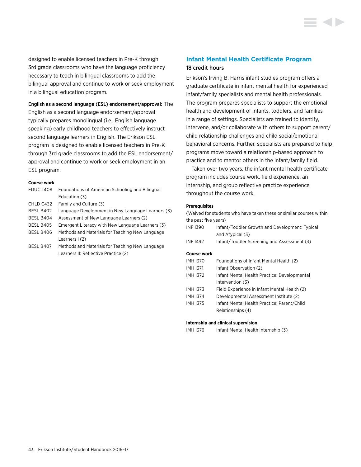designed to enable licensed teachers in Pre-K through 3rd grade classrooms who have the language proficiency necessary to teach in bilingual classrooms to add the bilingual approval and continue to work or seek employment in a bilingual education program.

English as a second language (ESL) endorsement/approval: The

English as a second language endorsement/approval typically prepares monolingual (i.e., English language speaking) early childhood teachers to effectively instruct second language learners in English. The Erikson ESL program is designed to enable licensed teachers in Pre-K through 3rd grade classrooms to add the ESL endorsement/ approval and continue to work or seek employment in an ESL program.

#### **Course work**

| EDUC T408        | Foundations of American Schooling and Bilingual   |
|------------------|---------------------------------------------------|
|                  | Education (3)                                     |
| CHLD C432        | Family and Culture (3)                            |
| BESL B402        | Language Development in New Language Learners (3) |
| <b>BESL B404</b> | Assessment of New Language Learners (2)           |
| BESL B405        | Emergent Literacy with New Language Learners (3)  |
| BESL B406        | Methods and Materials for Teaching New Language   |
|                  | Learners I (2)                                    |
| BESL B407        | Methods and Materials for Teaching New Language   |
|                  | Learners II: Reflective Practice (2)              |

# **Infant Mental Health Certificate Program** 18 credit hours

Erikson's Irving B. Harris infant studies program offers a graduate certificate in infant mental health for experienced infant/family specialists and mental health professionals. The program prepares specialists to support the emotional health and development of infants, toddlers, and families in a range of settings. Specialists are trained to identify, intervene, and/or collaborate with others to support parent/ child relationship challenges and child social/emotional behavioral concerns. Further, specialists are prepared to help programs move toward a relationship-based approach to practice and to mentor others in the infant/family field.

Taken over two years, the infant mental health certificate program includes course work, field experience, an internship, and group reflective practice experience throughout the course work.

#### **Prerequisites**

| (Waived for students who have taken these or similar courses within |                                                                    |  |
|---------------------------------------------------------------------|--------------------------------------------------------------------|--|
| the past five years)                                                |                                                                    |  |
| <b>INF1390</b>                                                      | Infant/Toddler Growth and Development: Typical<br>and Atypical (3) |  |
| <b>INF1492</b>                                                      | Infant/Toddler Screening and Assessment (3)                        |  |
| <b>Course work</b>                                                  |                                                                    |  |
| <b>IMH1370</b>                                                      | Foundations of Infant Mental Health (2)                            |  |
| <b>IMH1371</b>                                                      | Infant Observation (2)                                             |  |
| <b>IMH1372</b>                                                      | Infant Mental Health Practice: Developmental<br>Intervention (3)   |  |
| <b>IMH1373</b>                                                      | Field Experience in Infant Mental Health (2)                       |  |
| <b>IMH1374</b>                                                      | Developmental Assessment Institute (2)                             |  |
| <b>IMH1375</b>                                                      | Infant Mental Health Practice: Parent/Child                        |  |
|                                                                     | Relationships (4)                                                  |  |
|                                                                     |                                                                    |  |

#### **Internship and clinical supervision**

IMH I376 Infant Mental Health Internship (3)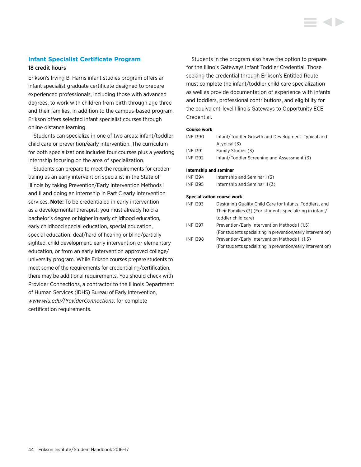#### **Infant Specialist Certificate Program**

#### 18 credit hours

Erikson's Irving B. Harris infant studies program offers an infant specialist graduate certificate designed to prepare experienced professionals, including those with advanced degrees, to work with children from birth through age three and their families. In addition to the campus-based program, Erikson offers selected infant specialist courses through online distance learning.

Students can specialize in one of two areas: infant/toddler child care or prevention/early intervention. The curriculum for both specializations includes four courses plus a yearlong internship focusing on the area of specialization.

Students can prepare to meet the requirements for credentialing as an early intervention specialist in the State of Illinois by taking Prevention/Early Intervention Methods I and II and doing an internship in Part C early intervention services. **Note:** To be credentialed in early intervention as a developmental therapist, you must already hold a bachelor's degree or higher in early childhood education, early childhood special education, special education, special education: deaf/hard of hearing or blind/partially sighted, child development, early intervention or elementary education, or from an early intervention approved college/ university program. While Erikson courses prepare students to meet some of the requirements for credentialing/certification, there may be additional requirements. You should check with Provider Connections, a contractor to the Illinois Department of Human Services (IDHS) Bureau of Early Intervention, *[www.wiu.edu/ProviderConnections](http://www.wiu.edu/ProviderConnections)*, for complete certification requirements.

Students in the program also have the option to prepare for the Illinois Gateways Infant Toddler Credential. Those seeking the credential through Erikson's Entitled Route must complete the infant/toddler child care specialization as well as provide documentation of experience with infants and toddlers, professional contributions, and eligibility for the equivalent-level Illinois Gateways to Opportunity ECE Credential.

#### **Course work**

| INF 1390 | Infant/Toddler Growth and Development: Typical and |
|----------|----------------------------------------------------|
|          | Atypical (3)                                       |
| INF 1391 | Family Studies (3)                                 |
| INF 1392 | Infant/Toddler Screening and Assessment (3)        |
|          |                                                    |

#### **Internship and seminar**

| INF 1394 | Internship and Seminar I (3)  |
|----------|-------------------------------|
| INF 1395 | Internship and Seminar II (3) |

#### **Specialization course work**

| <b>INF 1393</b> | Designing Quality Child Care for Infants, Toddlers, and      |
|-----------------|--------------------------------------------------------------|
|                 | Their Families (3) (For students specializing in infant/     |
|                 | toddler child care)                                          |
| <b>INF 1397</b> | Prevention/Early Intervention Methods I (1.5)                |
|                 | (For students specializing in prevention/early intervention) |
| <b>INF1398</b>  | Prevention/Early Intervention Methods II (1.5)               |
|                 | (For students specializing in prevention/early intervention) |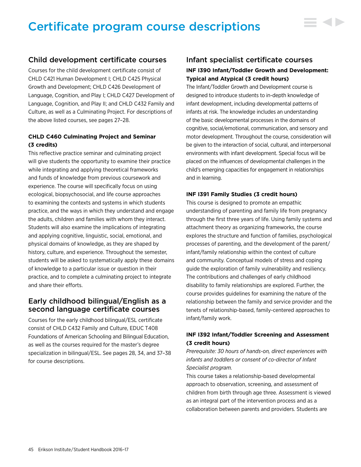# Certificate program course descriptions

# Child development certificate courses

Courses for the child development certificate consist of CHLD C421 Human Development I; CHLD C425 Physical Growth and Development; CHLD C426 Development of Language, Cognition, and Play I; CHLD C427 Development of Language, Cognition, and Play II; and CHLD C432 Family and Culture, as well as a Culminating Project. For descriptions of the above listed courses, see pages 27–28.

# **CHLD C460 Culminating Project and Seminar (3 credits)**

This reflective practice seminar and culminating project will give students the opportunity to examine their practice while integrating and applying theoretical frameworks and funds of knowledge from previous coursework and experience. The course will specifically focus on using ecological, biopsychosocial, and life course approaches to examining the contexts and systems in which students practice, and the ways in which they understand and engage the adults, children and families with whom they interact. Students will also examine the implications of integrating and applying cognitive, linguistic, social, emotional, and physical domains of knowledge, as they are shaped by history, culture, and experience. Throughout the semester, students will be asked to systematically apply these domains of knowledge to a particular issue or question in their practice, and to complete a culminating project to integrate and share their efforts.

# Early childhood bilingual/English as a second language certificate courses

Courses for the early childhood bilingual/ESL certificate consist of CHLD C432 Family and Culture, EDUC T408 Foundations of American Schooling and Bilingual Education, as well as the courses required for the master's degree specialization in bilingual/ESL. See pages 28, 34, and 37–38 for course descriptions.

# Infant specialist certificate courses **INF I390 Infant/Toddler Growth and Development: Typical and Atypical (3 credit hours)**

 $\equiv$  4>

The Infant/Toddler Growth and Development course is designed to introduce students to in-depth knowledge of infant development, including developmental patterns of infants at risk. The knowledge includes an understanding of the basic developmental processes in the domains of cognitive, social/emotional, communication, and sensory and motor development. Throughout the course, consideration will be given to the interaction of social, cultural, and interpersonal environments with infant development. Special focus will be placed on the influences of developmental challenges in the child's emerging capacities for engagement in relationships and in learning.

#### **INF I391 Family Studies (3 credit hours)**

This course is designed to promote an empathic understanding of parenting and family life from pregnancy through the first three years of life. Using family systems and attachment theory as organizing frameworks, the course explores the structure and function of families, psychological processes of parenting, and the development of the parent/ infant/family relationship within the context of culture and community. Conceptual models of stress and coping guide the exploration of family vulnerability and resiliency. The contributions and challenges of early childhood disability to family relationships are explored. Further, the course provides guidelines for examining the nature of the relationship between the family and service provider and the tenets of relationship-based, family-centered approaches to infant/family work.

# **INF I392 Infant/Toddler Screening and Assessment (3 credit hours)**

*Prerequisite: 30 hours of hands-on, direct experiences with infants and toddlers or consent of co-director of Infant Specialist program.*

This course takes a relationship-based developmental approach to observation, screening, and assessment of children from birth through age three. Assessment is viewed as an integral part of the intervention process and as a collaboration between parents and providers. Students are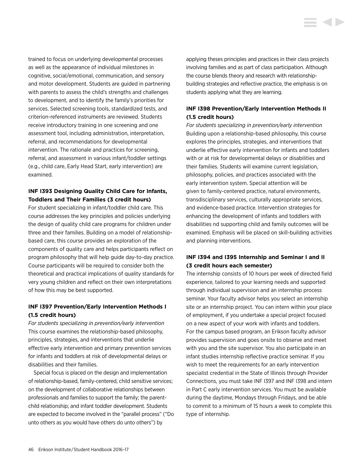trained to focus on underlying developmental processes as well as the appearance of individual milestones in cognitive, social/emotional, communication, and sensory and motor development. Students are guided in partnering with parents to assess the child's strengths and challenges to development, and to identify the family's priorities for services. Selected screening tools, standardized tests, and criterion-referenced instruments are reviewed. Students receive introductory training in one screening and one assessment tool, including administration, interpretation, referral, and recommendations for developmental intervention. The rationale and practices for screening, referral, and assessment in various infant/toddler settings (e.g., child care, Early Head Start, early intervention) are examined.

# **INF I393 Designing Quality Child Care for Infants, Toddlers and Their Families (3 credit hours)**

For student specializing in infant/toddler child care. This course addresses the key principles and policies underlying the design of quality child care programs for children under three and their families. Building on a model of relationshipbased care, this course provides an exploration of the components of quality care and helps participants reflect on program philosophy that will help guide day-to-day practice. Course participants will be required to consider both the theoretical and practical implications of quality standards for very young children and reflect on their own interpretations of how this may be best supported.

# **INF I397 Prevention/Early Intervention Methods I (1.5 credit hours)**

*For students specializing in prevention/early intervention* This course examines the relationship-based philosophy, principles, strategies, and interventions that underlie effective early intervention and primary prevention services for infants and toddlers at risk of developmental delays or disabilities and their families.

Special focus is placed on the design and implementation of relationship-based, family-centered, child sensitive services; on the development of collaborative relationships between professionals and families to support the family; the parentchild relationship; and infant toddler development. Students are expected to become involved in the "parallel process" ("Do unto others as you would have others do unto others") by

applying theses principles and practices in their class projects involving families and as part of class participation. Although the course blends theory and research with relationshipbuilding strategies and reflective practice, the emphasis is on students applying what they are learning.

# **INF I398 Prevention/Early Intervention Methods II (1.5 credit hours)**

*For students specializing in prevention/early intervention* Building upon a relationship-based philosophy, this course explores the principles, strategies, and interventions that underlie effective early intervention for infants and toddlers with or at risk for developmental delays or disabilities and their families. Students will examine current legislation, philosophy, policies, and practices associated with the early intervention system. Special attention will be given to family-centered practice, natural environments, transdisciplinary services, culturally appropriate services, and evidence-based practice. Intervention strategies for enhancing the development of infants and toddlers with disabilities nd supporting child and family outcomes will be examined. Emphasis will be placed on skill-building activities and planning interventions.

# **INF I394 and I395 Internship and Seminar I and II (3 credit hours each semester)**

The internship consists of 10 hours per week of directed field experience, tailored to your learning needs and supported through individual supervision and an internship process seminar. Your faculty advisor helps you select an internship site or an internship project. You can intern within your place of employment, if you undertake a special project focused on a new aspect of your work with infants and toddlers. For the campus based program, an Erikson faculty advisor provides supervision and goes onsite to observe and meet with you and the site supervisor. You also participate in an infant studies internship reflective practice seminar. If you wish to meet the requirements for an early intervention specialist credential in the State of Illinois through Provider Connections, you must take INF I397 and INF I398 and intern in Part C early intervention services. You must be available during the daytime, Mondays through Fridays, and be able to commit to a minimum of 15 hours a week to complete this type of internship.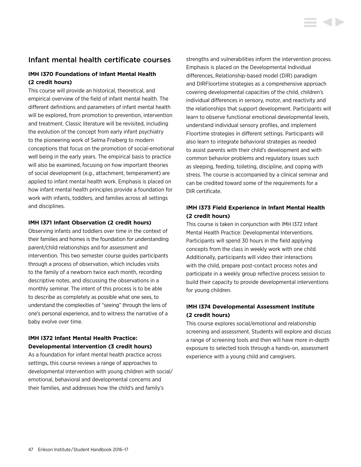# Infant mental health certificate courses

# **IMH I370 Foundations of Infant Mental Health (2 credit hours)**

This course will provide an historical, theoretical, and empirical overview of the field of infant mental health. The different definitions and parameters of infant mental health will be explored, from promotion to prevention, intervention and treatment. Classic literature will be revisited, including the evolution of the concept from early infant psychiatry to the pioneering work of Selma Fraiberg to modern conceptions that focus on the promotion of social-emotional well being in the early years. The empirical basis to practice will also be examined, focusing on how important theories of social development (e.g., attachment, temperament) are applied to infant mental health work. Emphasis is placed on how infant mental health principles provide a foundation for work with infants, toddlers, and families across all settings and disciplines.

#### **IMH I371 Infant Observation (2 credit hours)**

Observing infants and toddlers over time in the context of their families and homes is the foundation for understanding parent/child relationships and for assessment and intervention. This two semester course guides participants through a process of observation, which includes visits to the family of a newborn twice each month, recording descriptive notes, and discussing the observations in a monthly seminar. The intent of this process is to be able to describe as completely as possible what one sees, to understand the complexities of "seeing" through the lens of one's personal experience, and to witness the narrative of a baby evolve over time.

# **IMH I372 Infant Mental Health Practice: Developmental Intervention (3 credit hours)**

As a foundation for infant mental health practice across settings, this course reviews a range of approaches to developmental intervention with young children with social/ emotional, behavioral and developmental concerns and their families, and addresses how the child's and family's

strengths and vulnerabilities inform the intervention process. Emphasis is placed on the Developmental Individual differences, Relationship-based model (DIR) paradigm and DIRFloortime strategies as a comprehensive approach covering developmental capacities of the child, children's individual differences in sensory, motor, and reactivity and the relationships that support development. Participants will learn to observe functional emotional developmental levels, understand individual sensory profiles, and implement Floortime strategies in different settings. Participants will also learn to integrate behavioral strategies as needed to assist parents with their child's development and with common behavior problems and regulatory issues such as sleeping, feeding, toileting, discipline, and coping with stress. The course is accompanied by a clinical seminar and can be credited toward some of the requirements for a DIR certificate.

# **IMH I373 Field Experience in Infant Mental Health (2 credit hours)**

This course is taken in conjunction with IMH I372 Infant Mental Health Practice: Developmental Interventions. Participants will spend 30 hours in the field applying concepts from the class in weekly work with one child. Additionally, participants will video their interactions with the child, prepare post-contact process notes and participate in a weekly group reflective process session to build their capacity to provide developmental interventions for young children.

# **IMH I374 Developmental Assessment Institute (2 credit hours)**

This course explores social/emotional and relationship screening and assessment. Students will explore and discuss a range of screening tools and then will have more in-depth exposure to selected tools through a hands-on, assessment experience with a young child and caregivers.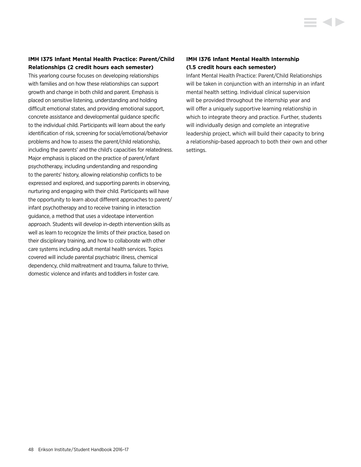# **IMH I375 Infant Mental Health Practice: Parent/Child Relationships (2 credit hours each semester)**

This yearlong course focuses on developing relationships with families and on how these relationships can support growth and change in both child and parent. Emphasis is placed on sensitive listening, understanding and holding difficult emotional states, and providing emotional support, concrete assistance and developmental guidance specific to the individual child. Participants will learn about the early identification of risk, screening for social/emotional/behavior problems and how to assess the parent/child relationship, including the parents' and the child's capacities for relatedness. Major emphasis is placed on the practice of parent/infant psychotherapy, including understanding and responding to the parents' history, allowing relationship conflicts to be expressed and explored, and supporting parents in observing, nurturing and engaging with their child. Participants will have the opportunity to learn about different approaches to parent/ infant psychotherapy and to receive training in interaction guidance, a method that uses a videotape intervention approach. Students will develop in-depth intervention skills as well as learn to recognize the limits of their practice, based on their disciplinary training, and how to collaborate with other care systems including adult mental health services. Topics covered will include parental psychiatric illness, chemical dependency, child maltreatment and trauma, failure to thrive, domestic violence and infants and toddlers in foster care.

# **IMH I376 Infant Mental Health Internship (1.5 credit hours each semester)**

Infant Mental Health Practice: Parent/Child Relationships will be taken in conjunction with an internship in an infant mental health setting. Individual clinical supervision will be provided throughout the internship year and will offer a uniquely supportive learning relationship in which to integrate theory and practice. Further, students will individually design and complete an integrative leadership project, which will build their capacity to bring a relationship-based approach to both their own and other settings.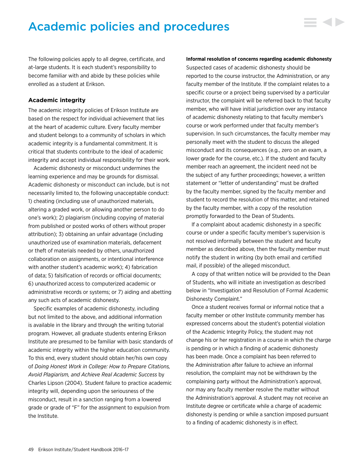# Academic policies and procedures

The following policies apply to all degree, certificate, and at-large students. It is each student's responsibility to become familiar with and abide by these policies while enrolled as a student at Erikson.

#### **Academic integrity**

The academic integrity policies of Erikson Institute are based on the respect for individual achievement that lies at the heart of academic culture. Every faculty member and student belongs to a community of scholars in which academic integrity is a fundamental commitment. It is critical that students contribute to the ideal of academic integrity and accept individual responsibility for their work.

Academic dishonesty or misconduct undermines the learning experience and may be grounds for dismissal. Academic dishonesty or misconduct can include, but is not necessarily limited to, the following unacceptable conduct: 1) cheating (including use of unauthorized materials, altering a graded work, or allowing another person to do one's work); 2) plagiarism (including copying of material from published or posted works of others without proper attribution); 3) obtaining an unfair advantage (including unauthorized use of examination materials, defacement or theft of materials needed by others, unauthorized collaboration on assignments, or intentional interference with another student's academic work); 4) fabrication of data; 5) falsification of records or official documents; 6) unauthorized access to computerized academic or administrative records or systems; or 7) aiding and abetting any such acts of academic dishonesty.

Specific examples of academic dishonesty, including but not limited to the above, and additional information is available in the library and through the writing tutorial program. However, all graduate students entering Erikson Institute are presumed to be familiar with basic standards of academic integrity within the higher education community. To this end, every student should obtain her/his own copy of *Doing Honest Work in College: How to Prepare Citations, Avoid Plagiarism, and Achieve Real Academic Success* by Charles Lipson (2004). Student failure to practice academic integrity will, depending upon the seriousness of the misconduct, result in a sanction ranging from a lowered grade or grade of "F" for the assignment to expulsion from the Institute.

#### **Informal resolution of concerns regarding academic dishonesty**

▄▗▖▖

Suspected cases of academic dishonesty should be reported to the course instructor, the Administration, or any faculty member of the Institute. If the complaint relates to a specific course or a project being supervised by a particular instructor, the complaint will be referred back to that faculty member, who will have initial jurisdiction over any instance of academic dishonesty relating to that faculty member's course or work performed under that faculty member's supervision. In such circumstances, the faculty member may personally meet with the student to discuss the alleged misconduct and its consequences (e.g., zero on an exam, a lower grade for the course, etc.). If the student and faculty member reach an agreement, the incident need not be the subject of any further proceedings; however, a written statement or "letter of understanding" must be drafted by the faculty member, signed by the faculty member and student to record the resolution of this matter, and retained by the faculty member, with a copy of the resolution promptly forwarded to the Dean of Students.

If a complaint about academic dishonesty in a specific course or under a specific faculty member's supervision is not resolved informally between the student and faculty member as described above, then the faculty member must notify the student in writing (by both email and certified mail, if possible) of the alleged misconduct.

A copy of that written notice will be provided to the Dean of Students, who will initiate an investigation as described below in "Investigation and Resolution of Formal Academic Dishonesty Complaint."

Once a student receives formal or informal notice that a faculty member or other Institute community member has expressed concerns about the student's potential violation of the Academic Integrity Policy, the student may not change his or her registration in a course in which the charge is pending or in which a finding of academic dishonesty has been made. Once a complaint has been referred to the Administration after failure to achieve an informal resolution, the complaint may not be withdrawn by the complaining party without the Administration's approval, nor may any faculty member resolve the matter without the Administration's approval. A student may not receive an Institute degree or certificate while a charge of academic dishonesty is pending or while a sanction imposed pursuant to a finding of academic dishonesty is in effect.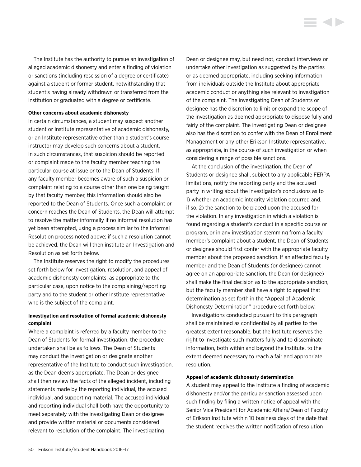The Institute has the authority to pursue an investigation of alleged academic dishonesty and enter a finding of violation or sanctions (including rescission of a degree or certificate) against a student or former student, notwithstanding that student's having already withdrawn or transferred from the institution or graduated with a degree or certificate.

#### **Other concerns about academic dishonesty**

In certain circumstances, a student may suspect another student or Institute representative of academic dishonesty, or an Institute representative other than a student's course instructor may develop such concerns about a student. In such circumstances, that suspicion should be reported or complaint made to the faculty member teaching the particular course at issue or to the Dean of Students. If any faculty member becomes aware of such a suspicion or complaint relating to a course other than one being taught by that faculty member, this information should also be reported to the Dean of Students. Once such a complaint or concern reaches the Dean of Students, the Dean will attempt to resolve the matter informally if no informal resolution has yet been attempted, using a process similar to the Informal Resolution process noted above; if such a resolution cannot be achieved, the Dean will then institute an Investigation and Resolution as set forth below.

The Institute reserves the right to modify the procedures set forth below for investigation, resolution, and appeal of academic dishonesty complaints, as appropriate to the particular case, upon notice to the complaining/reporting party and to the student or other Institute representative who is the subject of the complaint.

#### **Investigation and resolution of formal academic dishonesty complaint**

Where a complaint is referred by a faculty member to the Dean of Students for formal investigation, the procedure undertaken shall be as follows. The Dean of Students may conduct the investigation or designate another representative of the Institute to conduct such investigation, as the Dean deems appropriate. The Dean or designee shall then review the facts of the alleged incident, including statements made by the reporting individual, the accused individual, and supporting material. The accused individual and reporting individual shall both have the opportunity to meet separately with the investigating Dean or designee and provide written material or documents considered relevant to resolution of the complaint. The investigating

Dean or designee may, but need not, conduct interviews or undertake other investigation as suggested by the parties or as deemed appropriate, including seeking information from individuals outside the Institute about appropriate academic conduct or anything else relevant to investigation of the complaint. The investigating Dean of Students or designee has the discretion to limit or expand the scope of the investigation as deemed appropriate to dispose fully and fairly of the complaint. The investigating Dean or designee also has the discretion to confer with the Dean of Enrollment Management or any other Erikson Institute representative, as appropriate, in the course of such investigation or when considering a range of possible sanctions.

i d b

At the conclusion of the investigation, the Dean of Students or designee shall, subject to any applicable FERPA limitations, notify the reporting party and the accused party in writing about the investigator's conclusions as to 1) whether an academic integrity violation occurred and, if so, 2) the sanction to be placed upon the accused for the violation. In any investigation in which a violation is found regarding a student's conduct in a specific course or program, or in any investigation stemming from a faculty member's complaint about a student, the Dean of Students or designee should first confer with the appropriate faculty member about the proposed sanction. If an affected faculty member and the Dean of Students (or designee) cannot agree on an appropriate sanction, the Dean (or designee) shall make the final decision as to the appropriate sanction, but the faculty member shall have a right to appeal that determination as set forth in the "Appeal of Academic Dishonesty Determination" procedure set forth below.

Investigations conducted pursuant to this paragraph shall be maintained as confidential by all parties to the greatest extent reasonable, but the Institute reserves the right to investigate such matters fully and to disseminate information, both within and beyond the Institute, to the extent deemed necessary to reach a fair and appropriate resolution.

#### **Appeal of academic dishonesty determination**

A student may appeal to the Institute a finding of academic dishonesty and/or the particular sanction assessed upon such finding by filing a written notice of appeal with the Senior Vice President for Academic Affairs/Dean of Faculty of Erikson Institute within 10 business days of the date that the student receives the written notification of resolution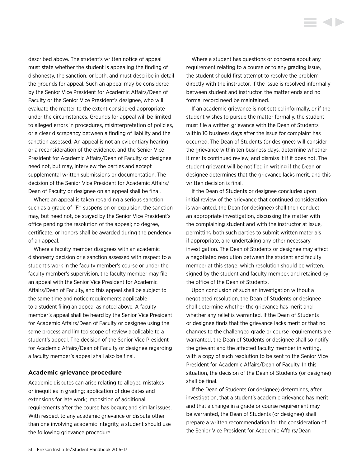described above. The student's written notice of appeal must state whether the student is appealing the finding of dishonesty, the sanction, or both, and must describe in detail the grounds for appeal. Such an appeal may be considered by the Senior Vice President for Academic Affairs/Dean of Faculty or the Senior Vice President's designee, who will evaluate the matter to the extent considered appropriate under the circumstances. Grounds for appeal will be limited to alleged errors in procedures, misinterpretation of policies, or a clear discrepancy between a finding of liability and the sanction assessed. An appeal is not an evidentiary hearing or a reconsideration of the evidence, and the Senior Vice President for Academic Affairs/Dean of Faculty or designee need not, but may, interview the parties and accept supplemental written submissions or documentation. The decision of the Senior Vice President for Academic Affairs/ Dean of Faculty or designee on an appeal shall be final.

Where an appeal is taken regarding a serious sanction such as a grade of "F," suspension or expulsion, the sanction may, but need not, be stayed by the Senior Vice President's office pending the resolution of the appeal; no degree, certificate, or honors shall be awarded during the pendency of an appeal.

Where a faculty member disagrees with an academic dishonesty decision or a sanction assessed with respect to a student's work in the faculty member's course or under the faculty member's supervision, the faculty member may file an appeal with the Senior Vice President for Academic Affairs/Dean of Faculty, and this appeal shall be subject to the same time and notice requirements applicable to a student filing an appeal as noted above. A faculty member's appeal shall be heard by the Senior Vice President for Academic Affairs/Dean of Faculty or designee using the same process and limited scope of review applicable to a student's appeal. The decision of the Senior Vice President for Academic Affairs/Dean of Faculty or designee regarding a faculty member's appeal shall also be final.

#### **Academic grievance procedure**

Academic disputes can arise relating to alleged mistakes or inequities in grading; application of due dates and extensions for late work; imposition of additional requirements after the course has begun; and similar issues. With respect to any academic grievance or dispute other than one involving academic integrity, a student should use the following grievance procedure.

Where a student has questions or concerns about any requirement relating to a course or to any grading issue, the student should first attempt to resolve the problem directly with the instructor. If the issue is resolved informally between student and instructor, the matter ends and no formal record need be maintained.

If an academic grievance is not settled informally, or if the student wishes to pursue the matter formally, the student must file a written grievance with the Dean of Students within 10 business days after the issue for complaint has occurred. The Dean of Students (or designee) will consider the grievance within ten business days, determine whether it merits continued review, and dismiss it if it does not. The student grievant will be notified in writing if the Dean or designee determines that the grievance lacks merit, and this written decision is final.

If the Dean of Students or designee concludes upon initial review of the grievance that continued consideration is warranted, the Dean (or designee) shall then conduct an appropriate investigation, discussing the matter with the complaining student and with the instructor at issue, permitting both such parties to submit written materials if appropriate, and undertaking any other necessary investigation. The Dean of Students or designee may effect a negotiated resolution between the student and faculty member at this stage, which resolution should be written, signed by the student and faculty member, and retained by the office of the Dean of Students.

Upon conclusion of such an investigation without a negotiated resolution, the Dean of Students or designee shall determine whether the grievance has merit and whether any relief is warranted. If the Dean of Students or designee finds that the grievance lacks merit or that no changes to the challenged grade or course requirements are warranted, the Dean of Students or designee shall so notify the grievant and the affected faculty member in writing, with a copy of such resolution to be sent to the Senior Vice President for Academic Affairs/Dean of Faculty. In this situation, the decision of the Dean of Students (or designee) shall be final.

If the Dean of Students (or designee) determines, after investigation, that a student's academic grievance has merit and that a change in a grade or course requirement may be warranted, the Dean of Students (or designee) shall prepare a written recommendation for the consideration of the Senior Vice President for Academic Affairs/Dean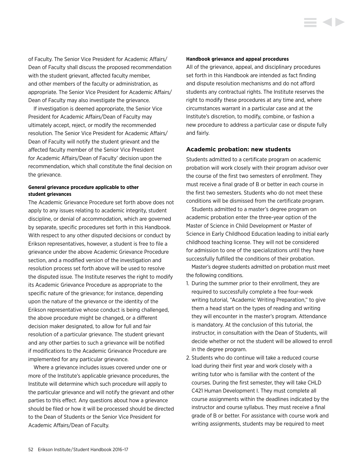of Faculty. The Senior Vice President for Academic Affairs/ Dean of Faculty shall discuss the proposed recommendation with the student grievant, affected faculty member, and other members of the faculty or administration, as appropriate. The Senior Vice President for Academic Affairs/ Dean of Faculty may also investigate the grievance.

If investigation is deemed appropriate, the Senior Vice President for Academic Affairs/Dean of Faculty may ultimately accept, reject, or modify the recommended resolution. The Senior Vice President for Academic Affairs/ Dean of Faculty will notify the student grievant and the affected faculty member of the Senior Vice President for Academic Affairs/Dean of Faculty' decision upon the recommendation, which shall constitute the final decision on the grievance.

#### **General grievance procedure applicable to other student grievances**

The Academic Grievance Procedure set forth above does not apply to any issues relating to academic integrity, student discipline, or denial of accommodation, which are governed by separate, specific procedures set forth in this Handbook. With respect to any other disputed decisions or conduct by Erikson representatives, however, a student is free to file a grievance under the above Academic Grievance Procedure section, and a modified version of the investigation and resolution process set forth above will be used to resolve the disputed issue. The Institute reserves the right to modify its Academic Grievance Procedure as appropriate to the specific nature of the grievance; for instance, depending upon the nature of the grievance or the identity of the Erikson representative whose conduct is being challenged, the above procedure might be changed, or a different decision maker designated, to allow for full and fair resolution of a particular grievance. The student grievant and any other parties to such a grievance will be notified if modifications to the Academic Grievance Procedure are implemented for any particular grievance.

Where a grievance includes issues covered under one or more of the Institute's applicable grievance procedures, the Institute will determine which such procedure will apply to the particular grievance and will notify the grievant and other parties to this effect. Any questions about how a grievance should be filed or how it will be processed should be directed to the Dean of Students or the Senior Vice President for Academic Affairs/Dean of Faculty.

#### **Handbook grievance and appeal procedures**

All of the grievance, appeal, and disciplinary procedures set forth in this Handbook are intended as fact finding and dispute resolution mechanisms and do not afford students any contractual rights. The Institute reserves the right to modify these procedures at any time and, where circumstances warrant in a particular case and at the Institute's discretion, to modify, combine, or fashion a new procedure to address a particular case or dispute fully and fairly.

**SOFT** 

#### **Academic probation: new students**

Students admitted to a certificate program on academic probation will work closely with their program advisor over the course of the first two semesters of enrollment. They must receive a final grade of B or better in each course in the first two semesters. Students who do not meet these conditions will be dismissed from the certificate program.

Students admitted to a master's degree program on academic probation enter the three-year option of the Master of Science in Child Development or Master of Science in Early Childhood Education leading to initial early childhood teaching license. They will not be considered for admission to one of the specializations until they have successfully fulfilled the conditions of their probation.

Master's degree students admitted on probation must meet the following conditions.

- 1. During the summer prior to their enrollment, they are required to successfully complete a free four-week writing tutorial, "Academic Writing Preparation," to give them a head start on the types of reading and writing they will encounter in the master's program. Attendance is mandatory. At the conclusion of this tutorial, the instructor, in consultation with the Dean of Students, will decide whether or not the student will be allowed to enroll in the degree program.
- 2. Students who do continue will take a reduced course load during their first year and work closely with a writing tutor who is familiar with the content of the courses. During the first semester, they will take CHLD C421 Human Development I. They must complete all course assignments within the deadlines indicated by the instructor and course syllabus. They must receive a final grade of B or better. For assistance with course work and writing assignments, students may be required to meet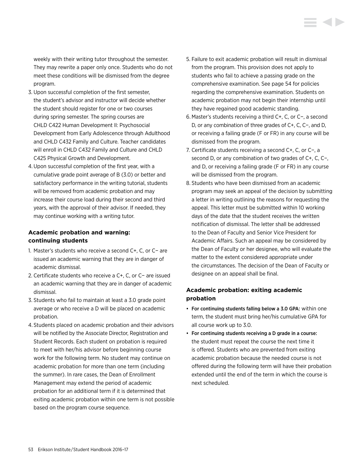weekly with their writing tutor throughout the semester. They may rewrite a paper only once. Students who do not meet these conditions will be dismissed from the degree program.

- 3. Upon successful completion of the first semester, the student's advisor and instructor will decide whether the student should register for one or two courses during spring semester. The spring courses are CHLD C422 Human Development II: Psychosocial Development from Early Adolescence through Adulthood and CHLD C432 Family and Culture. Teacher candidates will enroll in CHLD C432 Family and Culture and CHLD C425 Physical Growth and Development.
- 4.Upon successful completion of the first year, with a cumulative grade point average of B (3.0) or better and satisfactory performance in the writing tutorial, students will be removed from academic probation and may increase their course load during their second and third years, with the approval of their advisor. If needed, they may continue working with a writing tutor.

# **Academic probation and warning: continuing students**

- 1. Master's students who receive a second C+, C, or C− are issued an academic warning that they are in danger of academic dismissal.
- 2. Certificate students who receive a C+, C, or C− are issued an academic warning that they are in danger of academic dismissal.
- 3. Students who fail to maintain at least a 3.0 grade point average or who receive a D will be placed on academic probation.
- 4. Students placed on academic probation and their advisors will be notified by the Associate Director, Registration and Student Records. Each student on probation is required to meet with her/his advisor before beginning course work for the following term. No student may continue on academic probation for more than one term (including the summer). In rare cases, the Dean of Enrollment Management may extend the period of academic probation for an additional term if it is determined that exiting academic probation within one term is not possible based on the program course sequence.
- 5. Failure to exit academic probation will result in dismissal from the program. This provision does not apply to students who fail to achieve a passing grade on the comprehensive examination. See page 54 for policies regarding the comprehensive examination. Students on academic probation may not begin their internship until they have regained good academic standing.
- 6. Master's students receiving a third C+, C, or C−, a second D, or any combination of three grades of C+, C, C−, and D, or receiving a failing grade (F or FR) in any course will be dismissed from the program.
- 7. Certificate students receiving a second C+, C, or C−, a second D, or any combination of two grades of C+, C, C−, and D, or receiving a failing grade (F or FR) in any course will be dismissed from the program.
- 8. Students who have been dismissed from an academic program may seek an appeal of the decision by submitting a letter in writing outlining the reasons for requesting the appeal. This letter must be submitted within 10 working days of the date that the student receives the written notification of dismissal. The letter shall be addressed to the Dean of Faculty and Senior Vice President for Academic Affairs. Such an appeal may be considered by the Dean of Faculty or her designee, who will evaluate the matter to the extent considered appropriate under the circumstances. The decision of the Dean of Faculty or designee on an appeal shall be final.

# **Academic probation: exiting academic probation**

- For continuing students falling below a 3.0 GPA: within one term, the student must bring her/his cumulative GPA for all course work up to 3.0.
- For continuing students receiving a D grade in a course: the student must repeat the course the next time it is offered. Students who are prevented from exiting academic probation because the needed course is not offered during the following term will have their probation extended until the end of the term in which the course is next scheduled.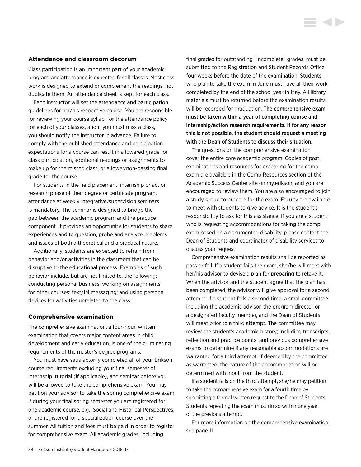#### **Attendance and classroom decorum**

Class participation is an important part of your academic program, and attendance is expected for all classes. Most class work is designed to extend or complement the readings, not duplicate them. An attendance sheet is kept for each class.

Each instructor will set the attendance and participation guidelines for her/his respective course. You are responsible for reviewing your course syllabi for the attendance policy for each of your classes, and if you must miss a class, you should notify the instructor in advance. Failure to comply with the published attendance and participation expectations for a course can result in a lowered grade for class participation, additional readings or assignments to make up for the missed class, or a lower/non-passing final grade for the course.

For students in the field placement, internship or action research phase of their degree or certificate program, attendance at weekly integrative/supervision seminars is mandatory. The seminar is designed to bridge the gap between the academic program and the practice component. It provides an opportunity for students to share experiences and to question, probe and analyze problems and issues of both a theoretical and a practical nature.

Additionally, students are expected to refrain from behavior and/or activities in the classroom that can be disruptive to the educational process. Examples of such behavior include, but are not limited to, the following: conducting personal business; working on assignments for other courses; text/IM messaging; and using personal devices for activities unrelated to the class.

#### **Comprehensive examination**

The comprehensive examination, a four-hour, written examination that covers major content areas in child development and early education, is one of the culminating requirements of the master's degree programs.

You must have satisfactorily completed all of your Erikson course requirements excluding your final semester of internship, tutorial (if applicable), and seminar before you will be allowed to take the comprehensive exam. You may petition your advisor to take the spring comprehensive exam if during your final spring semester you are registered for one academic course, e.g., Social and Historical Perspectives, or are registered for a specialization course over the summer. All tuition and fees must be paid in order to register for comprehensive exam. All academic grades, including

final grades for outstanding "Incomplete" grades, must be submitted to the Registration and Student Records Office four weeks before the date of the examination. Students who plan to take the exam in June must have all their work completed by the end of the school year in May. All library materials must be returned before the examination results will be recorded for graduation. The comprehensive exam must be taken within a year of completing course and internship/action research requirements. If for any reason this is not possible, the student should request a meeting with the Dean of Students to discuss their situation.

i dh

The questions on the comprehensive examination cover the entire core academic program. Copies of past examinations and resources for preparing for the comp exam are available in the Comp Resources section of the Academic Success Center site on my.erikson, and you are encouraged to review them. You are also encouraged to join a study group to prepare for the exam. Faculty are available to meet with students to give advice. It is the student's responsibility to ask for this assistance. If you are a student who is requesting accommodations for taking the comp exam based on a documented disability, please contact the Dean of Students and coordinator of disability services to discuss your request.

Comprehensive examination results shall be reported as pass or fail. If a student fails the exam, she/he will meet with her/his advisor to devise a plan for preparing to retake it. When the advisor and the student agree that the plan has been completed, the advisor will give approval for a second attempt. If a student fails a second time, a small committee including the academic advisor, the program director or a designated faculty member, and the Dean of Students will meet prior to a third attempt. The committee may review the student's academic history; including transcripts, reflection and practice points, and previous comprehensive exams to determine if any reasonable accommodations are warranted for a third attempt. If deemed by the committee as warranted, the nature of the accommodation will be determined with input from the student.

If a student fails on the third attempt, she/he may petition to take the comprehensive exam for a fourth time by submitting a formal written request to the Dean of Students. Students repeating the exam must do so within one year of the previous attempt.

For more information on the comprehensive examination, see page 11.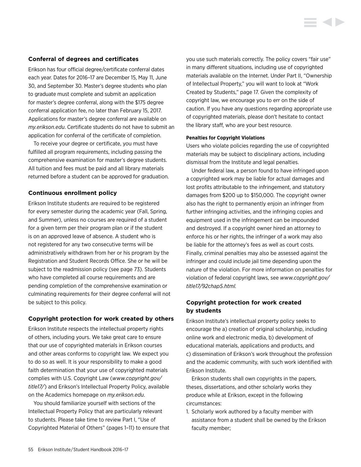#### **Conferral of degrees and certificates**

Erikson has four official degree/certificate conferral dates each year. Dates for 2016–17 are December 15, May 11, June 30, and September 30. Master's degree students who plan to graduate must complete and submit an application for master's degree conferral, along with the \$175 degree conferral application fee, no later than February 15, 2017. Applications for master's degree conferral are available on *my.erikson.edu*. Certificate students do not have to submit an application for conferral of the certificate of completion.

To receive your degree or certificate, you must have fulfilled all program requirements, including passing the comprehensive examination for master's degree students. All tuition and fees must be paid and all library materials returned before a student can be approved for graduation.

#### **Continuous enrollment policy**

Erikson Institute students are required to be registered for every semester during the academic year (Fall, Spring, and Summer), unless no courses are required of a student for a given term per their program plan or if the student is on an approved leave of absence. A student who is not registered for any two consecutive terms will be administratively withdrawn from her or his program by the Registration and Student Records Office. She or he will be subject to the readmission policy (see page 73). Students who have completed all course requirements and are pending completion of the comprehensive examination or culminating requirements for their degree conferral will not be subject to this policy.

#### **Copyright protection for work created by others**

Erikson Institute respects the intellectual property rights of others, including yours. We take great care to ensure that our use of copyrighted materials in Erikson courses and other areas conforms to copyright law. We expect you to do so as well. It is your responsibility to make a good faith determination that your use of copyrighted materials complies with U.S. Copyright Law (*[www.copyright.gov/](www.copyright.gov/title17/) [title1](www.copyright.gov/title17/)7/*) and Erikson's Intellectual Property Policy, available on the Academics homepage on *my.erikson.edu*.

You should familiarize yourself with sections of the Intellectual Property Policy that are particularly relevant to students. Please take time to review Part I, "Use of Copyrighted Material of Others" (pages 1–11) to ensure that you use such materials correctly. The policy covers "fair use" in many different situations, including use of copyrighted materials available on the Internet. Under Part II, "Ownership of Intellectual Property," you will want to look at "Work Created by Students," page 17. Given the complexity of copyright law, we encourage you to err on the side of caution. If you have any questions regarding appropriate use of copyrighted materials, please don't hesitate to contact the library staff, who are your best resource.

#### **Penalties for Copyright Violations**

Users who violate policies regarding the use of copyrighted materials may be subject to disciplinary actions, including dismissal from the Institute and legal penalties.

Under federal law, a person found to have infringed upon a copyrighted work may be liable for actual damages and lost profits attributable to the infringement, and statutory damages from \$200 up to \$150,000. The copyright owner also has the right to permanently enjoin an infringer from further infringing activities, and the infringing copies and equipment used in the infringement can be impounded and destroyed. If a copyright owner hired an attorney to enforce his or her rights, the infringer of a work may also be liable for the attorney's fees as well as court costs. Finally, criminal penalties may also be assessed against the infringer and could include jail time depending upon the nature of the violation. For more information on penalties for violation of federal copyright laws, see *[www.copyright.gov/](www.copyright.gov/title17/92chap5.html) [title17/92chap5.html](www.copyright.gov/title17/92chap5.html).*

# **Copyright protection for work created by students**

Erikson Institute's intellectual property policy seeks to encourage the a) creation of original scholarship, including online work and electronic media, b) development of educational materials, applications and products, and c) dissemination of Erikson's work throughout the profession and the academic community, with such work identified with Erikson Institute.

Erikson students shall own copyrights in the papers, theses, dissertations, and other scholarly works they produce while at Erikson, except in the following circumstances:

1. Scholarly work authored by a faculty member with assistance from a student shall be owned by the Erikson faculty member;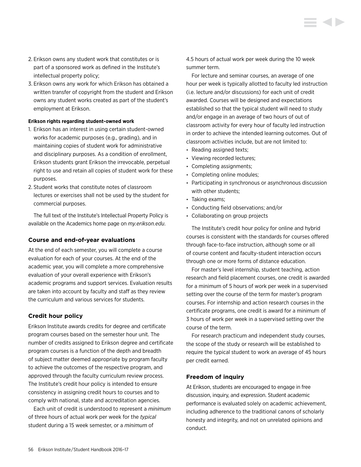- 2. Erikson owns any student work that constitutes or is part of a sponsored work as defined in the Institute's intellectual property policy;
- 3. Erikson owns any work for which Erikson has obtained a written transfer of copyright from the student and Erikson owns any student works created as part of the student's employment at Erikson.

#### **Erikson rights regarding student-owned work**

- 1. Erikson has an interest in using certain student-owned works for academic purposes (e.g., grading), and in maintaining copies of student work for administrative and disciplinary purposes. As a condition of enrollment, Erikson students grant Erikson the irrevocable, perpetual right to use and retain all copies of student work for these purposes.
- 2. Student works that constitute notes of classroom lectures or exercises shall not be used by the student for commercial purposes.

The full text of the Institute's Intellectual Property Policy is available on the Academics home page on *my.erikson.edu*.

#### **Course and end-of-year evaluations**

At the end of each semester, you will complete a course evaluation for each of your courses. At the end of the academic year, you will complete a more comprehensive evaluation of your overall experience with Erikson's academic programs and support services. Evaluation results are taken into account by faculty and staff as they review the curriculum and various services for students.

#### **Credit hour policy**

Erikson Institute awards credits for degree and certificate program courses based on the semester hour unit. The number of credits assigned to Erikson degree and certificate program courses is a function of the depth and breadth of subject matter deemed appropriate by program faculty to achieve the outcomes of the respective program, and approved through the faculty curriculum review process. The Institute's credit hour policy is intended to ensure consistency in assigning credit hours to courses and to comply with national, state and accreditation agencies.

Each unit of credit is understood to represent a *minimum* of three hours of actual work per week for the *typical* student during a 15 week semester, or a *minimum* of

4.5 hours of actual work per week during the 10 week summer term.

For lecture and seminar courses, an average of one hour per week is typically allotted to faculty led instruction (i.e. lecture and/or discussions) for each unit of credit awarded. Courses will be designed and expectations established so that the typical student will need to study and/or engage in an average of two hours of out of classroom activity for every hour of faculty led instruction in order to achieve the intended learning outcomes. Out of classroom activities include, but are not limited to:

- Reading assigned texts;
- Viewing recorded lectures;
- Completing assignments;
- Completing online modules;
- Participating in synchronous or asynchronous discussion with other students;
- Taking exams;
- Conducting field observations; and/or
- Collaborating on group projects

The Institute's credit hour policy for online and hybrid courses is consistent with the standards for courses offered through face-to-face instruction, although some or all of course content and faculty-student interaction occurs through one or more forms of distance education.

For master's level internship, student teaching, action research and field placement courses, one credit is awarded for a minimum of 5 hours of work per week in a supervised setting over the course of the term for master's program courses. For internship and action research courses in the certificate programs, one credit is award for a minimum of 3 hours of work per week in a supervised setting over the course of the term.

For research practicum and independent study courses, the scope of the study or research will be established to require the typical student to work an average of 45 hours per credit earned.

#### **Freedom of inquiry**

At Erikson, students are encouraged to engage in free discussion, inquiry, and expression. Student academic performance is evaluated solely on academic achievement, including adherence to the traditional canons of scholarly honesty and integrity, and not on unrelated opinions and conduct.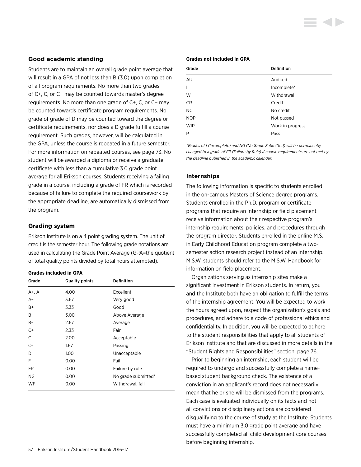#### **Good academic standing**

Students are to maintain an overall grade point average that will result in a GPA of not less than B (3.0) upon completion of all program requirements. No more than two grades of C+, C, or C− may be counted towards master's degree requirements. No more than one grade of C+, C, or C− may be counted towards certificate program requirements. No grade of grade of D may be counted toward the degree or certificate requirements, nor does a D grade fulfill a course requirement. Such grades, however, will be calculated in the GPA, unless the course is repeated in a future semester. For more information on repeated courses, see page 73. No student will be awarded a diploma or receive a graduate certificate with less than a cumulative 3.0 grade point average for all Erikson courses. Students receiving a failing grade in a course, including a grade of FR which is recorded because of failure to complete the required coursework by the appropriate deadline, are automatically dismissed from the program.

#### **Grading system**

Erikson Institute is on a 4 point grading system. The unit of credit is the semester hour. The following grade notations are used in calculating the Grade Point Average (GPA=the quotient of total quality points divided by total hours attempted).

#### **Grades included in GPA**

| Grade     | <b>Quality points</b> | <b>Definition</b>   |
|-----------|-----------------------|---------------------|
| A+, A     | 4.00                  | Excellent           |
| $A-$      | 3.67                  | Very good           |
| B+        | 3.33                  | Good                |
| B         | 3.00                  | Above Average       |
| B-        | 2.67                  | Average             |
| $C+$      | 2.33                  | Fair                |
| C         | 2.00                  | Acceptable          |
| $C-$      | 1.67                  | Passing             |
| D         | 1.00                  | Unacceptable        |
| F         | 0.00                  | Fail                |
| FR.       | 0.00                  | Failure by rule     |
| <b>NG</b> | 0.00                  | No grade submitted* |
| WF        | 0.00                  | Withdrawal, fail    |

### 57 Erikson Institute / Student Handbook 2016–17

#### **Grades not included in GPA**

| Grade          | Definition       |
|----------------|------------------|
| AU             | Audited          |
| $\overline{1}$ | Incomplete*      |
| W              | Withdrawal       |
| <b>CR</b>      | Credit           |
| <b>NC</b>      | No credit        |
| <b>NOP</b>     | Not passed       |
| <b>WIP</b>     | Work in progress |
| P              | Pass             |

*\*Grades of I (Incomplete) and NG (No Grade Submitted) will be permanently changed to a grade of FR (Failure by Rule) if course requirements are not met by the deadline published in the academic calendar.* 

#### **Internships**

The following information is specific to students enrolled in the on-campus Masters of Science degree programs. Students enrolled in the Ph.D. program or certificate programs that require an internship or field placement receive information about their respective program's internship requirements, policies, and procedures through the program director. Students enrolled in the online M.S. in Early Childhood Education program complete a twosemester action research project instead of an internship. M.S.W. students should refer to the M.S.W. Handbook for information on field placement.

Organizations serving as internship sites make a significant investment in Erikson students. In return, you and the Institute both have an obligation to fulfill the terms of the internship agreement. You will be expected to work the hours agreed upon, respect the organization's goals and procedures, and adhere to a code of professional ethics and confidentiality. In addition, you will be expected to adhere to the student responsibilities that apply to all students of Erikson Institute and that are discussed in more details in the "Student Rights and Responsibilities" section, page 76.

Prior to beginning an internship, each student will be required to undergo and successfully complete a namebased student background check. The existence of a conviction in an applicant's record does not necessarily mean that he or she will be dismissed from the programs. Each case is evaluated individually on its facts and not all convictions or disciplinary actions are considered disqualifying to the course of study at the Institute. Students must have a minimum 3.0 grade point average and have successfully completed all child development core courses before beginning internship.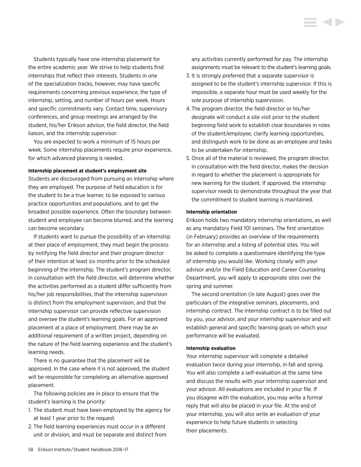Students typically have one internship placement for the entire academic year. We strive to help students find internships that reflect their interests. Students in one of the specialization tracks, however, may have specific requirements concerning previous experience, the type of internship, setting, and number of hours per week. Hours and specific commitments vary. Contact time, supervisory conferences, and group meetings are arranged by the student, his/her Erikson advisor, the field director, the field liaison, and the internship supervisor.

You are expected to work a minimum of 15 hours per week. Some internship placements require prior experience, for which advanced planning is needed.

#### **Internship placement at student's employment site**

Students are discouraged from pursuing an internship where they are employed. The purpose of field education is for the student to be a true learner, to be exposed to various practice opportunities and populations, and to get the broadest possible experience. Often the boundary between student and employee can become blurred, and the learning can become secondary.

If students want to pursue the possibility of an internship at their place of employment, they must begin the process by notifying the field director and their program director of their intention at least six months prior to the scheduled beginning of the internship. The student's program director, in consultation with the field director, will determine whether the activities performed as a student differ sufficiently from his/her job responsibilities, that the internship supervision is distinct from the employment supervision, and that the internship supervisor can provide reflective supervision and oversee the student's learning goals. For an approved placement at a place of employment, there may be an additional requirement of a written project, depending on the nature of the field learning experience and the student's learning needs.

There is no guarantee that the placement will be approved. In the case where it is not approved, the student will be responsible for completing an alternative approved placement.

The following policies are in place to ensure that the student's learning is the priority:

- 1. The student must have been employed by the agency for at least 1 year prior to the request.
- 2. The field learning experiences must occur in a different unit or division, and must be separate and distinct from

any activities currently performed for pay. The internship assignments must be relevant to the student's learning goals.

- 3. It is strongly preferred that a separate supervisor is assigned to be the student's internship supervisor. If this is impossible, a separate hour must be used weekly for the sole purpose of internship supervision.
- 4. The program director, the field director or his/her designate will conduct a site visit prior to the student beginning field work to establish clear boundaries in roles of the student/employee, clarify learning opportunities, and distinguish work to be done as an employee and tasks to be undertaken for internship.
- 5. Once all of the material is reviewed, the program director, in consultation with the field director, makes the decision in regard to whether the placement is appropriate for new learning for the student. If approved, the internship supervisor needs to demonstrate throughout the year that the commitment to student learning is maintained.

#### **Internship orientation**

Erikson holds two mandatory internship orientations, as well as any mandatory Field 101 seminars. The first orientation (in February) provides an overview of the requirements for an internship and a listing of potential sites. You will be asked to complete a questionnaire identifying the type of internship you would like. Working closely with your advisor and/or the Field Education and Career Counseling Department, you will apply to appropriate sites over the spring and summer.

The second orientation (in late August) goes over the particulars of the integrative seminars, placements, and internship contract. The internship contract is to be filled out by you, your advisor, and your internship supervisor and will establish general and specific learning goals on which your performance will be evaluated.

#### **Internship evaluation**

Your internship supervisor will complete a detailed evaluation twice during your internship, in fall and spring. You will also complete a self-evaluation at the same time and discuss the results with your internship supervisor and your advisor. All evaluations are included in your file. If you disagree with the evaluation, you may write a formal reply that will also be placed in your file. At the end of your internship, you will also write an evaluation of your experience to help future students in selecting their placements.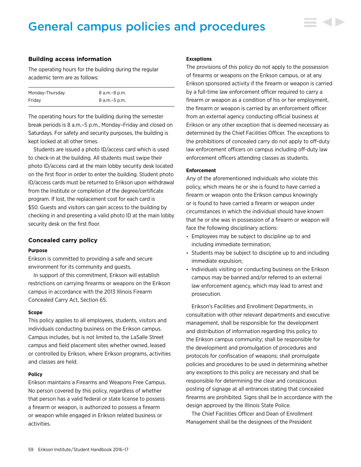# General campus policies and procedures

#### **Building access information**

The operating hours for the building during the regular academic term are as follows:

| Monday-Thursday | 8 a.m.–8 p.m.   |
|-----------------|-----------------|
| Fridav          | 8 a.m. - 5 p.m. |

The operating hours for the building during the semester break periods is 8 a.m.–5 p.m., Monday–Friday and closed on Saturdays. For safety and security purposes, the building is kept locked at all other times.

Students are issued a photo ID/access card which is used to check-in at the building. All students must swipe their photo ID/access card at the main lobby security desk located on the first floor in order to enter the building. Student photo ID/access cards must be returned to Erikson upon withdrawal from the Institute or completion of the degree/certificate program. If lost, the replacement cost for each card is \$50. Guests and visitors can gain access to the building by checking in and presenting a valid photo ID at the main lobby security desk on the first floor.

#### **Concealed carry policy**

#### **Purpose**

Erikson is committed to providing a safe and secure environment for its community and guests.

In support of this commitment, Erikson will establish restrictions on carrying firearms or weapons on the Erikson campus in accordance with the 2013 Illinois Firearm Concealed Carry Act, Section 65.

#### **Scope**

This policy applies to all employees, students, visitors and individuals conducting business on the Erikson campus. Campus includes, but is not limited to, the LaSalle Street campus and field placement sites whether owned, leased or controlled by Erikson, where Erikson programs, activities and classes are held.

#### **Policy**

Erikson maintains a Firearms and Weapons Free Campus. No person covered by this policy, regardless of whether that person has a valid federal or state license to possess a firearm or weapon, is authorized to possess a firearm or weapon while engaged in Erikson related business or activities.

#### **Exceptions**

The provisions of this policy do not apply to the possession of firearms or weapons on the Erikson campus, or at any Erikson sponsored activity if the firearm or weapon is carried by a full-time law enforcement officer required to carry a firearm or weapon as a condition of his or her employment, the firearm or weapon is carried by an enforcement officer from an external agency conducting official business at Erikson or any other exception that is deemed necessary as determined by the Chief Facilities Officer. The exceptions to the prohibitions of concealed carry do not apply to off-duty law enforcement officers on campus including off-duty law enforcement officers attending classes as students.

#### **Enforcement**

Any of the aforementioned individuals who violate this policy, which means he or she is found to have carried a firearm or weapon onto the Erikson campus knowingly or is found to have carried a firearm or weapon under circumstances in which the individual should have known that he or she was in possession of a firearm or weapon will face the following disciplinary actions:

- Employees may be subject to discipline up to and including immediate termination;
- Students may be subject to discipline up to and including immediate expulsion;
- Individuals visiting or conducting business on the Erikson campus may be banned and/or referred to an external law enforcement agency, which may lead to arrest and prosecution.

Erikson's Facilities and Enrollment Departments, in consultation with other relevant departments and executive management, shall be responsible for the development and distribution of information regarding this policy to the Erikson campus community; shall be responsible for the development and promulgation of procedures and protocols for confiscation of weapons; shall promulgate policies and procedures to be used in determining whether any exceptions to this policy are necessary and shall be responsible for determining the clear and conspicuous posting of signage at all entrances stating that concealed firearms are prohibited. Signs shall be in accordance with the design approved by the Illinois State Police.

The Chief Facilities Officer and Dean of Enrollment Management shall be the designees of the President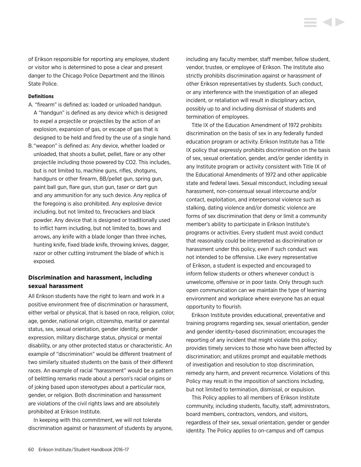of Erikson responsible for reporting any employee, student or visitor who is determined to pose a clear and present danger to the Chicago Police Department and the Illinois State Police.

#### **Definitions**

- A. "firearm" is defined as: loaded or unloaded handgun. A "handgun" is defined as any device which is designed to expel a projectile or projectiles by the action of an explosion, expansion of gas, or escape of gas that is designed to be held and fired by the use of a single hand.
- B. "weapon" is defined as: Any device, whether loaded or unloaded, that shoots a bullet, pellet, flare or any other projectile including those powered by CO2. This includes, but is not limited to, machine guns, rifles, shotguns, handguns or other firearm, BB/pellet gun, spring gun, paint ball gun, flare gun, stun gun, taser or dart gun and any ammunition for any such device. Any replica of the foregoing is also prohibited. Any explosive device including, but not limited to, firecrackers and black powder. Any device that is designed or traditionally used to inflict harm including, but not limited to, bows and arrows, any knife with a blade longer than three inches, hunting knife, fixed blade knife, throwing knives, dagger, razor or other cutting instrument the blade of which is exposed.

### **Discrimination and harassment, including sexual harassment**

All Erikson students have the right to learn and work in a positive environment free of discrimination or harassment, either verbal or physical, that is based on race, religion, color, age, gender, national origin, citizenship, marital or parental status, sex, sexual orientation, gender identity, gender expression, military discharge status, physical or mental disability, or any other protected status or characteristic. An example of "discrimination" would be different treatment of two similarly situated students on the basis of their different races. An example of racial "harassment" would be a pattern of belittling remarks made about a person's racial origins or of joking based upon stereotypes about a particular race, gender, or religion. Both discrimination and harassment are violations of the civil rights laws and are absolutely prohibited at Erikson Institute.

In keeping with this commitment, we will not tolerate discrimination against or harassment of students by anyone, including any faculty member, staff member, fellow student, vendor, trustee, or employee of Erikson. The Institute also strictly prohibits discrimination against or harassment of other Erikson representatives by students. Such conduct, or any interference with the investigation of an alleged incident, or retaliation will result in disciplinary action, possibly up to and including dismissal of students and termination of employees.

**KID** 

Title IX of the Education Amendment of 1972 prohibits discrimination on the basis of sex in any federally funded education program or activity. Erikson Institute has a Title IX policy that expressly prohibits discrimination on the basis of sex, sexual orientation, gender, and/or gender identity in any Institute program or activity consistent with Title IX of the Educational Amendments of 1972 and other applicable state and federal laws. Sexual misconduct, including sexual harassment, non-consensual sexual intercourse and/or contact, exploitation, and interpersonal violence such as stalking, dating violence and/or domestic violence are forms of sex discrimination that deny or limit a community member's ability to participate in Erikson Institute's programs or activities. Every student must avoid conduct that reasonably could be interpreted as discrimination or harassment under this policy, even if such conduct was not intended to be offensive. Like every representative of Erikson, a student is expected and encouraged to inform fellow students or others whenever conduct is unwelcome, offensive or in poor taste. Only through such open communication can we maintain the type of learning environment and workplace where everyone has an equal opportunity to flourish.

Erikson Institute provides educational, preventative and training programs regarding sex, sexual orientation, gender and gender identity-based discrimination; encourages the reporting of any incident that might violate this policy; provides timely services to those who have been affected by discrimination; and utilizes prompt and equitable methods of investigation and resolution to stop discrimination, remedy any harm, and prevent recurrence. Violations of this Policy may result in the imposition of sanctions including, but not limited to termination, dismissal, or expulsion.

This Policy applies to all members of Erikson Institute community, including students, faculty, staff, administrators, board members, contractors, vendors, and visitors, regardless of their sex, sexual orientation, gender or gender identity. The Policy applies to on-campus and off campus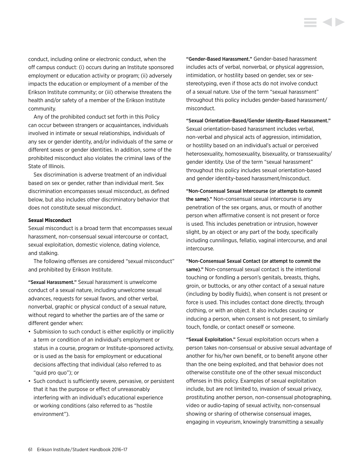conduct, including online or electronic conduct, when the off campus conduct: (i) occurs during an Institute sponsored employment or education activity or program; (ii) adversely impacts the education or employment of a member of the Erikson Institute community; or (iii) otherwise threatens the health and/or safety of a member of the Erikson Institute community.

Any of the prohibited conduct set forth in this Policy can occur between strangers or acquaintances, individuals involved in intimate or sexual relationships, individuals of any sex or gender identity, and/or individuals of the same or different sexes or gender identities. In addition, some of the prohibited misconduct also violates the criminal laws of the State of Illinois.

Sex discrimination is adverse treatment of an individual based on sex or gender, rather than individual merit. Sex discrimination encompasses sexual misconduct, as defined below, but also includes other discriminatory behavior that does not constitute sexual misconduct.

#### **Sexual Misconduct**

Sexual misconduct is a broad term that encompasses sexual harassment, non-consensual sexual intercourse or contact, sexual exploitation, domestic violence, dating violence, and stalking.

The following offenses are considered "sexual misconduct" and prohibited by Erikson Institute.

"Sexual Harassment." Sexual harassment is unwelcome conduct of a sexual nature, including unwelcome sexual advances, requests for sexual favors, and other verbal, nonverbal, graphic or physical conduct of a sexual nature, without regard to whether the parties are of the same or different gender when:

- Submission to such conduct is either explicitly or implicitly a term or condition of an individual's employment or status in a course, program or Institute-sponsored activity, or is used as the basis for employment or educational decisions affecting that individual (also referred to as "quid pro quo"); or
- Such conduct is sufficiently severe, pervasive, or persistent that it has the purpose or effect of unreasonably interfering with an individual's educational experience or working conditions (also referred to as "hostile environment").

"Gender-Based Harassment." Gender-based harassment includes acts of verbal, nonverbal, or physical aggression, intimidation, or hostility based on gender, sex or sexstereotyping, even if those acts do not involve conduct of a sexual nature. Use of the term "sexual harassment" throughout this policy includes gender-based harassment/ misconduct.

"Sexual Orientation-Based/Gender Identity-Based Harassment." Sexual orientation-based harassment includes verbal, non-verbal and physical acts of aggression, intimidation, or hostility based on an individual's actual or perceived heterosexuality, homosexuality, bisexuality, or transsexuality/ gender identity. Use of the term "sexual harassment" throughout this policy includes sexual orientation-based and gender identity-based harassment/misconduct.

"Non-Consensual Sexual Intercourse (or attempts to commit the same)." Non-consensual sexual intercourse is any penetration of the sex organs, anus, or mouth of another person when affirmative consent is not present or force is used. This includes penetration or intrusion, however slight, by an object or any part of the body, specifically including cunnilingus, fellatio, vaginal intercourse, and anal intercourse.

"Non-Consensual Sexual Contact (or attempt to commit the same)." Non-consensual sexual contact is the intentional touching or fondling a person's genitals, breasts, thighs, groin, or buttocks, or any other contact of a sexual nature (including by bodily fluids), when consent is not present or force is used. This includes contact done directly, through clothing, or with an object. It also includes causing or inducing a person, when consent is not present, to similarly touch, fondle, or contact oneself or someone.

"Sexual Exploitation." Sexual exploitation occurs when a person takes non-consensual or abusive sexual advantage of another for his/her own benefit, or to benefit anyone other than the one being exploited, and that behavior does not otherwise constitute one of the other sexual misconduct offenses in this policy. Examples of sexual exploitation include, but are not limited to, invasion of sexual privacy, prostituting another person, non-consensual photographing, video or audio-taping of sexual activity, non-consensual showing or sharing of otherwise consensual images, engaging in voyeurism, knowingly transmitting a sexually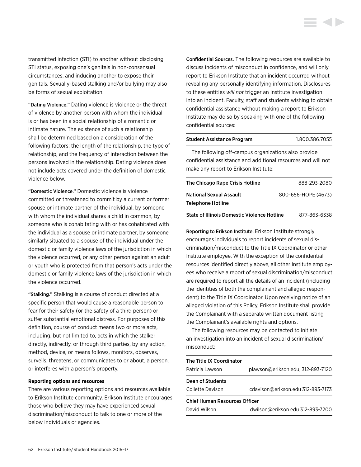transmitted infection (STI) to another without disclosing STI status, exposing one's genitals in non-consensual circumstances, and inducing another to expose their genitals. Sexually-based stalking and/or bullying may also be forms of sexual exploitation.

"Dating Violence." Dating violence is violence or the threat of violence by another person with whom the individual is or has been in a social relationship of a romantic or intimate nature. The existence of such a relationship shall be determined based on a consideration of the following factors: the length of the relationship, the type of relationship, and the frequency of interaction between the persons involved in the relationship. Dating violence does not include acts covered under the definition of domestic violence below.

"Domestic Violence." Domestic violence is violence committed or threatened to commit by a current or former spouse or intimate partner of the individual, by someone with whom the individual shares a child in common, by someone who is cohabitating with or has cohabitated with the individual as a spouse or intimate partner, by someone similarly situated to a spouse of the individual under the domestic or family violence laws of the jurisdiction in which the violence occurred, or any other person against an adult or youth who is protected from that person's acts under the domestic or family violence laws of the jurisdiction in which the violence occurred.

"Stalking." Stalking is a course of conduct directed at a specific person that would cause a reasonable person to fear for their safety (or the safety of a third person) or suffer substantial emotional distress. For purposes of this definition, course of conduct means two or more acts, including, but not limited to, acts in which the stalker directly, indirectly, or through third parties, by any action, method, device, or means follows, monitors, observes, surveils, threatens, or communicates to or about, a person, or interferes with a person's property.

#### **Reporting options and resources**

There are various reporting options and resources available to Erikson Institute community. Erikson Institute encourages those who believe they may have experienced sexual discrimination/misconduct to talk to one or more of the below individuals or agencies.

Confidential Sources. The following resources are available to discuss incidents of misconduct in confidence, and will only report to Erikson Institute that an incident occurred without revealing any personally identifying information. Disclosures to these entities *will not* trigger an Institute investigation into an incident. Faculty, staff and students wishing to obtain confidential assistance without making a report to Erikson Institute may do so by speaking with one of the following confidential sources:

#### Student Assistance Program 1.800.386.7055

The following off-campus organizations also provide confidential assistance and additional resources and will not make any report to Erikson Institute:

| The Chicago Rape Crisis Hotline                    | 888-293-2080        |
|----------------------------------------------------|---------------------|
| <b>National Sexual Assault</b>                     | 800-656-HOPE (4673) |
| <b>Telephone Hotline</b>                           |                     |
| <b>State of Illinois Domestic Violence Hotline</b> | 877-863-6338        |

Reporting to Erikson Institute. Erikson Institute strongly encourages individuals to report incidents of sexual discrimination/misconduct to the Title IX Coordinator or other Institute employee. With the exception of the confidential resources identified directly above, all other Institute employees who receive a report of sexual discrimination/misconduct are required to report all the details of an incident (including the identities of both the complainant and alleged respondent) to the Title IX Coordinator. Upon receiving notice of an alleged violation of this Policy, Erikson Institute shall provide the Complainant with a separate written document listing the Complainant's available rights and options.

The following resources may be contacted to initiate an investigation into an incident of sexual discrimination/ misconduct:

| The Title IX Coordinator             |                                   |  |
|--------------------------------------|-----------------------------------|--|
| Patricia Lawson                      | plawson@erikson.edu, 312-893-7120 |  |
| <b>Dean of Students</b>              |                                   |  |
| Collette Davison                     | cdavison@erikson.edu 312-893-7173 |  |
| <b>Chief Human Resources Officer</b> |                                   |  |
| David Wilson                         | dwilson@erikson.edu 312-893-7200  |  |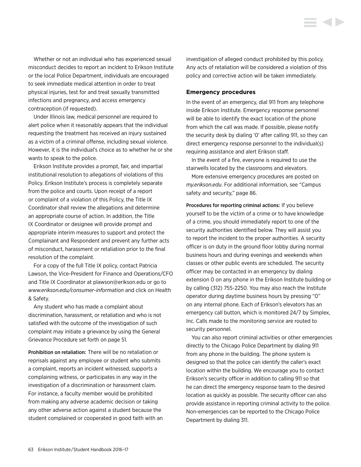Whether or not an individual who has experienced sexual misconduct decides to report an incident to Erikson Institute or the local Police Department, individuals are encouraged to seek immediate medical attention in order to treat physical injuries, test for and treat sexually transmitted infections and pregnancy, and access emergency contraception (if requested).

Under Illinois law, medical personnel are required to alert police when it reasonably appears that the individual requesting the treatment has received an injury sustained as a victim of a criminal offense, including sexual violence. However, it is the individual's choice as to whether he or she wants to speak to the police.

Erikson Institute provides a prompt, fair, and impartial institutional resolution to allegations of violations of this Policy. Erikson Institute's process is completely separate from the police and courts. Upon receipt of a report or complaint of a violation of this Policy, the Title IX Coordinator shall review the allegations and determine an appropriate course of action. In addition, the Title IX Coordinator or designee will provide prompt and appropriate interim measures to support and protect the Complainant and Respondent and prevent any further acts of misconduct, harassment or retaliation prior to the final resolution of the complaint.

For a copy of the full Title IX policy, contact Patricia Lawson, the Vice-President for Finance and Operations/CFO and Title IX Coordinator at plawson@erikson.edu or go to *[www.erikson.edu/consumer-information](http://www.erikson.edu/consumer-information)* and click on Health & Safety.

Any student who has made a complaint about discrimination, harassment, or retaliation and who is not satisfied with the outcome of the investigation of such complaint may initiate a grievance by using the General Grievance Procedure set forth on page 51.

Prohibition on retaliation: There will be no retaliation or reprisals against any employee or student who submits a complaint, reports an incident witnessed, supports a complaining witness, or participates in any way in the investigation of a discrimination or harassment claim. For instance, a faculty member would be prohibited from making any adverse academic decision or taking any other adverse action against a student because the student complained or cooperated in good faith with an investigation of alleged conduct prohibited by this policy. Any acts of retaliation will be considered a violation of this policy and corrective action will be taken immediately.

#### **Emergency procedures**

In the event of an emergency, dial 911 from any telephone inside Erikson Institute. Emergency response personnel will be able to identify the exact location of the phone from which the call was made. If possible, please notify the security desk by dialing '0' after calling 911, so they can direct emergency response personnel to the individual(s) requiring assistance and alert Erikson staff.

In the event of a fire, everyone is required to use the stairwells located by the classrooms and elevators.

More extensive emergency procedures are posted on *my.erikson.edu*. For additional information, see "Campus safety and security," page 86.

Procedures for reporting criminal actions: If you believe yourself to be the victim of a crime or to have knowledge of a crime, you should immediately report to one of the security authorities identified below. They will assist you to report the incident to the proper authorities. A security officer is on duty in the ground floor lobby during normal business hours and during evenings and weekends when classes or other public events are scheduled. The security officer may be contacted in an emergency by dialing extension 0 on any phone in the Erikson Institute building or by calling (312) 755-2250. You may also reach the Institute operator during daytime business hours by pressing "0" on any internal phone. Each of Erikson's elevators has an emergency call button, which is monitored 24/7 by Simplex, Inc. Calls made to the monitoring service are routed to security personnel.

You can also report criminal activities or other emergencies directly to the Chicago Police Department by dialing 911 from any phone in the building. The phone system is designed so that the police can identify the caller's exact location within the building. We encourage you to contact Erikson's security officer in addition to calling 911 so that he can direct the emergency response team to the desired location as quickly as possible. The security officer can also provide assistance in reporting criminal activity to the police. Non-emergencies can be reported to the Chicago Police Department by dialing 311.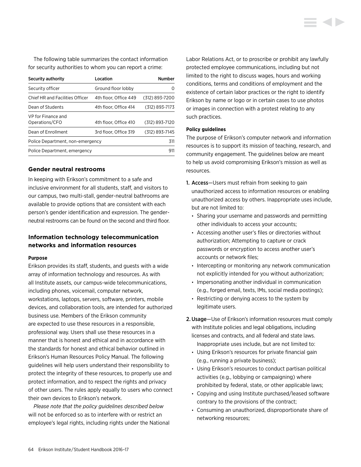The following table summarizes the contact information for security authorities to whom you can report a crime:

| Security authority                   | Location              | <b>Number</b>    |
|--------------------------------------|-----------------------|------------------|
| Security officer                     | Ground floor lobby    | $\left( \right)$ |
| Chief HR and Facilities Officer      | 4th floor, Office 449 | (312) 893-7200   |
| Dean of Students                     | 4th floor. Office 414 | (312) 893-7173   |
| VP for Finance and<br>Operations/CFO | 4th floor. Office 410 | (312) 893-7120   |
| Dean of Enrollment                   | 3rd floor. Office 319 | (312) 893-7145   |
| Police Department, non-emergency     |                       | 311              |
| Police Department, emergency         |                       | 911              |

#### **Gender neutral restrooms**

In keeping with Erikson's commitment to a safe and inclusive environment for all students, staff, and visitors to our campus, two multi-stall, gender-neutral bathrooms are available to provide options that are consistent with each person's gender identification and expression. The genderneutral restrooms can be found on the second and third floor.

# **Information technology telecommunication networks and information resources**

#### **Purpose**

Erikson provides its staff, students, and guests with a wide array of information technology and resources. As with all Institute assets, our campus-wide telecommunications, including phones, voicemail, computer network, workstations, laptops, servers, software, printers, mobile devices, and collaboration tools, are intended for authorized business use. Members of the Erikson community are expected to use these resources in a responsible, professional way. Users shall use these resources in a manner that is honest and ethical and in accordance with the standards for honest and ethical behavior outlined in Erikson's Human Resources Policy Manual. The following guidelines will help users understand their responsibility to protect the integrity of these resources, to properly use and protect information, and to respect the rights and privacy of other users. The rules apply equally to users who connect their own devices to Erikson's network.

*Please note that the policy guidelines described below* will not be enforced so as to interfere with or restrict an employee's legal rights, including rights under the National Labor Relations Act, or to proscribe or prohibit any lawfully protected employee communications, including but not limited to the right to discuss wages, hours and working conditions, terms and conditions of employment and the existence of certain labor practices or the right to identify Erikson by name or logo or in certain cases to use photos or images in connection with a protest relating to any such practices.

#### **Policy guidelines**

The purpose of Erikson's computer network and information resources is to support its mission of teaching, research, and community engagement. The guidelines below are meant to help us avoid compromising Erikson's mission as well as resources.

- 1. Access—Users must refrain from seeking to gain unauthorized access to information resources or enabling unauthorized access by others. Inappropriate uses include, but are not limited to:
	- Sharing your username and passwords and permitting other individuals to access your accounts;
	- Accessing another user's files or directories without authorization; Attempting to capture or crack passwords or encryption to access another user's accounts or network files;
	- Intercepting or monitoring any network communication not explicitly intended for you without authorization;
	- Impersonating another individual in communication (e.g., forged email, texts, IMs, social media postings);
	- Restricting or denying access to the system by legitimate users.
- 2.Usage—Use of Erikson's information resources must comply with Institute policies and legal obligations, including licenses and contracts, and all federal and state laws. Inappropriate uses include, but are not limited to:
	- Using Erikson's resources for private financial gain (e.g., running a private business);
	- Using Erikson's resources to conduct partisan political activities (e.g., lobbying or campaigning) where prohibited by federal, state, or other applicable laws;
	- Copying and using Institute purchased/leased software contrary to the provisions of the contract;
	- Consuming an unauthorized, disproportionate share of networking resources;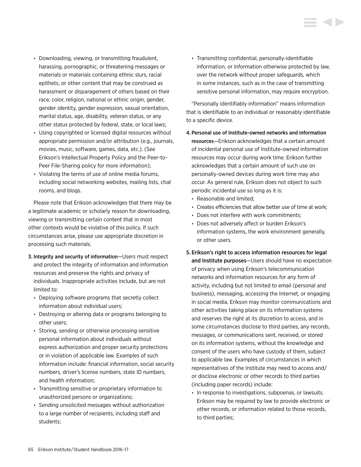- Downloading, viewing, or transmitting fraudulent, harassing, pornographic, or threatening messages or materials or materials containing ethnic slurs, racial epithets, or other content that may be construed as harassment or disparagement of others based on their race, color, religion, national or ethnic origin, gender, gender identity, gender expression, sexual orientation, marital status, age, disability, veteran status, or any other status protected by federal, state, or local laws;
- Using copyrighted or licensed digital resources without appropriate permission and/or attribution (e.g., journals, movies, music, software, games, data, etc.). (See Erikson's Intellectual Property Policy and the Peer-to-Peer File-Sharing policy for more information);
- Violating the terms of use of online media forums, including social networking websites, mailing lists, chat rooms, and blogs.

Please note that Erikson acknowledges that there may be a legitimate academic or scholarly reason for downloading, viewing or transmitting certain content that in most other contexts would be violative of this policy. If such circumstances arise, please use appropriate discretion in processing such materials.

- 3. Integrity and security of information—Users must respect and protect the integrity of information and information resources and preserve the rights and privacy of individuals. Inappropriate activities include, but are not limited to:
	- Deploying software programs that secretly collect information about individual users;
	- Destroying or altering data or programs belonging to other users;
	- Storing, sending or otherwise processing sensitive personal information about individuals without express authorization and proper security protections or in violation of applicable law. Examples of such information include: financial information, social security numbers, driver's license numbers, state ID numbers, and health information;
	- Transmitting sensitive or proprietary information to unauthorized persons or organizations;
	- Sending unsolicited messages without authorization to a large number of recipients, including staff and students;

• Transmitting confidential, personally-identifiable information, or information otherwise protected by law, over the network without proper safeguards, which in some instances, such as in the case of transmitting sensitive personal information, may require encryption.

"Personally identifiably information" means information that is identifiable to an individual or reasonably identifiable to a specific device.

4. Personal use of Institute-owned networks and information resources—Erikson acknowledges that a certain amount of incidental personal use of Institute-owned information resources may occur during work time. Erikson further acknowledges that a certain amount of such use on personally-owned devices during work time may also occur. As general rule, Erikson does not object to such periodic incidental use so long as it is:

- Reasonable and limited;
- Creates efficiencies that allow better use of time at work;
- Does not interfere with work commitments;
- Does not adversely affect or burden Erikson's information systems, the work environment generally, or other users.
- 5. Erikson's right to access information resources for legal and Institute purposes—Users should have no expectation of privacy when using Erikson's telecommunication networks and information resources for any form of activity, including but not limited to email (personal and business), messaging, accessing the Internet, or engaging in social media. Erikson may monitor communications and other activities taking place on its information systems and reserves the right at its discretion to access, and in some circumstances disclose to third parties, any records, messages, or communications sent, received, or stored on its information systems, without the knowledge and consent of the users who have custody of them, subject to applicable law. Examples of circumstances in which representatives of the Institute may need to access and/ or disclose electronic or other records to third parties (including paper records) include:
	- In response to investigations, subpoenas, or lawsuits. Erikson may be required by law to provide electronic or other records, or information related to those records, to third parties;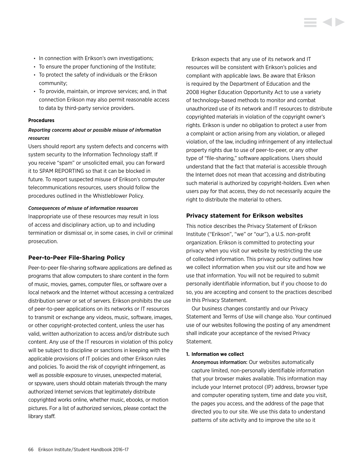- In connection with Erikson's own investigations;
- To ensure the proper functioning of the Institute;
- To protect the safety of individuals or the Erikson community;
- To provide, maintain, or improve services; and, in that connection Erikson may also permit reasonable access to data by third-party service providers.

#### **Procedures**

# *Reporting concerns about or possible misuse of information resources*

Users should report any system defects and concerns with system security to the Information Technology staff. If you receive "spam" or unsolicited email, you can forward it to SPAM REPORTING so that it can be blocked in future. To report suspected misuse of Erikson's computer telecommunications resources, users should follow the procedures outlined in the Whistleblower Policy.

#### *Consequences of misuse of information resources*

Inappropriate use of these resources may result in loss of access and disciplinary action, up to and including termination or dismissal or, in some cases, in civil or criminal prosecution.

#### **Peer-to-Peer File-Sharing Policy**

Peer-to-peer file-sharing software applications are defined as programs that allow computers to share content in the form of music, movies, games, computer files, or software over a local network and the Internet without accessing a centralized distribution server or set of servers. Erikson prohibits the use of peer-to-peer applications on its networks or IT resources to transmit or exchange any videos, music, software, images, or other copyright-protected content, unless the user has valid, written authorization to access and/or distribute such content. Any use of the IT resources in violation of this policy will be subject to discipline or sanctions in keeping with the applicable provisions of IT policies and other Erikson rules and policies. To avoid the risk of copyright infringement, as well as possible exposure to viruses, unexpected material, or spyware, users should obtain materials through the many authorized Internet services that legitimately distribute copyrighted works online, whether music, ebooks, or motion pictures. For a list of authorized services, please contact the library staff.

Erikson expects that any use of its network and IT resources will be consistent with Erikson's policies and compliant with applicable laws. Be aware that Erikson is required by the Department of Education and the 2008 Higher Education Opportunity Act to use a variety of technology-based methods to monitor and combat unauthorized use of its network and IT resources to distribute copyrighted materials in violation of the copyright owner's rights. Erikson is under no obligation to protect a user from a complaint or action arising from any violation, or alleged violation, of the law, including infringement of any intellectual property rights due to use of peer-to-peer, or any other type of "file-sharing," software applications. Users should understand that the fact that material is accessible through the Internet does not mean that accessing and distributing such material is authorized by copyright-holders. Even when users pay for that access, they do not necessarily acquire the right to distribute the material to others.

#### **Privacy statement for Erikson websites**

This notice describes the Privacy Statement of Erikson Institute ("Erikson", "we" or "our"), a U.S. non-profit organization. Erikson is committed to protecting your privacy when you visit our website by restricting the use of collected information. This privacy policy outlines how we collect information when you visit our site and how we use that information. You will not be required to submit personally identifiable information, but if you choose to do so, you are accepting and consent to the practices described in this Privacy Statement.

Our business changes constantly and our Privacy Statement and Terms of Use will change also. Your continued use of our websites following the posting of any amendment shall indicate your acceptance of the revised Privacy Statement.

#### **1. Information we collect**

Anonymous information: Our websites automatically capture limited, non-personally identifiable information that your browser makes available. This information may include your Internet protocol (IP) address, browser type and computer operating system, time and date you visit, the pages you access, and the address of the page that directed you to our site. We use this data to understand patterns of site activity and to improve the site so it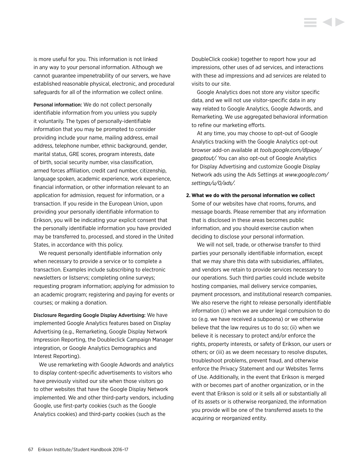is more useful for you. This information is not linked in any way to your personal information. Although we cannot guarantee impenetrability of our servers, we have established reasonable physical, electronic, and procedural safeguards for all of the information we collect online.

Personal information: We do not collect personally identifiable information from you unless you supply it voluntarily. The types of personally-identifiable information that you may be prompted to consider providing include your name, mailing address, email address, telephone number, ethnic background, gender, marital status, GRE scores, program interests, date of birth, social security number, visa classification, armed forces affiliation, credit card number, citizenship, language spoken, academic experience, work experience, financial information, or other information relevant to an application for admission, request for information, or a transaction. If you reside in the European Union, upon providing your personally identifiable information to Erikson, you will be indicating your explicit consent that the personally identifiable information you have provided may be transferred to, processed, and stored in the United States, in accordance with this policy.

We request personally identifiable information only when necessary to provide a service or to complete a transaction. Examples include subscribing to electronic newsletters or listservs; completing online surveys; requesting program information; applying for admission to an academic program; registering and paying for events or courses; or making a donation.

Disclosure Regarding Google Display Advertising: We have implemented Google Analytics features based on Display Advertising (e.g., Remarketing, Google Display Network Impression Reporting, the Doubleclick Campaign Manager integration, or Google Analytics Demographics and Interest Reporting).

We use remarketing with Google Adwords and analytics to display content-specific advertisements to visitors who have previously visited our site when those visitors go to other websites that have the Google Display Network implemented. We and other third-party vendors, including Google, use first-party cookies (such as the Google Analytics cookies) and third-party cookies (such as the

DoubleClick cookie) together to report how your ad impressions, other uses of ad services, and interactions with these ad impressions and ad services are related to visits to our site.

Google Analytics does not store any visitor specific data, and we will not use visitor-specific data in any way related to Google Analytics, Google Adwords, and Remarketing. We use aggregated behavioral information to refine our marketing efforts.

At any time, you may choose to opt-out of Google Analytics tracking with the Google Analytics opt-out browser add-on available at *[tools.google.com/dlpage/](tools.google.com/dlpage/gaoptout) [gaoptout](tools.google.com/dlpage/gaoptout)/.* You can also opt-out of Google Analytics for Display Advertising and customize Google Display Network ads using the Ads Settings at *[www.google.com/](www.google.com/settings/u/0/ads) [settings/u/0/ads](www.google.com/settings/u/0/ads)/.*

# **2. What we do with the personal information we collect** Some of our websites have chat rooms, forums, and message boards. Please remember that any information that is disclosed in these areas becomes public information, and you should exercise caution when deciding to disclose your personal information.

We will not sell, trade, or otherwise transfer to third parties your personally identifiable information, except that we may share this data with subsidiaries, affiliates, and vendors we retain to provide services necessary to our operations. Such third parties could include website hosting companies, mail delivery service companies, payment processors, and institutional research companies. We also reserve the right to release personally identifiable information (i) when we are under legal compulsion to do so (e.g. we have received a subpoena) or we otherwise believe that the law requires us to do so; (ii) when we believe it is necessary to protect and/or enforce the rights, property interests, or safety of Erikson, our users or others; or (iii) as we deem necessary to resolve disputes, troubleshoot problems, prevent fraud, and otherwise enforce the Privacy Statement and our Websites Terms of Use. Additionally, in the event that Erikson is merged with or becomes part of another organization, or in the event that Erikson is sold or it sells all or substantially all of its assets or is otherwise reorganized, the information you provide will be one of the transferred assets to the acquiring or reorganized entity.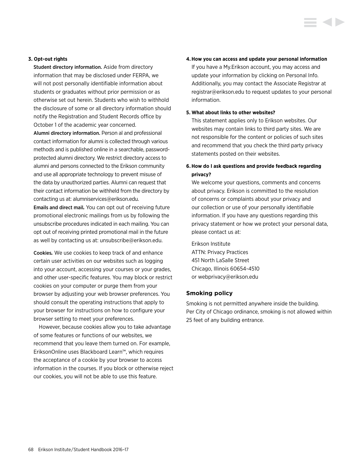#### **3. Opt-out rights**

Student directory information. Aside from directory information that may be disclosed under FERPA, we will not post personally identifiable information about students or graduates without prior permission or as otherwise set out herein. Students who wish to withhold the disclosure of some or all directory information should notify the Registration and Student Records office by October 1 of the academic year concerned.

Alumni directory information. Person al and professional contact information for alumni is collected through various methods and is published online in a searchable, passwordprotected alumni directory. We restrict directory access to alumni and persons connected to the Erikson community and use all appropriate technology to prevent misuse of the data by unauthorized parties. Alumni can request that their contact information be withheld from the directory by contacting us at: alumniservices@erikson.edu.

Emails and direct mail*.* You can opt out of receiving future promotional electronic mailings from us by following the unsubscribe procedures indicated in each mailing. You can opt out of receiving printed promotional mail in the future as well by contacting us at: unsubscribe@erikson.edu.

Cookies*.* We use cookies to keep track of and enhance certain user activities on our websites such as logging into your account, accessing your courses or your grades, and other user-specific features. You may block or restrict cookies on your computer or purge them from your browser by adjusting your web browser preferences. You should consult the operating instructions that apply to your browser for instructions on how to configure your browser setting to meet your preferences.

However, because cookies allow you to take advantage of some features or functions of our websites, we recommend that you leave them turned on. For example, EriksonOnline uses Blackboard Learn™, which requires the acceptance of a cookie by your browser to access information in the courses. If you block or otherwise reject our cookies, you will not be able to use this feature.

#### **4.How you can access and update your personal information**

If you have a My.Erikson account, you may access and update your information by clicking on Personal Info. Additionally, you may contact the Associate Registrar at registrar@erikson.edu to request updates to your personal information.

#### **5. What about links to other websites?**

This statement applies only to Erikson websites. Our websites may contain links to third party sites. We are not responsible for the content or policies of such sites and recommend that you check the third party privacy statements posted on their websites.

# **6. How do I ask questions and provide feedback regarding privacy?**

We welcome your questions, comments and concerns about privacy. Erikson is committed to the resolution of concerns or complaints about your privacy and our collection or use of your personally identifiable information. If you have any questions regarding this privacy statement or how we protect your personal data, please contact us at:

Erikson Institute ATTN: Privacy Practices 451 North LaSalle Street Chicago, Illinois 60654-4510 or webprivacy@erikson.edu

#### **Smoking policy**

Smoking is not permitted anywhere inside the building. Per City of Chicago ordinance, smoking is not allowed within 25 feet of any building entrance.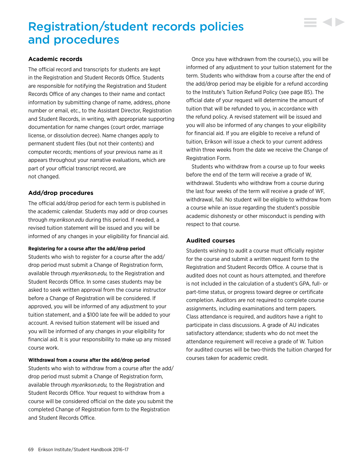# Registration/student records policies and procedures

### **Academic records**

The official record and transcripts for students are kept in the Registration and Student Records Office. Students are responsible for notifying the Registration and Student Records Office of any changes to their name and contact information by submitting change of name, address, phone number or email, etc., to the Assistant Director, Registration and Student Records, in writing, with appropriate supporting documentation for name changes (court order, marriage license, or dissolution decree). Name changes apply to permanent student files (but not their contents) and computer records; mentions of your previous name as it appears throughout your narrative evaluations, which are part of your official transcript record, are not changed.

# **Add/drop procedures**

The official add/drop period for each term is published in the academic calendar. Students may add or drop courses through *my.erikson.edu* during this period. If needed, a revised tuition statement will be issued and you will be informed of any changes in your eligibility for financial aid.

#### **Registering for a course after the add/drop period**

Students who wish to register for a course after the add/ drop period must submit a Change of Registration form, available through *my.erikson.edu,* to the Registration and Student Records Office. In some cases students may be asked to seek written approval from the course instructor before a Change of Registration will be considered. If approved, you will be informed of any adjustment to your tuition statement, and a \$100 late fee will be added to your account. A revised tuition statement will be issued and you will be informed of any changes in your eligibility for financial aid. It is your responsibility to make up any missed course work.

#### **Withdrawal from a course after the add/drop period**

Students who wish to withdraw from a course after the add/ drop period must submit a Change of Registration form, available through *my.erikson.edu,* to the Registration and Student Records Office. Your request to withdraw from a course will be considered official on the date you submit the completed Change of Registration form to the Registration and Student Records Office.

Once you have withdrawn from the course(s), you will be informed of any adjustment to your tuition statement for the term. Students who withdraw from a course after the end of the add/drop period may be eligible for a refund according to the Institute's Tuition Refund Policy (see page 85). The official date of your request will determine the amount of tuition that will be refunded to you, in accordance with the refund policy. A revised statement will be issued and you will also be informed of any changes to your eligibility for financial aid. If you are eligible to receive a refund of tuition, Erikson will issue a check to your current address within three weeks from the date we receive the Change of Registration Form.

 $\sim$ 

Students who withdraw from a course up to four weeks before the end of the term will receive a grade of W, withdrawal. Students who withdraw from a course during the last four weeks of the term will receive a grade of WF, withdrawal, fail. No student will be eligible to withdraw from a course while an issue regarding the student's possible academic dishonesty or other misconduct is pending with respect to that course.

#### **Audited courses**

Students wishing to audit a course must officially register for the course and submit a written request form to the Registration and Student Records Office. A course that is audited does not count as hours attempted, and therefore is not included in the calculation of a student's GPA, full- or part-time status, or progress toward degree or certificate completion. Auditors are not required to complete course assignments, including examinations and term papers. Class attendance is required, and auditors have a right to participate in class discussions. A grade of AU indicates satisfactory attendance; students who do not meet the attendance requirement will receive a grade of W. Tuition for audited courses will be two-thirds the tuition charged for courses taken for academic credit.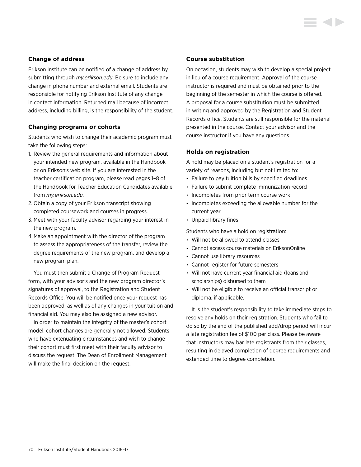### **Change of address**

Erikson Institute can be notified of a change of address by submitting through *my.erikson.edu*. Be sure to include any change in phone number and external email. Students are responsible for notifying Erikson Institute of any change in contact information. Returned mail because of incorrect address, including billing, is the responsibility of the student.

#### **Changing programs or cohorts**

Students who wish to change their academic program must take the following steps:

- 1. Review the general requirements and information about your intended new program, available in the Handbook or on Erikson's web site. If you are interested in the teacher certification program, please read pages 1–8 of the Handbook for Teacher Education Candidates available from *my.erikson.edu.*
- 2. Obtain a copy of your Erikson transcript showing completed coursework and courses in progress.
- 3. Meet with your faculty advisor regarding your interest in the new program.
- 4.Make an appointment with the director of the program to assess the appropriateness of the transfer, review the degree requirements of the new program, and develop a new program plan.

You must then submit a Change of Program Request form, with your advisor's and the new program director's signatures of approval, to the Registration and Student Records Office. You will be notified once your request has been approved, as well as of any changes in your tuition and financial aid. You may also be assigned a new advisor.

In order to maintain the integrity of the master's cohort model, cohort changes are generally not allowed. Students who have extenuating circumstances and wish to change their cohort must first meet with their faculty advisor to discuss the request. The Dean of Enrollment Management will make the final decision on the request.

#### **Course substitution**

On occasion, students may wish to develop a special project in lieu of a course requirement. Approval of the course instructor is required and must be obtained prior to the beginning of the semester in which the course is offered. A proposal for a course substitution must be submitted in writing and approved by the Registration and Student Records office. Students are still responsible for the material presented in the course. Contact your advisor and the course instructor if you have any questions.

#### **Holds on registration**

A hold may be placed on a student's registration for a variety of reasons, including but not limited to:

- Failure to pay tuition bills by specified deadlines
- Failure to submit complete immunization record
- Incompletes from prior term course work
- Incompletes exceeding the allowable number for the current year
- Unpaid library fines

Students who have a hold on registration:

- Will not be allowed to attend classes
- Cannot access course materials on EriksonOnline
- Cannot use library resources
- Cannot register for future semesters
- Will not have current year financial aid (loans and scholarships) disbursed to them
- Will not be eligible to receive an official transcript or diploma, if applicable.

It is the student's responsibility to take immediate steps to resolve any holds on their registration. Students who fail to do so by the end of the published add/drop period will incur a late registration fee of \$100 per class. Please be aware that instructors may bar late registrants from their classes, resulting in delayed completion of degree requirements and extended time to degree completion.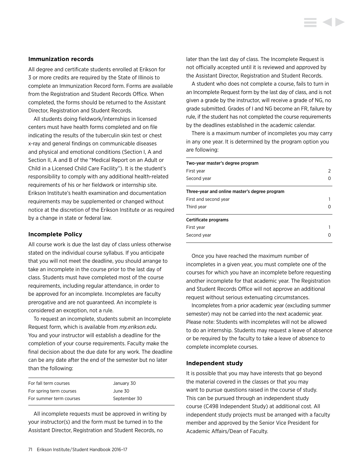#### **Immunization records**

All degree and certificate students enrolled at Erikson for 3 or more credits are required by the State of Illinois to complete an Immunization Record form. Forms are available from the Registration and Student Records Office. When completed, the forms should be returned to the Assistant Director, Registration and Student Records.

All students doing fieldwork/internships in licensed centers must have health forms completed and on file indicating the results of the tuberculin skin test or chest x-ray and general findings on communicable diseases and physical and emotional conditions (Section I, A and Section II, A and B of the "Medical Report on an Adult or Child in a Licensed Child Care Facility"). It is the student's responsibility to comply with any additional health-related requirements of his or her fieldwork or internship site. Erikson Institute's health examination and documentation requirements may be supplemented or changed without notice at the discretion of the Erikson Institute or as required by a change in state or federal law.

#### **Incomplete Policy**

All course work is due the last day of class unless otherwise stated on the individual course syllabus. If you anticipate that you will not meet the deadline, you should arrange to take an incomplete in the course prior to the last day of class. Students must have completed most of the course requirements, including regular attendance, in order to be approved for an incomplete. Incompletes are faculty prerogative and are not guaranteed. An incomplete is considered an exception, not a rule.

To request an incomplete, students submit an Incomplete Request form, which is available from *my.erikson.edu*. You and your instructor will establish a deadline for the completion of your course requirements. Faculty make the final decision about the due date for any work. The deadline can be any date after the end of the semester but no later than the following:

| For fall term courses   | January 30   |
|-------------------------|--------------|
| For spring term courses | June 30      |
| For summer term courses | September 30 |

All incomplete requests must be approved in writing by your instructor(s) and the form must be turned in to the Assistant Director, Registration and Student Records, no

later than the last day of class. The Incomplete Request is not officially accepted until it is reviewed and approved by the Assistant Director, Registration and Student Records.

A student who does not complete a course, fails to turn in an Incomplete Request form by the last day of class, and is not given a grade by the instructor, will receive a grade of NG, no grade submitted. Grades of I and NG become an FR, failure by rule, if the student has not completed the course requirements by the deadlines established in the academic calendar.

There is a maximum number of incompletes you may carry in any one year. It is determined by the program option you are following:

| Two-year master's degree program              |        |  |
|-----------------------------------------------|--------|--|
| First vear                                    | 2<br>0 |  |
| Second year                                   |        |  |
| Three-year and online master's degree program |        |  |
| First and second year                         |        |  |
| Third year                                    | O      |  |
| Certificate programs                          |        |  |
| First year                                    |        |  |
| Second year                                   |        |  |

Once you have reached the maximum number of incompletes in a given year, you must complete one of the courses for which you have an incomplete before requesting another incomplete for that academic year. The Registration and Student Records Office will not approve an additional request without serious extenuating circumstances.

Incompletes from a prior academic year (excluding summer semester) may not be carried into the next academic year. Please note: Students with incompletes will not be allowed to do an internship. Students may request a leave of absence or be required by the faculty to take a leave of absence to complete incomplete courses.

#### **Independent study**

It is possible that you may have interests that go beyond the material covered in the classes or that you may want to pursue questions raised in the course of study. This can be pursued through an independent study course (C498 Independent Study) at additional cost. All independent study projects must be arranged with a faculty member and approved by the Senior Vice President for Academic Affairs/Dean of Faculty.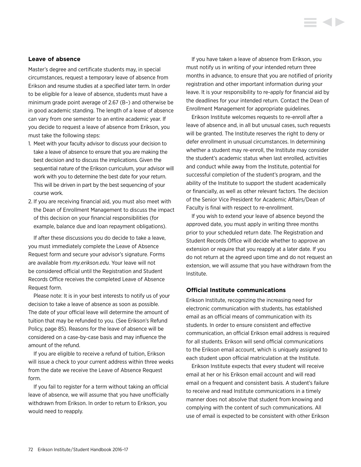#### **Leave of absence**

Master's degree and certificate students may, in special circumstances, request a temporary leave of absence from Erikson and resume studies at a specified later term. In order to be eligible for a leave of absence, students must have a minimum grade point average of 2.67 (B–) and otherwise be in good academic standing. The length of a leave of absence can vary from one semester to an entire academic year. If you decide to request a leave of absence from Erikson, you must take the following steps:

- 1. Meet with your faculty advisor to discuss your decision to take a leave of absence to ensure that you are making the best decision and to discuss the implications. Given the sequential nature of the Erikson curriculum, your advisor will work with you to determine the best date for your return. This will be driven in part by the best sequencing of your course work.
- 2. If you are receiving financial aid, you must also meet with the Dean of Enrollment Management to discuss the impact of this decision on your financial responsibilities (for example, balance due and loan repayment obligations).

If after these discussions you do decide to take a leave, you must immediately complete the Leave of Absence Request form and secure your advisor's signature. Forms are available from *my.erikson.edu*. Your leave will not be considered official until the Registration and Student Records Office receives the completed Leave of Absence Request form.

Please note: It is in your best interests to notify us of your decision to take a leave of absence as soon as possible. The date of your official leave will determine the amount of tuition that may be refunded to you. (See Erikson's Refund Policy, page 85). Reasons for the leave of absence will be considered on a case-by-case basis and may influence the amount of the refund.

If you are eligible to receive a refund of tuition, Erikson will issue a check to your current address within three weeks from the date we receive the Leave of Absence Request form.

If you fail to register for a term without taking an official leave of absence, we will assume that you have unofficially withdrawn from Erikson. In order to return to Erikson, you would need to reapply.

If you have taken a leave of absence from Erikson, you must notify us in writing of your intended return three months in advance, to ensure that you are notified of priority registration and other important information during your leave. It is your responsibility to re-apply for financial aid by the deadlines for your intended return. Contact the Dean of Enrollment Management for appropriate guidelines.

Erikson Institute welcomes requests to re-enroll after a leave of absence and, in all but unusual cases, such requests will be granted. The Institute reserves the right to deny or defer enrollment in unusual circumstances. In determining whether a student may re-enroll, the Institute may consider the student's academic status when last enrolled, activities and conduct while away from the Institute, potential for successful completion of the student's program, and the ability of the Institute to support the student academically or financially, as well as other relevant factors. The decision of the Senior Vice President for Academic Affairs/Dean of Faculty is final with respect to re-enrollment.

If you wish to extend your leave of absence beyond the approved date, you must apply in writing three months prior to your scheduled return date. The Registration and Student Records Office will decide whether to approve an extension or require that you reapply at a later date. If you do not return at the agreed upon time and do not request an extension, we will assume that you have withdrawn from the Institute.

# **Official Institute communications**

Erikson Institute, recognizing the increasing need for electronic communication with students, has established email as an official means of communication with its students. In order to ensure consistent and effective communication, an official Erikson email address is required for all students. Erikson will send official communications to the Erikson email account, which is uniquely assigned to each student upon official matriculation at the Institute.

Erikson Institute expects that every student will receive email at her or his Erikson email account and will read email on a frequent and consistent basis. A student's failure to receive and read Institute communications in a timely manner does not absolve that student from knowing and complying with the content of such communications. All use of email is expected to be consistent with other Erikson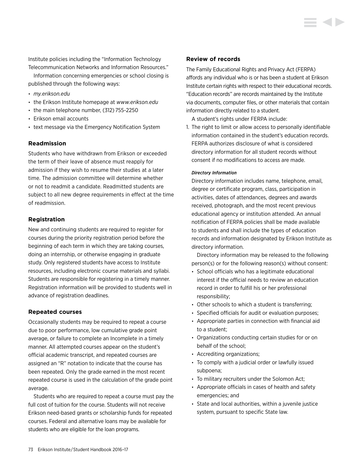Institute policies including the "Information Technology Telecommunication Networks and Information Resources."

Information concerning emergencies or school closing is published through the following ways:

- *my.erikson.edu*
- the Erikson Institute homepage at *<www.erikson.edu>*
- the main telephone number, (312) 755-2250
- Erikson email accounts
- text message via the Emergency Notification System

# **Readmission**

Students who have withdrawn from Erikson or exceeded the term of their leave of absence must reapply for admission if they wish to resume their studies at a later time. The admission committee will determine whether or not to readmit a candidate. Readmitted students are subject to all new degree requirements in effect at the time of readmission.

# **Registration**

New and continuing students are required to register for courses during the priority registration period before the beginning of each term in which they are taking courses, doing an internship, or otherwise engaging in graduate study. Only registered students have access to Institute resources, including electronic course materials and syllabi. Students are responsible for registering in a timely manner. Registration information will be provided to students well in advance of registration deadlines.

# **Repeated courses**

Occasionally students may be required to repeat a course due to poor performance, low cumulative grade point average, or failure to complete an Incomplete in a timely manner. All attempted courses appear on the student's official academic transcript, and repeated courses are assigned an "R" notation to indicate that the course has been repeated. Only the grade earned in the most recent repeated course is used in the calculation of the grade point average.

Students who are required to repeat a course must pay the full cost of tuition for the course. Students will not receive Erikson need-based grants or scholarship funds for repeated courses. Federal and alternative loans may be available for students who are eligible for the loan programs.

#### **Review of records**

The Family Educational Rights and Privacy Act (FERPA) affords any individual who is or has been a student at Erikson Institute certain rights with respect to their educational records. "Education records" are records maintained by the Institute via documents, computer files, or other materials that contain information directly related to a student.

A student's rights under FERPA include:

1. The right to limit or allow access to personally identifiable information contained in the student's education records. FERPA authorizes disclosure of what is considered directory information for all student records without consent if no modifications to access are made.

#### *Directory Information*

Directory information includes name, telephone, email, degree or certificate program, class, participation in activities, dates of attendances, degrees and awards received, photograph, and the most recent previous educational agency or institution attended. An annual notification of FERPA policies shall be made available to students and shall include the types of education records and information designated by Erikson Institute as directory information.

 Directory information may be released to the following person(s) or for the following reason(s) without consent:

- School officials who has a legitimate educational interest if the official needs to review an education record in order to fulfill his or her professional responsibility;
- Other schools to which a student is transferring;
- Specified officials for audit or evaluation purposes;
- Appropriate parties in connection with financial aid to a student;
- Organizations conducting certain studies for or on behalf of the school;
- Accrediting organizations;
- To comply with a judicial order or lawfully issued subpoena;
- To military recruiters under the Solomon Act;
- Appropriate officials in cases of health and safety emergencies; and
- State and local authorities, within a juvenile justice system, pursuant to specific State law.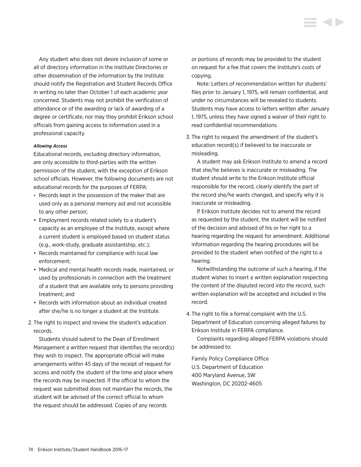Any student who does not desire inclusion of some or all of directory information in the Institute Directories or other dissemination of the information by the Institute should notify the Registration and Student Records Office in writing no later than October 1 of each academic year concerned. Students may not prohibit the verification of attendance or of the awarding or lack of awarding of a degree or certificate, nor may they prohibit Erikson school officials from gaining access to information used in a professional capacity.

#### *Allowing Access*

Educational records, excluding directory information, are only accessible to third-parties with the written permission of the student, with the exception of Erikson school officials. However, the following documents are not educational records for the purposes of FERPA:

- Records kept in the possession of the maker that are used only as a personal memory aid and not accessible to any other person;
- Employment records related solely to a student's capacity as an employee of the Institute, except where a current student is employed based on student status (e.g., work-study, graduate assistantship, etc.);
- Records maintained for compliance with local law enforcement;
- Medical and mental health records made, maintained, or used by professionals in connection with the treatment of a student that are available only to persons providing treatment; and
- Records with information about an individual created after she/he is no longer a student at the Institute.
- 2. The right to inspect and review the student's education records.

 Students should submit to the Dean of Enrollment Management a written request that identifies the record(s) they wish to inspect. The appropriate official will make arrangements within 45 days of the receipt of request for access and notify the student of the time and place where the records may be inspected. If the official to whom the request was submitted does not maintain the records, the student will be advised of the correct official to whom the request should be addressed. Copies of any records

or portions of records may be provided to the student on request for a fee that covers the Institute's costs of copying.

 Note: Letters of recommendation written for students' files prior to January 1, 1975, will remain confidential, and under no circumstances will be revealed to students. Students may have access to letters written after January 1, 1975, unless they have signed a waiver of their right to read confidential recommendations

3. The right to request the amendment of the student's education record(s) if believed to be inaccurate or misleading.

 A student may ask Erikson Institute to amend a record that she/he believes is inaccurate or misleading. The student should write to the Erikson Institute official responsible for the record, clearly identify the part of the record she/he wants changed, and specify why it is inaccurate or misleading.

 If Erikson Institute decides not to amend the record as requested by the student, the student will be notified of the decision and advised of his or her right to a hearing regarding the request for amendment. Additional information regarding the hearing procedures will be provided to the student when notified of the right to a hearing.

 Notwithstanding the outcome of such a hearing, if the student wishes to insert a written explanation respecting the content of the disputed record into the record, such written explanation will be accepted and included in the record.

4. The right to file a formal complaint with the U.S. Department of Education concerning alleged failures by Erikson Institute in FERPA compliance.

 Complaints regarding alleged FERPA violations should be addressed to:

Family Policy Compliance Office U.S. Department of Education 400 Maryland Avenue, SW Washington, DC 20202-4605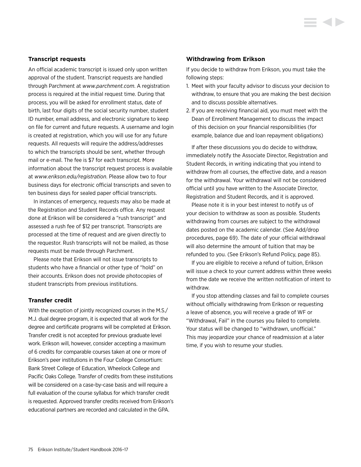## **Transcript requests**

An official academic transcript is issued only upon written approval of the student. Transcript requests are handled through Parchment at *<www.parchment.com>*. A registration process is required at the initial request time. During that process, you will be asked for enrollment status, date of birth, last four digits of the social security number, student ID number, email address, and electronic signature to keep on file for current and future requests. A username and login is created at registration, which you will use for any future requests. All requests will require the address/addresses to which the transcripts should be sent, whether through mail or e-mail. The fee is \$7 for each transcript. More information about the transcript request process is available at *<www.erikson.edu/registration>*. Please allow two to four business days for electronic official transcripts and seven to ten business days for sealed paper official transcripts.

In instances of emergency, requests may also be made at the Registration and Student Records office. Any request done at Erikson will be considered a "rush transcript" and assessed a rush fee of \$12 per transcript. Transcripts are processed at the time of request and are given directly to the requestor. Rush transcripts will not be mailed, as those requests must be made through Parchment.

Please note that Erikson will not issue transcripts to students who have a financial or other type of "hold" on their accounts. Erikson does not provide photocopies of student transcripts from previous institutions.

#### **Transfer credit**

With the exception of jointly recognized courses in the M.S./ M.J. dual degree program, it is expected that all work for the degree and certificate programs will be completed at Erikson. Transfer credit is not accepted for previous graduate level work. Erikson will, however, consider accepting a maximum of 6 credits for comparable courses taken at one or more of Erikson's peer institutions in the Four College Consortium: Bank Street College of Education, Wheelock College and Pacific Oaks College. Transfer of credits from these institutions will be considered on a case-by-case basis and will require a full evaluation of the course syllabus for which transfer credit is requested. Approved transfer credits received from Erikson's educational partners are recorded and calculated in the GPA.

#### **Withdrawing from Erikson**

If you decide to withdraw from Erikson, you must take the following steps:

- 1. Meet with your faculty advisor to discuss your decision to withdraw, to ensure that you are making the best decision and to discuss possible alternatives.
- 2. If you are receiving financial aid, you must meet with the Dean of Enrollment Management to discuss the impact of this decision on your financial responsibilities (for example, balance due and loan repayment obligations)

If after these discussions you do decide to withdraw, immediately notify the Associate Director, Registration and Student Records, in writing indicating that you intend to withdraw from all courses, the effective date, and a reason for the withdrawal. Your withdrawal will not be considered official until you have written to the Associate Director, Registration and Student Records, and it is approved.

Please note it is in your best interest to notify us of your decision to withdraw as soon as possible. Students withdrawing from courses are subject to the withdrawal dates posted on the academic calendar. (See Add/drop procedures, page 69). The date of your official withdrawal will also determine the amount of tuition that may be refunded to you. (See Erikson's Refund Policy, page 85).

If you are eligible to receive a refund of tuition, Erikson will issue a check to your current address within three weeks from the date we receive the written notification of intent to withdraw.

If you stop attending classes and fail to complete courses without officially withdrawing from Erikson or requesting a leave of absence, you will receive a grade of WF or "Withdrawal, Fail" in the courses you failed to complete. Your status will be changed to "withdrawn, unofficial." This may jeopardize your chance of readmission at a later time, if you wish to resume your studies.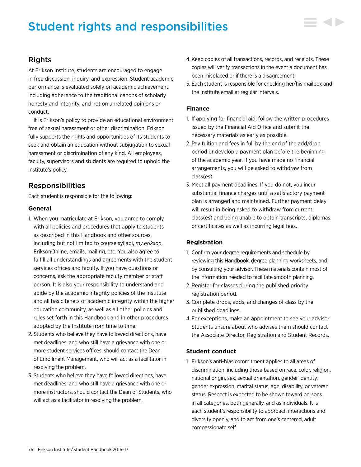# Student rights and responsibilities



# Rights

At Erikson Institute, students are encouraged to engage in free discussion, inquiry, and expression. Student academic performance is evaluated solely on academic achievement, including adherence to the traditional canons of scholarly honesty and integrity, and not on unrelated opinions or conduct.

It is Erikson's policy to provide an educational environment free of sexual harassment or other discrimination. Erikson fully supports the rights and opportunities of its students to seek and obtain an education without subjugation to sexual harassment or discrimination of any kind. All employees, faculty, supervisors and students are required to uphold the Institute's policy.

# Responsibilities

Each student is responsible for the following:

# **General**

- 1. When you matriculate at Erikson, you agree to comply with all policies and procedures that apply to students as described in this Handbook and other sources, including but not limited to course syllabi, *my.erikson*, EriksonOnline, emails, mailing, etc. You also agree to fulfill all understandings and agreements with the student services offices and faculty. If you have questions or concerns, ask the appropriate faculty member or staff person. It is also your responsibility to understand and abide by the academic integrity policies of the Institute and all basic tenets of academic integrity within the higher education community, as well as all other policies and rules set forth in this Handbook and in other procedures adopted by the Institute from time to time.
- 2. Students who believe they have followed directions, have met deadlines, and who still have a grievance with one or more student services offices, should contact the Dean of Enrollment Management, who will act as a facilitator in resolving the problem.
- 3. Students who believe they have followed directions, have met deadlines, and who still have a grievance with one or more instructors, should contact the Dean of Students, who will act as a facilitator in resolving the problem.
- 4. Keep copies of all transactions, records, and receipts. These copies will verify transactions in the event a document has been misplaced or if there is a disagreement.
- 5. Each student is responsible for checking her/his mailbox and the Institute email at regular intervals.

# **Finance**

- 1. If applying for financial aid, follow the written procedures issued by the Financial Aid Office and submit the necessary materials as early as possible.
- 2. Pay tuition and fees in full by the end of the add/drop period or develop a payment plan before the beginning of the academic year. If you have made no financial arrangements, you will be asked to withdraw from class(es).
- 3. Meet all payment deadlines. If you do not, you incur substantial finance charges until a satisfactory payment plan is arranged and maintained. Further payment delay will result in being asked to withdraw from current class(es) and being unable to obtain transcripts, diplomas, or certificates as well as incurring legal fees.

# **Registration**

- 1. Confirm your degree requirements and schedule by reviewing this Handbook, degree planning worksheets, and by consulting your advisor. These materials contain most of the information needed to facilitate smooth planning.
- 2. Register for classes during the published priority registration period.
- 3. Complete drops, adds, and changes of class by the published deadlines.
- 4. For exceptions, make an appointment to see your advisor. Students unsure about who advises them should contact the Associate Director, Registration and Student Records.

# **Student conduct**

1. Erikson's anti-bias commitment applies to all areas of discrimination, including those based on race, color, religion, national origin, sex, sexual orientation, gender identity, gender expression, marital status, age, disability, or veteran status. Respect is expected to be shown toward persons in all categories, both generally, and as individuals. It is each student's responsibility to approach interactions and diversity openly, and to act from one's centered, adult compassionate self.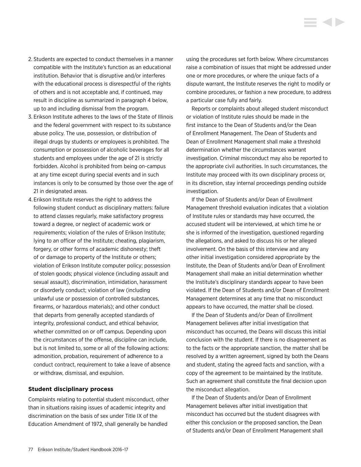- 2. Students are expected to conduct themselves in a manner compatible with the Institute's function as an educational institution. Behavior that is disruptive and/or interferes with the educational process is disrespectful of the rights of others and is not acceptable and, if continued, may result in discipline as summarized in paragraph 4 below, up to and including dismissal from the program.
- 3. Erikson Institute adheres to the laws of the State of Illinois and the federal government with respect to its substance abuse policy. The use, possession, or distribution of illegal drugs by students or employees is prohibited. The consumption or possession of alcoholic beverages for all students and employees under the age of 21 is strictly forbidden. Alcohol is prohibited from being on-campus at any time except during special events and in such instances is only to be consumed by those over the age of 21 in designated areas.
- 4. Erikson Institute reserves the right to address the following student conduct as disciplinary matters: failure to attend classes regularly, make satisfactory progress toward a degree, or neglect of academic work or requirements; violation of the rules of Erikson Institute; lying to an officer of the Institute; cheating, plagiarism, forgery, or other forms of academic dishonesty; theft of or damage to property of the Institute or others; violation of Erikson Institute computer policy; possession of stolen goods; physical violence (including assault and sexual assault), discrimination, intimidation, harassment or disorderly conduct; violation of law (including unlawful use or possession of controlled substances, firearms, or hazardous materials); and other conduct that departs from generally accepted standards of integrity, professional conduct, and ethical behavior, whether committed on or off campus. Depending upon the circumstances of the offense, discipline can include, but is not limited to, some or all of the following actions: admonition, probation, requirement of adherence to a conduct contract, requirement to take a leave of absence or withdraw, dismissal, and expulsion.

#### **Student disciplinary process**

Complaints relating to potential student misconduct, other than in situations raising issues of academic integrity and discrimination on the basis of sex under Title IX of the Education Amendment of 1972, shall generally be handled

using the procedures set forth below. Where circumstances raise a combination of issues that might be addressed under one or more procedures, or where the unique facts of a dispute warrant, the Institute reserves the right to modify or combine procedures, or fashion a new procedure, to address a particular case fully and fairly.

**KID** 

Reports or complaints about alleged student misconduct or violation of Institute rules should be made in the first instance to the Dean of Students and/or the Dean of Enrollment Management. The Dean of Students and Dean of Enrollment Management shall make a threshold determination whether the circumstances warrant investigation. Criminal misconduct may also be reported to the appropriate civil authorities. In such circumstances, the Institute may proceed with its own disciplinary process or, in its discretion, stay internal proceedings pending outside investigation.

If the Dean of Students and/or Dean of Enrollment Management threshold evaluation indicates that a violation of Institute rules or standards may have occurred, the accused student will be interviewed, at which time he or she is informed of the investigation, questioned regarding the allegations, and asked to discuss his or her alleged involvement. On the basis of this interview and any other initial investigation considered appropriate by the Institute, the Dean of Students and/or Dean of Enrollment Management shall make an initial determination whether the Institute's disciplinary standards appear to have been violated. If the Dean of Students and/or Dean of Enrollment Management determines at any time that no misconduct appears to have occurred, the matter shall be closed.

If the Dean of Students and/or Dean of Enrollment Management believes after initial investigation that misconduct has occurred, the Deans will discuss this initial conclusion with the student. If there is no disagreement as to the facts or the appropriate sanction, the matter shall be resolved by a written agreement, signed by both the Deans and student, stating the agreed facts and sanction, with a copy of the agreement to be maintained by the Institute. Such an agreement shall constitute the final decision upon the misconduct allegation.

If the Dean of Students and/or Dean of Enrollment Management believes after initial investigation that misconduct has occurred but the student disagrees with either this conclusion or the proposed sanction, the Dean of Students and/or Dean of Enrollment Management shall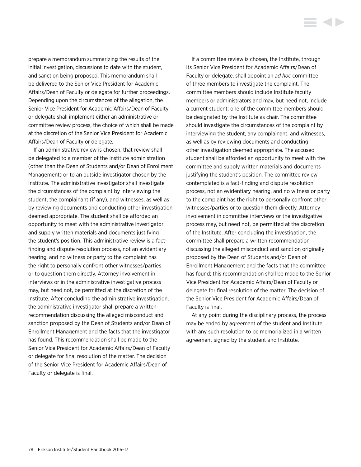prepare a memorandum summarizing the results of the initial investigation, discussions to date with the student, and sanction being proposed. This memorandum shall be delivered to the Senior Vice President for Academic Affairs/Dean of Faculty or delegate for further proceedings. Depending upon the circumstances of the allegation, the Senior Vice President for Academic Affairs/Dean of Faculty or delegate shall implement either an administrative or committee review process, the choice of which shall be made at the discretion of the Senior Vice President for Academic Affairs/Dean of Faculty or delegate.

If an administrative review is chosen, that review shall be delegated to a member of the Institute administration (other than the Dean of Students and/or Dean of Enrollment Management) or to an outside investigator chosen by the Institute. The administrative investigator shall investigate the circumstances of the complaint by interviewing the student, the complainant (if any), and witnesses, as well as by reviewing documents and conducting other investigation deemed appropriate. The student shall be afforded an opportunity to meet with the administrative investigator and supply written materials and documents justifying the student's position. This administrative review is a factfinding and dispute resolution process, not an evidentiary hearing, and no witness or party to the complaint has the right to personally confront other witnesses/parties or to question them directly. Attorney involvement in interviews or in the administrative investigative process may, but need not, be permitted at the discretion of the Institute. After concluding the administrative investigation, the administrative investigator shall prepare a written recommendation discussing the alleged misconduct and sanction proposed by the Dean of Students and/or Dean of Enrollment Management and the facts that the investigator has found. This recommendation shall be made to the Senior Vice President for Academic Affairs/Dean of Faculty or delegate for final resolution of the matter. The decision of the Senior Vice President for Academic Affairs/Dean of Faculty or delegate is final.

If a committee review is chosen, the Institute, through its Senior Vice President for Academic Affairs/Dean of Faculty or delegate, shall appoint an *ad hoc* committee of three members to investigate the complaint. The committee members should include Institute faculty members or administrators and may, but need not, include a current student; one of the committee members should be designated by the Institute as chair. The committee should investigate the circumstances of the complaint by interviewing the student, any complainant, and witnesses, as well as by reviewing documents and conducting other investigation deemed appropriate. The accused student shall be afforded an opportunity to meet with the committee and supply written materials and documents justifying the student's position. The committee review contemplated is a fact-finding and dispute resolution process, not an evidentiary hearing, and no witness or party to the complaint has the right to personally confront other witnesses/parties or to question them directly. Attorney involvement in committee interviews or the investigative process may, but need not, be permitted at the discretion of the Institute. After concluding the investigation, the committee shall prepare a written recommendation discussing the alleged misconduct and sanction originally proposed by the Dean of Students and/or Dean of Enrollment Management and the facts that the committee has found; this recommendation shall be made to the Senior Vice President for Academic Affairs/Dean of Faculty or delegate for final resolution of the matter. The decision of the Senior Vice President for Academic Affairs/Dean of Faculty is final.

At any point during the disciplinary process, the process may be ended by agreement of the student and Institute, with any such resolution to be memorialized in a written agreement signed by the student and Institute.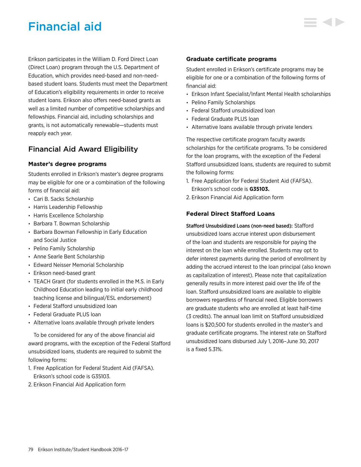# Financial aid

Erikson participates in the William D. Ford Direct Loan (Direct Loan) program through the U.S. Department of Education, which provides need-based and non-needbased student loans. Students must meet the Department of Education's eligibility requirements in order to receive student loans. Erikson also offers need-based grants as well as a limited number of competitive scholarships and fellowships. Financial aid, including scholarships and grants, is not automatically renewable—students must reapply each year.

# Financial Aid Award Eligibility

# **Master's degree programs**

Students enrolled in Erikson's master's degree programs may be eligible for one or a combination of the following forms of financial aid:

- Cari B. Sacks Scholarship
- Harris Leadership Fellowship
- Harris Excellence Scholarship
- Barbara T. Bowman Scholarship
- Barbara Bowman Fellowship in Early Education and Social Justice
- Pelino Family Scholarship
- Anne Searle Bent Scholarship
- Edward Neisser Memorial Scholarship
- Erikson need-based grant
- TEACH Grant (for students enrolled in the M.S. in Early Childhood Education leading to initial early childhood teaching license and bilingual/ESL endorsement)
- Federal Stafford unsubsidized loan
- Federal Graduate PLUS loan
- Alternative loans available through private lenders

To be considered for any of the above financial aid award programs, with the exception of the Federal Stafford unsubsidized loans, students are required to submit the following forms:

- 1. Free Application for Federal Student Aid (FAFSA). Erikson's school code is G35103.
- 2. Erikson Financial Aid Application form

# **Graduate certificate programs**

Student enrolled in Erikson's certificate programs may be eligible for one or a combination of the following forms of financial aid:

- Erikson Infant Specialist/Infant Mental Health scholarships
- Pelino Family Scholarships
- Federal Stafford unsubsidized loan
- Federal Graduate PLUS loan
- Alternative loans available through private lenders

The respective certificate program faculty awards scholarships for the certificate programs. To be considered for the loan programs, with the exception of the Federal Stafford unsubsidized loans, students are required to submit the following forms:

- 1. Free Application for Federal Student Aid (FAFSA). Erikson's school code is **G35103.**
- 2. Erikson Financial Aid Application form

# **Federal Direct Stafford Loans**

Stafford Unsubsidized Loans (non-need based): Stafford unsubsidized loans accrue interest upon disbursement of the loan and students are responsible for paying the interest on the loan while enrolled. Students may opt to defer interest payments during the period of enrollment by adding the accrued interest to the loan principal (also known as capitalization of interest). Please note that capitalization generally results in more interest paid over the life of the loan. Stafford unsubsidized loans are available to eligible borrowers regardless of financial need. Eligible borrowers are graduate students who are enrolled at least half-time (3 credits). The annual loan limit on Stafford unsubsidized loans is \$20,500 for students enrolled in the master's and graduate certificate programs. The interest rate on Stafford unsubsidized loans disbursed July 1, 2016–June 30, 2017 is a fixed 5.31%.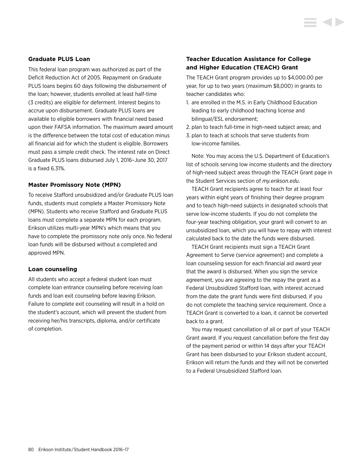## **Graduate PLUS Loan**

This federal loan program was authorized as part of the Deficit Reduction Act of 2005. Repayment on Graduate PLUS loans begins 60 days following the disbursement of the loan; however, students enrolled at least half-time (3 credits) are eligible for deferment. Interest begins to accrue upon disbursement. Graduate PLUS loans are available to eligible borrowers with financial need based upon their FAFSA information. The maximum award amount is the difference between the total cost of education minus all financial aid for which the student is eligible. Borrowers must pass a simple credit check. The interest rate on Direct Graduate PLUS loans disbursed July 1, 2016–June 30, 2017 is a fixed 6.31%.

## **Master Promissory Note (MPN)**

To receive Stafford unsubsidized and/or Graduate PLUS loan funds, students must complete a Master Promissory Note (MPN). Students who receive Stafford and Graduate PLUS loans must complete a separate MPN for each program. Erikson utilizes multi-year MPN's which means that you have to complete the promissory note only once. No federal loan funds will be disbursed without a completed and approved MPN.

#### **Loan counseling**

All students who accept a federal student loan must complete loan entrance counseling before receiving loan funds and loan exit counseling before leaving Erikson. Failure to complete exit counseling will result in a hold on the student's account, which will prevent the student from receiving her/his transcripts, diploma, and/or certificate of completion.

# **Teacher Education Assistance for College and Higher Education (TEACH) Grant**

The TEACH Grant program provides up to \$4,000.00 per year, for up to two years (maximum \$8,000) in grants to teacher candidates who:

- 1. are enrolled in the M.S. in Early Childhood Education leading to early childhood teaching license and bilingual/ESL endorsement;
- 2. plan to teach full-time in high-need subject areas; and
- 3. plan to teach at schools that serve students from low-income families.

Note: You may access the U.S. Department of Education's list of schools serving low income students and the directory of high-need subject areas through the TEACH Grant page in the Student Services section of *my.erikson.edu*.

TEACH Grant recipients agree to teach for at least four years within eight years of finishing their degree program and to teach high-need subjects in designated schools that serve low-income students. If you do not complete the four-year teaching obligation, your grant will convert to an unsubsidized loan, which you will have to repay with interest calculated back to the date the funds were disbursed.

TEACH Grant recipients must sign a TEACH Grant Agreement to Serve (service agreement) and complete a loan counseling session for each financial aid award year that the award is disbursed. When you sign the service agreement, you are agreeing to the repay the grant as a Federal Unsubsidized Stafford loan, with interest accrued from the date the grant funds were first disbursed, if you do not complete the teaching service requirement. Once a TEACH Grant is converted to a loan, it cannot be converted back to a grant.

You may request cancellation of all or part of your TEACH Grant award. If you request cancellation before the first day of the payment period or within 14 days after your TEACH Grant has been disbursed to your Erikson student account, Erikson will return the funds and they will not be converted to a Federal Unsubsidized Stafford loan.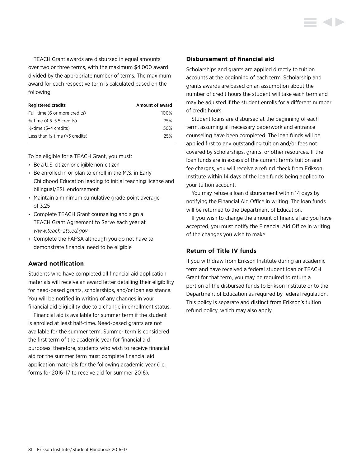TEACH Grant awards are disbursed in equal amounts over two or three terms, with the maximum \$4,000 award divided by the appropriate number of terms. The maximum award for each respective term is calculated based on the following:

| <b>Registered credits</b>                  | Amount of award |
|--------------------------------------------|-----------------|
| Full-time (6 or more credits)              | 100%            |
| 3/ <sub>4</sub> -time (4.5–5.5 credits)    | 75%             |
| $\frac{1}{2}$ -time (3–4 credits)          | 50%             |
| Less than $\frac{1}{2}$ -time (<3 credits) | 25%             |

To be eligible for a TEACH Grant, you must:

- Be a U.S. citizen or eligible non-citizen
- Be enrolled in or plan to enroll in the M.S. in Early Childhood Education leading to initial teaching license and bilingual/ESL endorsement
- Maintain a minimum cumulative grade point average of 3.25
- Complete TEACH Grant counseling and sign a TEACH Grant Agreement to Serve each year at *<www.teach-ats.ed.gov>*
- Complete the FAFSA although you do not have to demonstrate financial need to be eligible

# **Award notification**

Students who have completed all financial aid application materials will receive an award letter detailing their eligibility for need-based grants, scholarships, and/or loan assistance. You will be notified in writing of any changes in your financial aid eligibility due to a change in enrollment status.

Financial aid is available for summer term if the student is enrolled at least half-time. Need-based grants are not available for the summer term. Summer term is considered the first term of the academic year for financial aid purposes; therefore, students who wish to receive financial aid for the summer term must complete financial aid application materials for the following academic year (i.e. forms for 2016–17 to receive aid for summer 2016).

# **Disbursement of financial aid**

Scholarships and grants are applied directly to tuition accounts at the beginning of each term. Scholarship and grants awards are based on an assumption about the number of credit hours the student will take each term and may be adjusted if the student enrolls for a different number of credit hours.

Student loans are disbursed at the beginning of each term, assuming all necessary paperwork and entrance counseling have been completed. The loan funds will be applied first to any outstanding tuition and/or fees not covered by scholarships, grants, or other resources. If the loan funds are in excess of the current term's tuition and fee charges, you will receive a refund check from Erikson Institute within 14 days of the loan funds being applied to your tuition account.

You may refuse a loan disbursement within 14 days by notifying the Financial Aid Office in writing. The loan funds will be returned to the Department of Education.

If you wish to change the amount of financial aid you have accepted, you must notify the Financial Aid Office in writing of the changes you wish to make.

# **Return of Title IV funds**

If you withdraw from Erikson Institute during an academic term and have received a federal student loan or TEACH Grant for that term, you may be required to return a portion of the disbursed funds to Erikson Institute or to the Department of Education as required by federal regulation. This policy is separate and distinct from Erikson's tuition refund policy, which may also apply.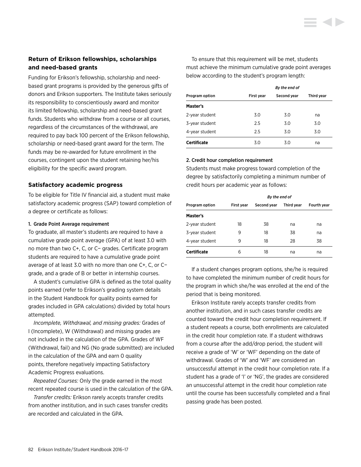# **Return of Erikson fellowships, scholarships and need-based grants**

Funding for Erikson's fellowship, scholarship and needbased grant programs is provided by the generous gifts of donors and Erikson supporters. The Institute takes seriously its responsibility to conscientiously award and monitor its limited fellowship, scholarship and need-based grant funds. Students who withdraw from a course or all courses, regardless of the circumstances of the withdrawal, are required to pay back 100 percent of the Erikson fellowship, scholarship or need-based grant award for the term. The funds may be re-awarded for future enrollment in the courses, contingent upon the student retaining her/his eligibility for the specific award program.

# **Satisfactory academic progress**

To be eligible for Title IV financial aid, a student must make satisfactory academic progress (SAP) toward completion of a degree or certificate as follows:

#### 1. Grade Point Average requirement

To graduate, all master's students are required to have a cumulative grade point average (GPA) of at least 3.0 with no more than two C+, C, or C− grades. Certificate program students are required to have a cumulative grade point average of at least 3.0 with no more than one C+, C, or C− grade, and a grade of B or better in internship courses.

A student's cumulative GPA is defined as the total quality points earned (refer to Erikson's grading system details in the Student Handbook for quality points earned for grades included in GPA calculations) divided by total hours attempted.

*Incomplete, Withdrawal, and missing grades:* Grades of I (Incomplete), W (Withdrawal) and missing grades are not included in the calculation of the GPA. Grades of WF (Withdrawal, fail) and NG (No grade submitted) are included in the calculation of the GPA and earn 0 quality points, therefore negatively impacting Satisfactory Academic Progress evaluations.

*Repeated Courses:* Only the grade earned in the most recent repeated course is used in the calculation of the GPA.

*Transfer credits:* Erikson rarely accepts transfer credits from another institution, and in such cases transfer credits are recorded and calculated in the GPA.

To ensure that this requirement will be met, students must achieve the minimum cumulative grade point averages below according to the student's program length:

|                    | By the end of     |             |            |
|--------------------|-------------------|-------------|------------|
| Program option     | <b>First year</b> | Second year | Third year |
| Master's           |                   |             |            |
| 2-year student     | 3.0               | 3.0         | na         |
| 3-year student     | 2.5               | 3.0         | 3.0        |
| 4-year student     | 2.5               | 3.0         | 3.0        |
| <b>Certificate</b> | 3.0               | 3.0         | na         |

#### 2. Credit hour completion requirement

Students must make progress toward completion of the degree by satisfactorily completing a minimum number of credit hours per academic year as follows:

|                       |            | By the end of |            |             |
|-----------------------|------------|---------------|------------|-------------|
| <b>Program option</b> | First vear | Second year   | Third vear | Fourth year |
| Master's              |            |               |            |             |
| 2-year student        | 18         | 38            | na         | na          |
| 3-year student        | 9          | 18            | 38         | na          |
| 4-year student        | 9          | 18            | 28         | 38          |
| <b>Certificate</b>    | 6          | 18            | na         | na          |

If a student changes program options, she/he is required to have completed the minimum number of credit hours for the program in which she/he was enrolled at the end of the period that is being monitored.

Erikson Institute rarely accepts transfer credits from another institution, and in such cases transfer credits are counted toward the credit hour completion requirement. If a student repeats a course, both enrollments are calculated in the credit hour completion rate. If a student withdraws from a course after the add/drop period, the student will receive a grade of 'W' or 'WF' depending on the date of withdrawal. Grades of 'W' and 'WF' are considered an unsuccessful attempt in the credit hour completion rate. If a student has a grade of 'I' or 'NG', the grades are considered an unsuccessful attempt in the credit hour completion rate until the course has been successfully completed and a final passing grade has been posted.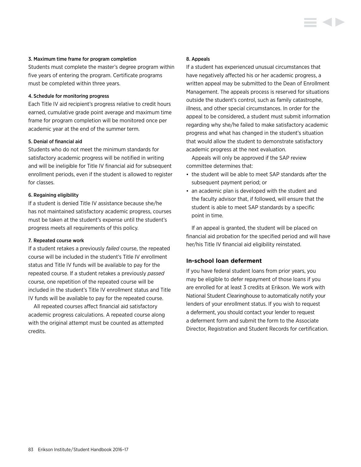#### 3. Maximum time frame for program completion

Students must complete the master's degree program within five years of entering the program. Certificate programs must be completed within three years.

## 4. Schedule for monitoring progress

Each Title IV aid recipient's progress relative to credit hours earned, cumulative grade point average and maximum time frame for program completion will be monitored once per academic year at the end of the summer term.

## 5. Denial of financial aid

Students who do not meet the minimum standards for satisfactory academic progress will be notified in writing and will be ineligible for Title IV financial aid for subsequent enrollment periods, even if the student is allowed to register for classes.

## 6. Regaining eligibility

If a student is denied Title IV assistance because she/he has not maintained satisfactory academic progress, courses must be taken at the student's expense until the student's progress meets all requirements of this policy.

#### 7. Repeated course work

If a student retakes a previously *failed* course, the repeated course will be included in the student's Title IV enrollment status and Title IV funds will be available to pay for the repeated course. If a student retakes a previously *passed* course, one repetition of the repeated course will be included in the student's Title IV enrollment status and Title IV funds will be available to pay for the repeated course.

All repeated courses affect financial aid satisfactory academic progress calculations. A repeated course along with the original attempt must be counted as attempted credits.

#### 8. Appeals

If a student has experienced unusual circumstances that have negatively affected his or her academic progress, a written appeal may be submitted to the Dean of Enrollment Management. The appeals process is reserved for situations outside the student's control, such as family catastrophe, illness, and other special circumstances. In order for the appeal to be considered, a student must submit information regarding why she/he failed to make satisfactory academic progress and what has changed in the student's situation that would allow the student to demonstrate satisfactory academic progress at the next evaluation.

Appeals will only be approved if the SAP review committee determines that:

- the student will be able to meet SAP standards after the subsequent payment period; or
- an academic plan is developed with the student and the faculty advisor that, if followed, will ensure that the student is able to meet SAP standards by a specific point in time.

If an appeal is granted, the student will be placed on financial aid probation for the specified period and will have her/his Title IV financial aid eligibility reinstated.

# **In-school loan deferment**

If you have federal student loans from prior years, you may be eligible to defer repayment of those loans if you are enrolled for at least 3 credits at Erikson. We work with National Student Clearinghouse to automatically notify your lenders of your enrollment status. If you wish to request a deferment, you should contact your lender to request a deferment form and submit the form to the Associate Director, Registration and Student Records for certification.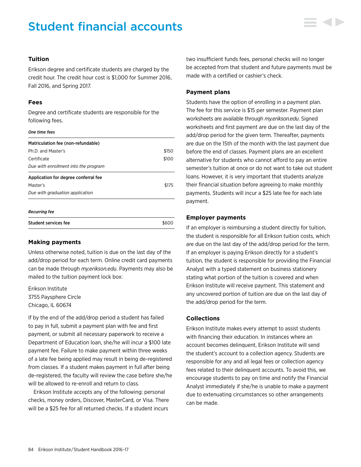# Student financial accounts



### **Tuition**

Erikson degree and certificate students are charged by the credit hour. The credit hour cost is \$1,000 for Summer 2016, Fall 2016, and Spring 2017.

## **Fees**

Degree and certificate students are responsible for the following fees.

### *One time fees*

| Matriculation fee (non-refundable)   |       |
|--------------------------------------|-------|
| Ph.D. and Master's                   | \$150 |
| Certificate                          | \$100 |
| Due with enrollment into the program |       |
| Application for degree conferral fee |       |
| Master's                             | \$175 |
| Due with graduation application      |       |
|                                      |       |

#### *Recurring fee*

| <b>Student services fee</b> | \$600 |
|-----------------------------|-------|
|                             |       |

#### **Making payments**

Unless otherwise noted, tuition is due on the last day of the add/drop period for each term. Online credit card payments can be made through *my.erikson.edu*. Payments may also be mailed to the tuition payment lock box:

Erikson Institute 3755 Paysphere Circle Chicago, IL 60674

If by the end of the add/drop period a student has failed to pay in full, submit a payment plan with fee and first payment, or submit all necessary paperwork to receive a Department of Education loan, she/he will incur a \$100 late payment fee. Failure to make payment within three weeks of a late fee being applied may result in being de-registered from classes. If a student makes payment in full after being de-registered, the faculty will review the case before she/he will be allowed to re-enroll and return to class.

Erikson Institute accepts any of the following: personal checks, money orders, Discover, MasterCard, or Visa. There will be a \$25 fee for all returned checks. If a student incurs

two insufficient funds fees, personal checks will no longer be accepted from that student and future payments must be made with a certified or cashier's check.

### **Payment plans**

Students have the option of enrolling in a payment plan. The fee for this service is \$15 per semester. Payment plan worksheets are available through *my.erikson.edu*. Signed worksheets and first payment are due on the last day of the add/drop period for the given term. Thereafter, payments are due on the 15th of the month with the last payment due before the end of classes. Payment plans are an excellent alternative for students who cannot afford to pay an entire semester's tuition at once or do not want to take out student loans. However, it is very important that students analyze their financial situation before agreeing to make monthly payments. Students will incur a \$25 late fee for each late payment.

## **Employer payments**

If an employer is reimbursing a student directly for tuition, the student is responsible for all Erikson tuition costs, which are due on the last day of the add/drop period for the term. If an employer is paying Erikson directly for a student's tuition, the student is responsible for providing the Financial Analyst with a typed statement on business stationery stating what portion of the tuition is covered and when Erikson Institute will receive payment. This statement and any uncovered portion of tuition are due on the last day of the add/drop period for the term.

# **Collections**

Erikson Institute makes every attempt to assist students with financing their education. In instances where an account becomes delinquent, Erikson Institute will send the student's account to a collection agency. Students are responsible for any and all legal fees or collection agency fees related to their delinquent accounts. To avoid this, we encourage students to pay on time and notify the Financial Analyst immediately if she/he is unable to make a payment due to extenuating circumstances so other arrangements can be made.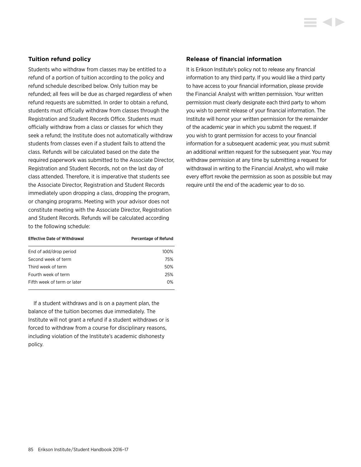# **Tuition refund policy**

Students who withdraw from classes may be entitled to a refund of a portion of tuition according to the policy and refund schedule described below. Only tuition may be refunded; all fees will be due as charged regardless of when refund requests are submitted. In order to obtain a refund, students must officially withdraw from classes through the Registration and Student Records Office. Students must officially withdraw from a class or classes for which they seek a refund; the Institute does not automatically withdraw students from classes even if a student fails to attend the class. Refunds will be calculated based on the date the required paperwork was submitted to the Associate Director, Registration and Student Records, not on the last day of class attended. Therefore, it is imperative that students see the Associate Director, Registration and Student Records immediately upon dropping a class, dropping the program, or changing programs. Meeting with your advisor does not constitute meeting with the Associate Director, Registration and Student Records. Refunds will be calculated according to the following schedule:

| <b>Effective Date of Withdrawal</b> | Percentage of Refund |
|-------------------------------------|----------------------|
| End of add/drop period              | 100%                 |
| Second week of term                 | 75%                  |
| Third week of term                  | 50%                  |
| Fourth week of term                 | 25%                  |
| Fifth week of term or later         | 0%                   |

If a student withdraws and is on a payment plan, the balance of the tuition becomes due immediately. The Institute will not grant a refund if a student withdraws or is forced to withdraw from a course for disciplinary reasons, including violation of the Institute's academic dishonesty policy.

#### **Release of financial information**

It is Erikson Institute's policy not to release any financial information to any third party. If you would like a third party to have access to your financial information, please provide the Financial Analyst with written permission. Your written permission must clearly designate each third party to whom you wish to permit release of your financial information. The Institute will honor your written permission for the remainder of the academic year in which you submit the request. If you wish to grant permission for access to your financial information for a subsequent academic year, you must submit an additional written request for the subsequent year. You may withdraw permission at any time by submitting a request for withdrawal in writing to the Financial Analyst, who will make every effort revoke the permission as soon as possible but may require until the end of the academic year to do so.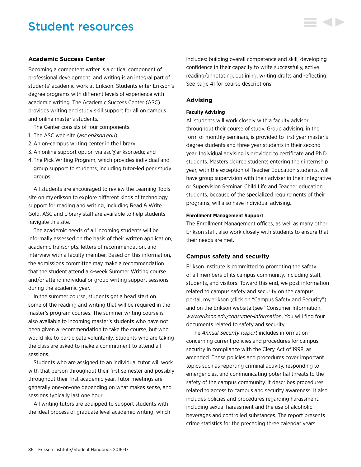# Student resources

# **Academic Success Center**

Becoming a competent writer is a critical component of professional development, and writing is an integral part of students' academic work at Erikson. Students enter Erikson's degree programs with different levels of experience with academic writing. The Academic Success Center (ASC) provides writing and study skill support for all on campus and online master's students.

The Center consists of four components:

- 1. The ASC web site (*asc.erikson.edu*);
- 2. An on-campus writing center in the library;
- 3. An online support option via asc@erikson.edu; and
- 4. The Pick Writing Program, which provides individual and group support to students, including tutor-led peer study groups.

All students are encouraged to review the Learning Tools site on my.erikson to explore different kinds of technology support for reading and writing, including Read & Write Gold. ASC and Library staff are available to help students navigate this site.

The academic needs of all incoming students will be informally assessed on the basis of their written application, academic transcripts, letters of recommendation, and interview with a faculty member. Based on this information, the admissions committee may make a recommendation that the student attend a 4-week Summer Writing course and/or attend individual or group writing support sessions during the academic year.

In the summer course, students get a head start on some of the reading and writing that will be required in the master's program courses. The summer writing course is also available to incoming master's students who have not been given a recommendation to take the course, but who would like to participate voluntarily. Students who are taking the class are asked to make a commitment to attend all sessions.

Students who are assigned to an individual tutor will work with that person throughout their first semester and possibly throughout their first academic year. Tutor meetings are generally one-on-one depending on what makes sense, and sessions typically last one hour.

All writing tutors are equipped to support students with the ideal process of graduate level academic writing, which includes: building overall competence and skill, developing confidence in their capacity to write successfully, active reading/annotating, outlining, writing drafts and reflecting. See page 41 for course descriptions.

#### **Advising**

#### **Faculty Advising**

All students will work closely with a faculty advisor throughout their course of study. Group advising, in the form of monthly seminars, is provided to first year master's degree students and three year students in their second year. Individual advising is provided to certificate and Ph.D. students. Masters degree students entering their internship year, with the exception of Teacher Education students, will have group supervision with their adviser in their Integrative or Supervision Seminar. Child Life and Teacher education students, because of the specialized requirements of their programs, will also have individual advising.

#### **Enrollment Management Support**

The Enrollment Management offices, as well as many other Erikson staff, also work closely with students to ensure that their needs are met.

#### **Campus safety and security**

Erikson Institute is committed to promoting the safety of all members of its campus community, including staff, students, and visitors. Toward this end, we post information related to campus safety and security on the campus portal, my.erikson (click on "Campus Safety and Security") and on the Erikson website (see "Consumer Information," *[www.erikson.edu/consumer-information](http://www.erikson.edu/consumer-information)*. You will find four documents related to safety and security.

The *Annual Security Report* includes information concerning current policies and procedures for campus security in compliance with the Clery Act of 1998, as amended. These policies and procedures cover important topics such as reporting criminal activity, responding to emergencies, and communicating potential threats to the safety of the campus community. It describes procedures related to access to campus and security awareness. It also includes policies and procedures regarding harassment, including sexual harassment and the use of alcoholic beverages and controlled substances. The report presents crime statistics for the preceding three calendar years.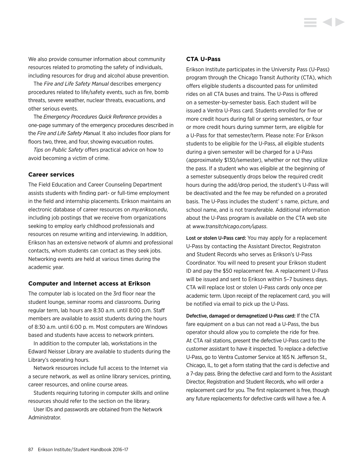We also provide consumer information about community resources related to promoting the safety of individuals, including resources for drug and alcohol abuse prevention.

The *Fire and Life Safety Manual* describes emergency procedures related to life/safety events, such as fire, bomb threats, severe weather, nuclear threats, evacuations, and other serious events.

The *Emergency Procedures Quick Reference* provides a one-page summary of the emergency procedures described in the *Fire and Life Safety Manual.* It also includes floor plans for floors two, three, and four, showing evacuation routes.

*Tips on Public Safety* offers practical advice on how to avoid becoming a victim of crime.

# **Career services**

The Field Education and Career Counseling Department assists students with finding part- or full-time employment in the field and internship placements. Erikson maintains an electronic database of career resources on *my.erikson.edu*, including job postings that we receive from organizations seeking to employ early childhood professionals and resources on resume writing and interviewing. In addition, Erikson has an extensive network of alumni and professional contacts, whom students can contact as they seek jobs. Networking events are held at various times during the academic year.

#### **Computer and Internet access at Erikson**

The computer lab is located on the 3rd floor near the student lounge, seminar rooms and classrooms. During regular term, lab hours are 8:30 a.m. until 8:00 p.m. Staff members are available to assist students during the hours of 8:30 a.m. until 6:00 p. m. Most computers are Windows based and students have access to network printers.

In addition to the computer lab, workstations in the Edward Neisser Library are available to students during the Library's operating hours.

Network resources include full access to the Internet via a secure network, as well as online library services, printing, career resources, and online course areas.

Students requiring tutoring in computer skills and online resources should refer to the section on the library.

User IDs and passwords are obtained from the Network Administrator.

### **CTA U-Pass**

Erikson Institute participates in the University Pass (U-Pass) program through the Chicago Transit Authority (CTA), which offers eligible students a discounted pass for unlimited rides on all CTA buses and trains. The U-Pass is offered on a semester-by-semester basis. Each student will be issued a Ventra U-Pass card. Students enrolled for five or more credit hours during fall or spring semesters, or four or more credit hours during summer term, are eligible for a U-Pass for that semester/term. Please note: For Erikson students to be eligible for the U-Pass, all eligible students during a given semester will be charged for a U-Pass (approximately \$130/semester), whether or not they utilize the pass. If a student who was eligible at the beginning of a semester subsequently drops below the required credit hours during the add/drop period, the student's U-Pass will be deactivated and the fee may be refunded on a prorated basis. The U-Pass includes the student' s name, picture, and school name, and is not transferable. Additional information about the U-Pass program is available on the CTA web site at *<www.transitchicago.com/upass>*.

Lost or stolen U-Pass card: You may apply for a replacement U-Pass by contacting the Assistant Director, Registraton and Student Records who serves as Erikson's U-Pass Coordinator. You will need to present your Erikson student ID and pay the \$50 replacement fee. A replacement U-Pass will be issued and sent to Erikson within 5–7 business days. CTA will replace lost or stolen U-Pass cards only once per academic term. Upon receipt of the replacement card, you will be notified via email to pick up the U-Pass.

Defective, damaged or demagnetized U-Pass card: If the CTA fare equipment on a bus can not read a U-Pass, the bus operator should allow you to complete the ride for free. At CTA rail stations, present the defective U-Pass card to the customer assistant to have it inspected. To replace a defective U-Pass, go to Ventra Customer Service at 165 N. Jefferson St., Chicago, IL, to get a form stating that the card is defective and a 7-day pass. Bring the defective card and form to the Assistant Director, Registration and Student Records, who will order a replacement card for you. The first replacement is free, though any future replacements for defective cards will have a fee. A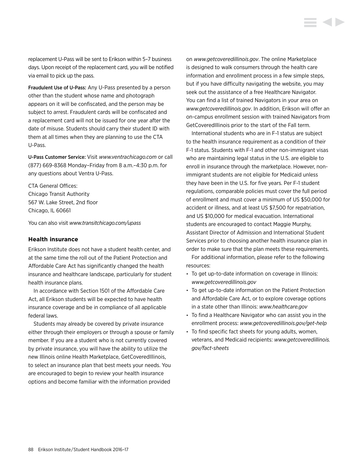replacement U-Pass will be sent to Erikson within 5–7 business days. Upon receipt of the replacement card, you will be notified via email to pick up the pass.

Fraudulent Use of U-Pass: Any U-Pass presented by a person other than the student whose name and photograph appears on it will be confiscated, and the person may be subject to arrest. Fraudulent cards will be confiscated and a replacement card will not be issued for one year after the date of misuse. Students should carry their student ID with them at all times when they are planning to use the CTA U-Pass.

U-Pass Customer Service: Visit *<www.ventrachicago.com>* or call (877) 669-8368 Monday–Friday from 8 a.m.–4:30 p.m. for any questions about Ventra U-Pass.

CTA General Offices: Chicago Transit Authority 567 W. Lake Street, 2nd floor Chicago, IL 60661

You can also visit *<www.transitchicago.com/upass>*

#### **Health insurance**

Erikson Institute does not have a student health center, and at the same time the roll out of the Patient Protection and Affordable Care Act has significantly changed the health insurance and healthcare landscape, particularly for student health insurance plans.

In accordance with Section 1501 of the Affordable Care Act, all Erikson students will be expected to have health insurance coverage and be in compliance of all applicable federal laws.

Students may already be covered by private insurance either through their employers or through a spouse or family member. If you are a student who is not currently covered by private insurance, you will have the ability to utilize the new Illinois online Health Marketplace, GetCoveredIllinois, to select an insurance plan that best meets your needs. You are encouraged to begin to review your health insurance options and become familiar with the information provided

on *<www.getcoveredillinois.gov>*. The online Marketplace is designed to walk consumers through the health care information and enrollment process in a few simple steps, but if you have difficulty navigating the website, you may seek out the assistance of a free Healthcare Navigator. You can find a list of trained Navigators in your area on *<www.getcoveredillinois.gov>*. In addition, Erikson will offer an on-campus enrollment session with trained Navigators from GetCoveredIllinois prior to the start of the Fall term.

International students who are in F-1 status are subject to the health insurance requirement as a condition of their F-1 status. Students with F-1 and other non-immigrant visas who are maintaining legal status in the U.S. are eligible to enroll in insurance through the marketplace. However, nonimmigrant students are not eligible for Medicaid unless they have been in the U.S. for five years. Per F-1 student regulations, comparable policies must cover the full period of enrollment and must cover a minimum of US \$50,000 for accident or illness, and at least US \$7,500 for repatriation, and US \$10,000 for medical evacuation. International students are encouraged to contact Maggie Murphy, Assistant Director of Admission and International Student Services prior to choosing another health insurance plan in order to make sure that the plan meets these requirements.

For additional information, please refer to the following resources:

- To get up-to-date information on coverage in Illinois: *[www.getcoveredillinois.gov](http://www.getcoveredillinois.gov)*
- To get up-to-date information on the Patient Protection and Affordable Care Act, or to explore coverage options in a state other than Illinois: *[www.healthcare.gov](http://www.healthcare.gov)*
- To find a Healthcare Navigator who can assist you in the enrollment process: *[www.getcoveredillinois.gov/get-help](http://www.getcoveredillinois.gov/get-help)*
- To find specific fact sheets for young adults, women, veterans, and Medicaid recipients: *[www.getcoveredillinois.](http://www.getcoveredillinois.gov/fact-sheets) [gov/fact-sheets](http://www.getcoveredillinois.gov/fact-sheets)*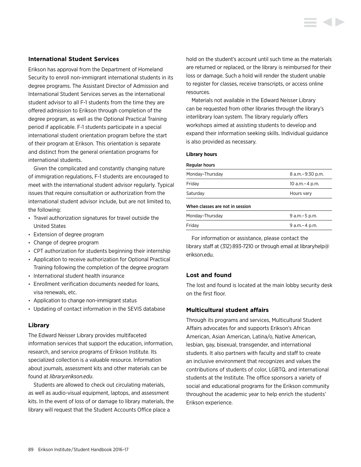## **International Student Services**

Erikson has approval from the Department of Homeland Security to enroll non-immigrant international students in its degree programs. The Assistant Director of Admission and International Student Services serves as the international student advisor to all F-1 students from the time they are offered admission to Erikson through completion of the degree program, as well as the Optional Practical Training period if applicable. F-1 students participate in a special international student orientation program before the start of their program at Erikson. This orientation is separate and distinct from the general orientation programs for international students.

Given the complicated and constantly changing nature of immigration regulations, F-1 students are encouraged to meet with the international student advisor regularly. Typical issues that require consultation or authorization from the international student advisor include, but are not limited to, the following:

- Travel authorization signatures for travel outside the United States
- Extension of degree program
- Change of degree program
- CPT authorization for students beginning their internship
- Application to receive authorization for Optional Practical Training following the completion of the degree program
- International student health insurance
- Enrollment verification documents needed for loans, visa renewals, etc.
- Application to change non-immigrant status
- Updating of contact information in the SEVIS database

# **Library**

The Edward Neisser Library provides multifaceted information services that support the education, information, research, and service programs of Erikson Institute. Its specialized collection is a valuable resource. Information about journals, assessment kits and other materials can be found at *<library.erikson.edu>*.

Students are allowed to check out circulating materials, as well as audio-visual equipment, laptops, and assessment kits. In the event of loss of or damage to library materials, the library will request that the Student Accounts Office place a

hold on the student's account until such time as the materials are returned or replaced, or the library is reimbursed for their loss or damage. Such a hold will render the student unable to register for classes, receive transcripts, or access online resources.

Materials not available in the Edward Neisser Library can be requested from other libraries through the library's interlibrary loan system. The library regularly offers workshops aimed at assisting students to develop and expand their information seeking skills. Individual guidance is also provided as necessary.

#### **Library hours**

#### Regular hours

| Monday-Thursday                 | 8 a.m. - 9:30 p.m. |
|---------------------------------|--------------------|
| Friday                          | 10 a.m. - 4 p.m.   |
| Saturday                        | Hours vary         |
| When classes are not in session |                    |
| Monday-Thursday                 | $9$ a.m. $-5$ p.m. |

Monday–Thursday 9 a.m.–5 p.m. Friday 9 a.m.–4 p.m.

For information or assistance, please contact the library staff at (312) 893-7210 or through email at libraryhelp@ erikson.edu.

# **Lost and found**

The lost and found is located at the main lobby security desk on the first floor.

# **Multicultural student affairs**

Through its programs and services, Multicultural Student Affairs advocates for and supports Erikson's African American, Asian American, Latina/o, Native American, lesbian, gay, bisexual, transgender, and international students. It also partners with faculty and staff to create an inclusive environment that recognizes and values the contributions of students of color, LGBTQ, and international students at the Institute. The office sponsors a variety of social and educational programs for the Erikson community throughout the academic year to help enrich the students' Erikson experience.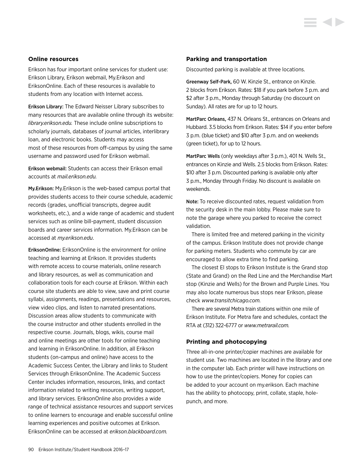### **Online resources**

Erikson has four important online services for student use: Erikson Library, Erikson webmail, My.Erikson and EriksonOnline. Each of these resources is available to students from any location with Internet access.

Erikson Library: The Edward Neisser Library subscribes to many resources that are available online through its website: *<library.erikson.edu>.* These include online subscriptions to scholarly journals, databases of journal articles, interlibrary loan, and electronic books. Students may access most of these resources from off-campus by using the same username and password used for Erikson webmail.

Erikson webmail: Students can access their Erikson email accounts at *<mail.erikson.edu>.*

My.Erikson: My.Erikson is the web-based campus portal that provides students access to their course schedule, academic records (grades, unofficial transcripts, degree audit worksheets, etc.), and a wide range of academic and student services such as online bill-payment, student discussion boards and career services information. My.Erikson can be accessed at *my.erikson.edu*.

EriksonOnline: EriksonOnline is the environment for online teaching and learning at Erikson. It provides students with remote access to course materials, online research and library resources, as well as communication and collaboration tools for each course at Erikson. Within each course site students are able to view, save and print course syllabi, assignments, readings, presentations and resources, view video clips, and listen to narrated presentations. Discussion areas allow students to communicate with the course instructor and other students enrolled in the respective course. Journals, blogs, wikis, course mail and online meetings are other tools for online teaching and learning in EriksonOnline. In addition, all Erikson students (on-campus and online) have access to the Academic Success Center, the Library and links to Student Services through EriksonOnline. The Academic Success Center includes information, resources, links, and contact information related to writing resources, writing support, and library services. EriksonOnline also provides a wide range of technical assistance resources and support services to online learners to encourage and enable successful online learning experiences and positive outcomes at Erikson. EriksonOnline can be accessed at *[erikson.blackboard.com.](http://erikson.blackboard.com)*

#### **Parking and transportation**

Discounted parking is available at three locations.

Greenway Self-Park, 60 W. Kinzie St., entrance on Kinzie. 2 blocks from Erikson. Rates: \$18 if you park before 3 p.m. and \$2 after 3 p.m., Monday through Saturday (no discount on Sunday). All rates are for up to 12 hours.

MartParc Orleans, 437 N. Orleans St., entrances on Orleans and Hubbard. 3.5 blocks from Erikson. Rates: \$14 if you enter before 3 p.m. (blue ticket) and \$10 after 3 p.m. and on weekends (green ticket), for up to 12 hours.

MartParc Wells (only weekdays after 3 p.m.), 401 N. Wells St., entrances on Kinzie and Wells. 2.5 blocks from Erikson. Rates: \$10 after 3 p.m. Discounted parking is available only after 3 p.m., Monday through Friday. No discount is available on weekends.

Note: To receive discounted rates, request validation from the security desk in the main lobby. Please make sure to note the garage where you parked to receive the correct validation.

There is limited free and metered parking in the vicinity of the campus. Erikson Institute does not provide change for parking meters. Students who commute by car are encouraged to allow extra time to find parking.

The closest El stops to Erikson Institute is the Grand stop (State and Grand) on the Red Line and the Merchandise Mart stop (Kinzie and Wells) for the Brown and Purple Lines. You may also locate numerous bus stops near Erikson, please check *[www.transitchicago.com.](www.transitchicago.com)*

There are several Metra train stations within one mile of Erikson Institute. For Metra fare and schedules, contact the RTA at (312) 322-6777 or *<www.metrarail.com>.*

### **Printing and photocopying**

Three all-in-one printer/copier machines are available for student use. Two machines are located in the library and one in the computer lab. Each printer will have instructions on how to use the printer/copiers. Money for copies can be added to your account on my.erikson. Each machine has the ability to photocopy, print, collate, staple, holepunch, and more.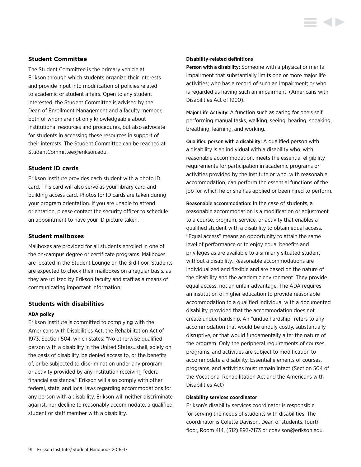### **Student Committee**

The Student Committee is the primary vehicle at Erikson through which students organize their interests and provide input into modification of policies related to academic or student affairs. Open to any student interested, the Student Committee is advised by the Dean of Enrollment Management and a faculty member, both of whom are not only knowledgeable about institutional resources and procedures, but also advocate for students in accessing these resources in support of their interests. The Student Committee can be reached at StudentCommittee@erikson.edu.

## **Student ID cards**

Erikson Institute provides each student with a photo ID card. This card will also serve as your library card and building access card. Photos for ID cards are taken during your program orientation. If you are unable to attend orientation, please contact the security officer to schedule an appointment to have your ID picture taken.

### **Student mailboxes**

Mailboxes are provided for all students enrolled in one of the on-campus degree or certificate programs. Mailboxes are located in the Student Lounge on the 3rd floor. Students are expected to check their mailboxes on a regular basis, as they are utilized by Erikson faculty and staff as a means of communicating important information.

#### **Students with disabilities**

#### **ADA policy**

Erikson Institute is committed to complying with the Americans with Disabilities Act, the Rehabilitation Act of 1973, Section 504, which states: "No otherwise qualified person with a disability in the United States…shall, solely on the basis of disability, be denied access to, or the benefits of, or be subjected to discrimination under any program or activity provided by any institution receiving federal financial assistance." Erikson will also comply with other federal, state, and local laws regarding accommodations for any person with a disability. Erikson will neither discriminate against, nor decline to reasonably accommodate, a qualified student or staff member with a disability.

#### **Disability-related definitions**

Person with a disability: Someone with a physical or mental impairment that substantially limits one or more major life activities; who has a record of such an impairment; or who is regarded as having such an impairment. (Americans with Disabilities Act of 1990).

**STATE** 

Major Life Activity: A function such as caring for one's self, performing manual tasks, walking, seeing, hearing, speaking, breathing, learning, and working.

Qualified person with a disability: A qualified person with a disability is an individual with a disability who, with reasonable accommodation, meets the essential eligibility requirements for participation in academic programs or activities provided by the Institute or who, with reasonable accommodation, can perform the essential functions of the job for which he or she has applied or been hired to perform.

Reasonable accommodation: In the case of students, a reasonable accommodation is a modification or adjustment to a course, program, service, or activity that enables a qualified student with a disability to obtain equal access. "Equal access" means an opportunity to attain the same level of performance or to enjoy equal benefits and privileges as are available to a similarly situated student without a disability. Reasonable accommodations are individualized and flexible and are based on the nature of the disability and the academic environment. They provide equal access, not an unfair advantage. The ADA requires an institution of higher education to provide reasonable accommodation to a qualified individual with a documented disability, provided that the accommodation does not create undue hardship. An "undue hardship" refers to any accommodation that would be unduly costly, substantially disruptive, or that would fundamentally alter the nature of the program. Only the peripheral requirements of courses, programs, and activities are subject to modification to accommodate a disability. Essential elements of courses, programs, and activities must remain intact (Section 504 of the Vocational Rehabilitation Act and the Americans with Disabilities Act)

#### **Disability services coordinator**

Erikson's disability services coordinator is responsible for serving the needs of students with disabilities. The coordinator is Colette Davison, Dean of students, fourth floor, Room 414, (312) 893-7173 or cdavison@erikson.edu.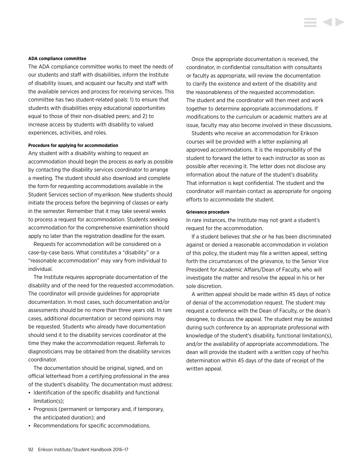#### **ADA compliance committee**

The ADA compliance committee works to meet the needs of our students and staff with disabilities, inform the Institute of disability issues, and acquaint our faculty and staff with the available services and process for receiving services. This committee has two student-related goals: 1) to ensure that students with disabilities enjoy educational opportunities equal to those of their non-disabled peers; and 2) to increase access by students with disability to valued experiences, activities, and roles.

#### **Procedure for applying for accommodation**

Any student with a disability wishing to request an accommodation should begin the process as early as possible by contacting the disability services coordinator to arrange a meeting. The student should also download and complete the form for requesting accommodations available in the Student Services section of my.erikson. New students should initiate the process before the beginning of classes or early in the semester. Remember that it may take several weeks to process a request for accommodation. Students seeking accommodation for the comprehensive examination should apply no later than the registration deadline for the exam.

Requests for accommodation will be considered on a case-by-case basis. What constitutes a "disability" or a "reasonable accommodation" may vary from individual to individual.

The Institute requires appropriate documentation of the disability and of the need for the requested accommodation. The coordinator will provide guidelines for appropriate documentation. In most cases, such documentation and/or assessments should be no more than three years old. In rare cases, additional documentation or second opinions may be requested. Students who already have documentation should send it to the disability services coordinator at the time they make the accommodation request. Referrals to diagnosticians may be obtained from the disability services coordinator.

The documentation should be original, signed, and on official letterhead from a certifying professional in the area of the student's disability. The documentation must address:

- Identification of the specific disability and functional limitation(s);
- Prognosis (permanent or temporary and, if temporary, the anticipated duration); and
- Recommendations for specific accommodations.

Once the appropriate documentation is received, the coordinator, in confidential consultation with consultants or faculty as appropriate, will review the documentation to clarify the existence and extent of the disability and the reasonableness of the requested accommodation. The student and the coordinator will then meet and work together to determine appropriate accommodations. If modifications to the curriculum or academic matters are at issue, faculty may also become involved in these discussions.

Students who receive an accommodation for Erikson courses will be provided with a letter explaining all approved accommodations. It is the responsibility of the student to forward the letter to each instructor as soon as possible after receiving it. The letter does not disclose any information about the nature of the student's disability. That information is kept confidential. The student and the coordinator will maintain contact as appropriate for ongoing efforts to accommodate the student.

#### **Grievance procedure**

In rare instances, the Institute may not grant a student's request for the accommodation.

If a student believes that she or he has been discriminated against or denied a reasonable accommodation in violation of this policy, the student may file a written appeal, setting forth the circumstances of the grievance, to the Senior Vice President for Academic Affairs/Dean of Faculty, who will investigate the matter and resolve the appeal in his or her sole discretion.

A written appeal should be made within 45 days of notice of denial of the accommodation request. The student may request a conference with the Dean of Faculty, or the dean's designee, to discuss the appeal. The student may be assisted during such conference by an appropriate professional with knowledge of the student's disability, functional limitation(s), and/or the availability of appropriate accommodations. The dean will provide the student with a written copy of her/his determination within 45 days of the date of receipt of the written appeal.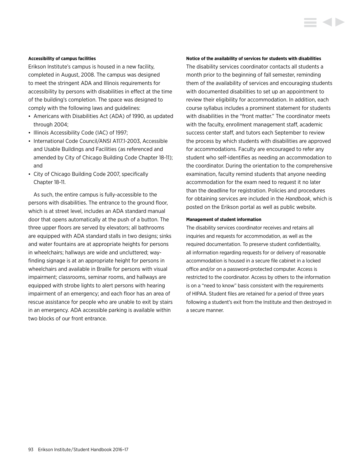#### **Accessibility of campus facilities**

Erikson Institute's campus is housed in a new facility, completed in August, 2008. The campus was designed to meet the stringent ADA and Illinois requirements for accessibility by persons with disabilities in effect at the time of the building's completion. The space was designed to comply with the following laws and guidelines:

- Americans with Disabilities Act (ADA) of 1990, as updated through 2004;
- Illinois Accessibility Code (IAC) of 1997;
- International Code Council/ANSI A117.1-2003, Accessible and Usable Buildings and Facilities (as referenced and amended by City of Chicago Building Code Chapter 18-11); and
- City of Chicago Building Code 2007, specifically Chapter 18-11.

As such, the entire campus is fully-accessible to the persons with disabilities. The entrance to the ground floor, which is at street level, includes an ADA standard manual door that opens automatically at the push of a button. The three upper floors are served by elevators; all bathrooms are equipped with ADA standard stalls in two designs; sinks and water fountains are at appropriate heights for persons in wheelchairs; hallways are wide and uncluttered; wayfinding signage is at an appropriate height for persons in wheelchairs and available in Braille for persons with visual impairment; classrooms, seminar rooms, and hallways are equipped with strobe lights to alert persons with hearing impairment of an emergency; and each floor has an area of rescue assistance for people who are unable to exit by stairs in an emergency. ADA accessible parking is available within two blocks of our front entrance.

#### **Notice of the availability of services for students with disabilities**

The disability services coordinator contacts all students a month prior to the beginning of fall semester, reminding them of the availability of services and encouraging students with documented disabilities to set up an appointment to review their eligibility for accommodation. In addition, each course syllabus includes a prominent statement for students with disabilities in the "front matter." The coordinator meets with the faculty, enrollment management staff, academic success center staff, and tutors each September to review the process by which students with disabilities are approved for accommodations. Faculty are encouraged to refer any student who self-identifies as needing an accommodation to the coordinator. During the orientation to the comprehensive examination, faculty remind students that anyone needing accommodation for the exam need to request it no later than the deadline for registration. Policies and procedures for obtaining services are included in the *Handbook*, which is posted on the Erikson portal as well as public website.

#### **Management of student information**

The disability services coordinator receives and retains all inquiries and requests for accommodation, as well as the required documentation. To preserve student confidentiality, all information regarding requests for or delivery of reasonable accommodation is housed in a secure file cabinet in a locked office and/or on a password-protected computer. Access is restricted to the coordinator. Access by others to the information is on a "need to know" basis consistent with the requirements of HIPAA. Student files are retained for a period of three years following a student's exit from the Institute and then destroyed in a secure manner.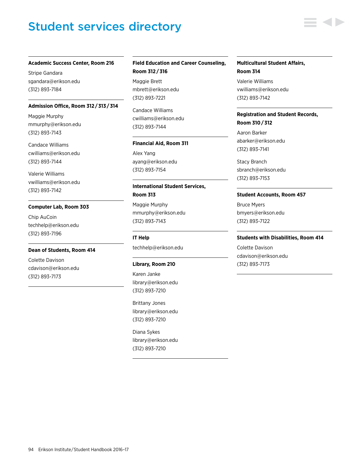# Student services directory

#### **Academic Success Center, Room 216**

Stripe Gandara sgandara@erikson.edu (312) 893-7184

#### **Admission Office, Room 312 / 313 / 314**

Maggie Murphy mmurphy@erikson.edu (312) 893-7143

Candace Williams cwilliams@erikson.edu (312) 893-7144

Valerie Williams vwilliams@erikson.edu (312) 893-7142

#### **Computer Lab, Room 303**

Chip AuCoin techhelp@erikson.edu (312) 893-7196

#### **Dean of Students, Room 414**

Colette Davison cdavison@erikson.edu (312) 893-7173

# **Field Education and Career Counseling, Room 312 / 316**

Maggie Brett mbrett@erikson.edu (312) 893-7221

Candace Williams cwilliams@erikson.edu (312) 893-7144

#### **Financial Aid, Room 311**

Alex Yang ayang@erikson.edu (312) 893-7154

# **International Student Services, Room 313**

Maggie Murphy mmurphy@erikson.edu (312) 893-7143

**IT Help** techhelp@erikson.edu

#### **Library, Room 210**

Karen Janke library@erikson.edu (312) 893-7210

Brittany Jones library@erikson.edu (312) 893-7210

Diana Sykes library@erikson.edu (312) 893-7210

# **Multicultural Student Affairs, Room 314**

Valerie Williams vwilliams@erikson.edu (312) 893-7142

# **Registration and Student Records, Room 310 / 312**

Aaron Barker abarker@erikson.edu (312) 893-7141

Stacy Branch sbranch@erikson.edu (312) 893-7153

#### **Student Accounts, Room 457**

Bruce Myers bmyers@erikson.edu (312) 893-7122

#### **Students with Disabilities, Room 414**

Colette Davison cdavison@erikson.edu (312) 893-7173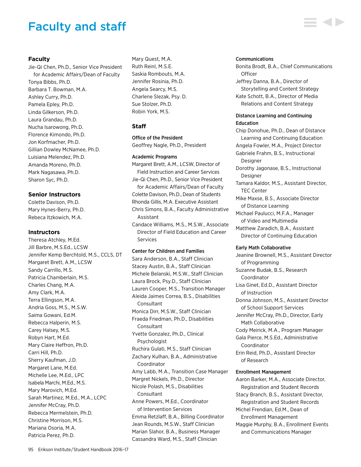# Faculty and staff

# **Faculty**

Jie-Qi Chen, Ph.D., Senior Vice President for Academic Affairs/Dean of Faculty Tonya Bibbs, Ph.D. Barbara T. Bowman, M.A. Ashley Curry, Ph.D. Pamela Epley, Ph.D. Linda Gilkerson, Ph.D. Laura Grandau, Ph.D. Nucha Isarowong, Ph.D. Florence Kimondo, Ph.D. Jon Korfmacher, Ph.D. Gillian Dowley McNamee, Ph.D. Luisiana Melendez, Ph.D. Amanda Moreno, Ph.D. Mark Nagasawa, Ph.D. Sharon Syc, Ph.D.

# **Senior Instructors**

Colette Davison, Ph.D. Mary Hynes-Berry, Ph.D. Rebeca Itzkowich, M.A.

#### **Instructors**

Theresa Atchley, M.Ed. Jill Barbre, M.S.Ed., LCSW Jennifer Kemp Berchtold, M.S., CCLS, DT Margaret Brett, A.M., LCSW Sandy Carrillo, M.S. Patricia Chamberlain, M.S. Charles Chang, M.A. Amy Clark, M.A. Terra Ellingson, M.A. Andria Goss, M.S., M.S.W. Saima Gowani, Ed.M. Rebecca Halperin, M.S. Carey Halsey, M.S. Robyn Hart, M.Ed. Mary Claire Heffron, Ph.D. Carri Hill, Ph.D. Sherry Kaufman, J.D. Margaret Lane, M.Ed. Michelle Lee, M.Ed., LPC Isabela Marchi, M.Ed., M.S. Mary Marovich, M.Ed. Sarah Martinez, M.Ed., M.A., LCPC Jennifer McCray, Ph.D. Rebecca Mermelstein, Ph.D. Christine Morrison, M.S. Mariana Osoria, M.A. Patricia Perez, Ph.D.

Mary Quest, M.A. Ruth Reinl, M.S.E. Saskia Rombouts, M.A. Jennifer Rosinia, Ph.D. Angela Searcy, M.S. Charlene Slezak, Psy. D. Sue Stolzer, Ph.D. Robin York, M.S.

# **Staff**

#### Office of the President

Geoffrey Nagle, Ph.D., President

#### Academic Programs

Margaret Brett, A.M., LCSW, Director of Field Instruction and Career Services Jie-Qi Chen, Ph.D., Senior Vice President for Academic Affairs/Dean of Faculty Colette Davison, Ph.D., Dean of Students Rhonda Gillis, M.A. Executive Assistant Chris Simons, B.A., Faculty Administrative Assistant Candace Williams, M.S., M.S.W., Associate Director of Field Education and Career Services

#### Center for Children and Families

Sara Anderson, B.A., Staff Clinician Stacey Austin, B.A., Staff Clinician Michele Belanski, M.S.W., Staff Clinician Laura Brock, Psy.D., Staff Clinician Lauren Cooper, M.S., Transition Manager Aleida Jaimes Correa, B.S., Disabilities **Consultant** Monica Dirr, M.S.W., Staff Clinician Fraeda Friedman, Ph.D., Disabilities **Consultant** Yvette Gonzalez, Ph.D., Clinical Psychologist Ruchira Gulati, M.S., Staff Clinician Zachary Kulhan, B.A., Administrative Coordinator Amy Labb, M.A., Transition Case Manager Margret Nickels, Ph.D., Director Nicole Polash, M.S., Disabilities **Consultant** Anne Powers, M.Ed., Coordinator of Intervention Services Emma Retzlaff, B.A., Billing Coordinator Jean Rounds, M.S.W., Staff Clinician Marian Slahor, B.A., Business Manager Cassandra Ward, M.S., Staff Clinician

#### Communications

Bonita Brodt, B.A., Chief Communications **Officer** Jeffrey Danna, B.A., Director of Storytelling and Content Strategy Kate Schott, B.A., Director of Media Relations and Content Strategy

# Distance Learning and Continuing Education

Chip Donohue, Ph.D., Dean of Distance Learning and Continuing Education Angela Fowler, M.A., Project Director Gabriele Frahm, B.S., Instructional Designer Dorothy Jagonase, B.S., Instructional Designer Tamara Kaldor, M.S., Assistant Director, TEC Center

Mike Maxse, B.S., Associate Director of Distance Learning

Michael Paulucci, M.F.A., Manager of Video and Multimedia

Matthew Zaradich, B.A., Assistant Director of Continuing Education

#### Early Math Collaborative

Jeanine Brownell, M.S., Assistant Director of Programming Suzanne Budak, B.S., Research Coordinator Lisa Ginet, Ed.D., Assistant Director of Instruction Donna Johnson, M.S., Assistant Director of School Support Services Jennifer McCray, Ph.D., Director, Early Math Collaborative Cody Meirick, M.A., Program Manager Gala Pierce, M.S.Ed., Administrative Coordinator Erin Reid, Ph.D., Assistant Director of Research Enrollment Management Aaron Barker, M.A., Associate Director, Registration and Student Records Stacy Branch, B.S., Assistant Director,

Registration and Student Records Michel Frendian, Ed.M., Dean of Enrollment Management Maggie Murphy, B.A., Enrollment Events

and Communications Manager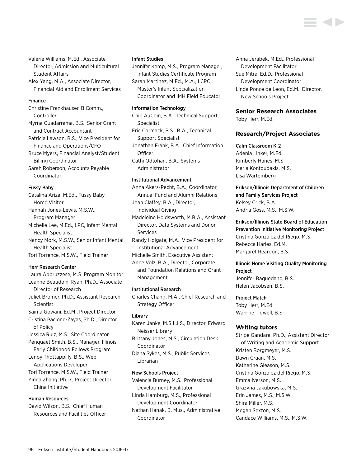Valerie Williams, M.Ed., Associate Director, Admission and Multicultural Student Affairs

Alex Yang, M.A., Associate Director, Financial Aid and Enrollment Services

#### Finance

Christine Frankhauser, B.Comm., Controller Myrna Guadarrama, B.S., Senior Grant and Contract Accountant Patricia Lawson, B.S., Vice President for Finance and Operations/CFO Bruce Myers, Financial Analyst/Student Billing Coordinator Sarah Roberson, Accounts Payable

Coordinator

## Fussy Baby

Catalina Ariza, M.Ed., Fussy Baby Home Visitor Hannah Jones-Lewis, M.S.W., Program Manager Michelle Lee, M.Ed., LPC, Infant Mental Health Specialist Nancy Mork, M.S.W., Senior Infant Mental Health Specialist Tori Torrence, M.S.W., Field Trainer

#### Herr Research Center

Laura Abbruzzese, M.S. Program Monitor Leanne Beaudoin-Ryan, Ph.D., Associate Director of Research Juliet Bromer, Ph.D., Assistant Research Scientist Saima Gowani, Ed.M., Project Director Cristina Pacione-Zayas, Ph.D., Director of Policy Jessica Ruiz, M.S., Site Coordinator Penquaet Smith, B.S., Manager, Illinois Early Childhood Fellows Program Lenoy Thottappilly, B.S., Web Applications Developer Tori Torrence, M.S.W., Field Trainer Yinna Zhang, Ph.D., Project Director, China Initiative

# Human Resources

David Wilson, B.S., Chief Human Resources and Facilities Officer

#### Infant Studies

Jennifer Kemp, M.S., Program Manager, Infant Studies Certificate Program Sarah Martinez, M.Ed., M.A., LCPC, Master's Infant Specialization Coordinator and IMH Field Educator

#### Information Technology

Chip AuCoin, B.A., Technical Support Specialist Eric Cormack, B.S., B.A., Technical Support Specialist Jonathan Frank, B.A., Chief Information **Officer** Cathi Odtohan, B.A., Systems Administrator

# Institutional Advancement

Anna Akers-Pecht, B.A., Coordinator, Annual Fund and Alumni Relations Joan Claffey, B.A., Director, Individual Giving

Madeleine Holdsworth, M.B.A., Assistant Director, Data Systems and Donor Services

Randy Holgate, M.A., Vice President for Institutional Advancement

Michelle Smith, Executive Assistant

Anne Volz, B.A., Director, Corporate and Foundation Relations and Grant Management

#### Institutional Research

Charles Chang, M.A., Chief Research and Strategy Officer

#### Library

Karen Janke, M.S.L.I.S., Director, Edward Neisser Library

Brittany Jones, M.S., Circulation Desk Coordinator

Diana Sykes, M.S., Public Services Librarian

#### New Schools Project

Valencia Burney, M.S., Professional Development Facilitator Linda Hamburg, M.S., Professional

Development Coordinator

Nathan Hanak, B. Mus., Administrative Coordinator

Anna Jerabek, M.Ed., Professional Development Facilitator Sue Mitra, Ed.D., Professional Development Coordinator Linda Ponce de Leon, Ed.M., Director, New Schools Project

## **Senior Research Associates**

Toby Herr, M.Ed.

## **Research/Project Associates**

#### Calm Classroom K-2

Adenia Linker, M.Ed. Kimberly Hanes, M.S. Maria Kontoudakis, M.S. Lisa Wartemberg

Erikson/Illinois Department of Children and Family Services Project Kelsey Crick, B.A. Andria Goss, M.S., M.S.W.

Erikson/Illinois State Board of Education Prevention Initiative Monitoring Project Cristina Gonzalez del Riego, M.S. Rebecca Harles, Ed.M. Margaret Reardon, B.S.

# Illinois Home Visiting Quality Monitoring Project

Jennifer Baquedano, B.S. Helen Jacobsen, B.S.

#### Project Match

Toby Herr, M.Ed. Warrine Tidwell, B.S.

### **Writing tutors**

Stripe Gandara, Ph.D., Assistant Director of Writing and Academic Support Kristen Borgmeyer, M.S. Dawn Craan, M.S. Katherine Gleason, M.S. Cristina Gonzalez del Riego, M.S. Emma Iverson, M.S. Grazyna Jakubowska, M.S. Erin James, M.S., M.S.W. Shira Miller, M.S. Megan Sexton, M.S. Candace Williams, M.S., M.S.W.